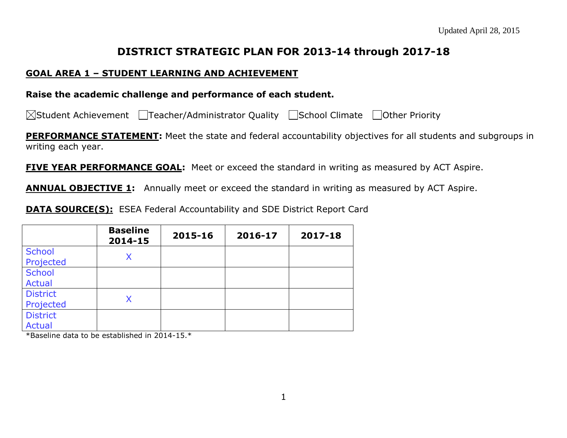## **DISTRICT STRATEGIC PLAN FOR 2013-14 through 2017-18**

### **GOAL AREA 1 – STUDENT LEARNING AND ACHIEVEMENT**

#### **Raise the academic challenge and performance of each student.**

 $\boxtimes$ Student Achievement  $\Box$ Teacher/Administrator Quality  $\Box$ School Climate  $\Box$ Other Priority

**PERFORMANCE STATEMENT:** Meet the state and federal accountability objectives for all students and subgroups in writing each year.

**FIVE YEAR PERFORMANCE GOAL:** Meet or exceed the standard in writing as measured by ACT Aspire.

**ANNUAL OBJECTIVE 1:** Annually meet or exceed the standard in writing as measured by ACT Aspire.

**DATA SOURCE(S):** ESEA Federal Accountability and SDE District Report Card

|                                  | <b>Baseline</b><br>2014-15 | 2015-16 | 2016-17 | 2017-18 |
|----------------------------------|----------------------------|---------|---------|---------|
| <b>School</b><br>Projected       | X                          |         |         |         |
| <b>School</b><br><b>Actual</b>   |                            |         |         |         |
| <b>District</b><br>Projected     | Χ                          |         |         |         |
| <b>District</b><br><b>Actual</b> |                            |         |         |         |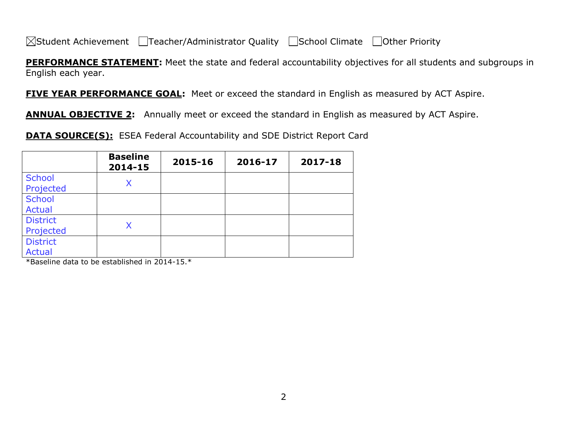**PERFORMANCE STATEMENT:** Meet the state and federal accountability objectives for all students and subgroups in English each year.

**FIVE YEAR PERFORMANCE GOAL:** Meet or exceed the standard in English as measured by ACT Aspire.

**ANNUAL OBJECTIVE 2:** Annually meet or exceed the standard in English as measured by ACT Aspire.

**DATA SOURCE(S):** ESEA Federal Accountability and SDE District Report Card

|                 | <b>Baseline</b><br>2014-15 | 2015-16 | 2016-17 | 2017-18 |
|-----------------|----------------------------|---------|---------|---------|
| <b>School</b>   | X                          |         |         |         |
| Projected       |                            |         |         |         |
| <b>School</b>   |                            |         |         |         |
| <b>Actual</b>   |                            |         |         |         |
| <b>District</b> |                            |         |         |         |
| Projected       |                            |         |         |         |
| <b>District</b> |                            |         |         |         |
| <b>Actual</b>   |                            |         |         |         |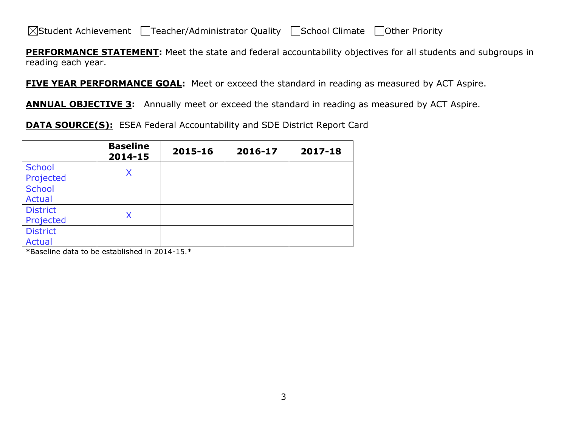**PERFORMANCE STATEMENT:** Meet the state and federal accountability objectives for all students and subgroups in reading each year.

**FIVE YEAR PERFORMANCE GOAL:** Meet or exceed the standard in reading as measured by ACT Aspire.

**ANNUAL OBJECTIVE 3:** Annually meet or exceed the standard in reading as measured by ACT Aspire.

**DATA SOURCE(S):** ESEA Federal Accountability and SDE District Report Card

|                                  | <b>Baseline</b><br>2014-15 | 2015-16 | 2016-17 | 2017-18 |
|----------------------------------|----------------------------|---------|---------|---------|
| <b>School</b><br>Projected       | Χ                          |         |         |         |
| <b>School</b><br><b>Actual</b>   |                            |         |         |         |
| <b>District</b><br>Projected     |                            |         |         |         |
| <b>District</b><br><b>Actual</b> |                            |         |         |         |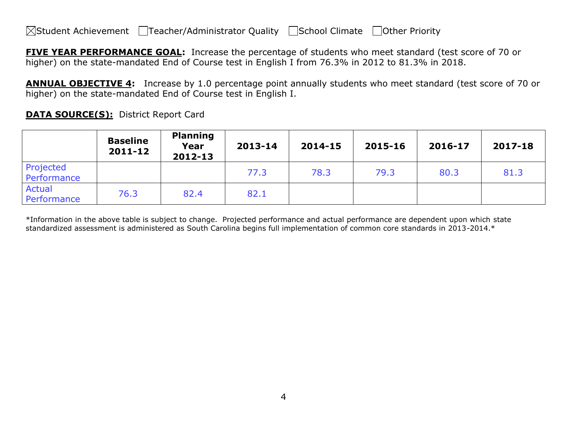**FIVE YEAR PERFORMANCE GOAL:** Increase the percentage of students who meet standard (test score of 70 or higher) on the state-mandated End of Course test in English I from 76.3% in 2012 to 81.3% in 2018.

**ANNUAL OBJECTIVE 4:** Increase by 1.0 percentage point annually students who meet standard (test score of 70 or higher) on the state-mandated End of Course test in English I.

**DATA SOURCE(S):** District Report Card

|                          | <b>Baseline</b><br>$2011 - 12$ | <b>Planning</b><br>Year<br>2012-13 | 2013-14 | 2014-15 | 2015-16 | 2016-17 | 2017-18 |
|--------------------------|--------------------------------|------------------------------------|---------|---------|---------|---------|---------|
| Projected<br>Performance |                                |                                    | 77.3    | 78.3    | 79.3    | 80.3    | 81.3    |
| Actual<br>Performance    | 76.3                           | 82.4                               | 82.1    |         |         |         |         |

\*Information in the above table is subject to change. Projected performance and actual performance are dependent upon which state standardized assessment is administered as South Carolina begins full implementation of common core standards in 2013-2014.\*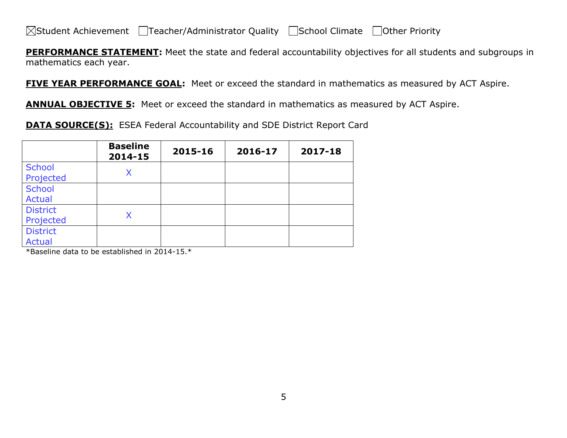**PERFORMANCE STATEMENT:** Meet the state and federal accountability objectives for all students and subgroups in mathematics each year.

**FIVE YEAR PERFORMANCE GOAL:** Meet or exceed the standard in mathematics as measured by ACT Aspire.

**ANNUAL OBJECTIVE 5:** Meet or exceed the standard in mathematics as measured by ACT Aspire.

**DATA SOURCE(S):** ESEA Federal Accountability and SDE District Report Card

|                                  | <b>Baseline</b><br>2014-15 | 2015-16 | 2016-17 | 2017-18 |
|----------------------------------|----------------------------|---------|---------|---------|
| <b>School</b><br>Projected       | X                          |         |         |         |
| <b>School</b><br><b>Actual</b>   |                            |         |         |         |
| <b>District</b><br>Projected     |                            |         |         |         |
| <b>District</b><br><b>Actual</b> |                            |         |         |         |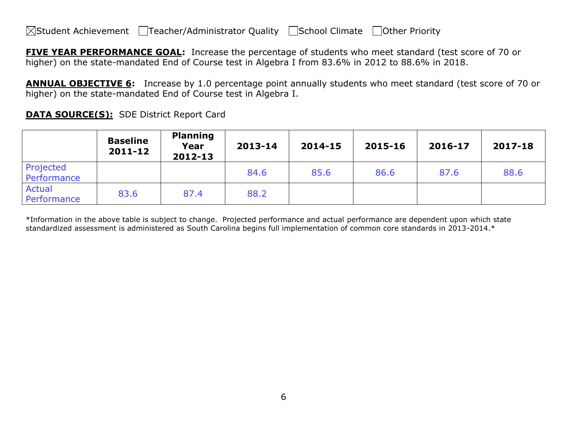**FIVE YEAR PERFORMANCE GOAL:** Increase the percentage of students who meet standard (test score of 70 or higher) on the state-mandated End of Course test in Algebra I from 83.6% in 2012 to 88.6% in 2018.

**ANNUAL OBJECTIVE 6:** Increase by 1.0 percentage point annually students who meet standard (test score of 70 or higher) on the state-mandated End of Course test in Algebra I.

|                          | <b>Baseline</b><br>2011-12 | <b>Planning</b><br>Year<br>2012-13 | 2013-14 | 2014-15 | 2015-16 | 2016-17 | 2017-18 |
|--------------------------|----------------------------|------------------------------------|---------|---------|---------|---------|---------|
| Projected<br>Performance |                            |                                    | 84.6    | 85.6    | 86.6    | 87.6    | 88.6    |
| Actual<br>Performance    | 83.6                       | 87.4                               | 88.2    |         |         |         |         |

**DATA SOURCE(S):** SDE District Report Card

\*Information in the above table is subject to change. Projected performance and actual performance are dependent upon which state standardized assessment is administered as South Carolina begins full implementation of common core standards in 2013-2014.\*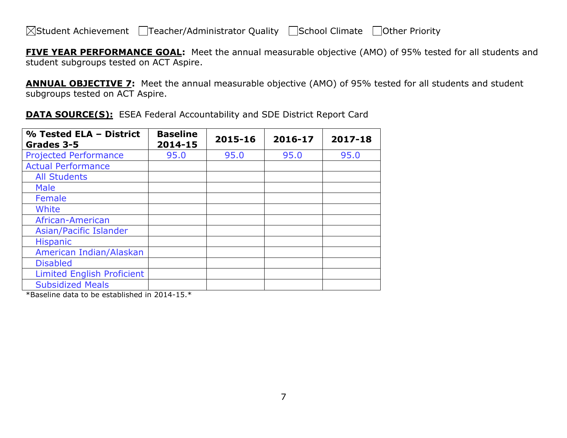**FIVE YEAR PERFORMANCE GOAL:** Meet the annual measurable objective (AMO) of 95% tested for all students and student subgroups tested on ACT Aspire.

**ANNUAL OBJECTIVE 7:** Meet the annual measurable objective (AMO) of 95% tested for all students and student subgroups tested on ACT Aspire.

| % Tested ELA - District<br>Grades 3-5 | <b>Baseline</b><br>2014-15 | 2015-16 | 2016-17 | 2017-18 |
|---------------------------------------|----------------------------|---------|---------|---------|
| <b>Projected Performance</b>          | 95.0                       | 95.0    | 95.0    | 95.0    |
| <b>Actual Performance</b>             |                            |         |         |         |
| <b>All Students</b>                   |                            |         |         |         |
| <b>Male</b>                           |                            |         |         |         |
| Female                                |                            |         |         |         |
| White                                 |                            |         |         |         |
| African-American                      |                            |         |         |         |
| Asian/Pacific Islander                |                            |         |         |         |
| <b>Hispanic</b>                       |                            |         |         |         |
| American Indian/Alaskan               |                            |         |         |         |
| <b>Disabled</b>                       |                            |         |         |         |
| <b>Limited English Proficient</b>     |                            |         |         |         |
| <b>Subsidized Meals</b>               |                            |         |         |         |

**DATA SOURCE(S):** ESEA Federal Accountability and SDE District Report Card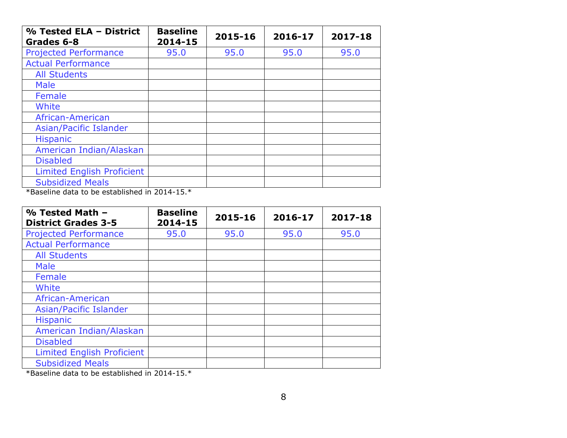| % Tested ELA - District<br>Grades 6-8 | <b>Baseline</b><br>2014-15 | 2015-16 | 2016-17 | 2017-18 |
|---------------------------------------|----------------------------|---------|---------|---------|
| <b>Projected Performance</b>          | 95.0                       | 95.0    | 95.0    | 95.0    |
| <b>Actual Performance</b>             |                            |         |         |         |
| <b>All Students</b>                   |                            |         |         |         |
| <b>Male</b>                           |                            |         |         |         |
| Female                                |                            |         |         |         |
| White                                 |                            |         |         |         |
| African-American                      |                            |         |         |         |
| Asian/Pacific Islander                |                            |         |         |         |
| <b>Hispanic</b>                       |                            |         |         |         |
| American Indian/Alaskan               |                            |         |         |         |
| <b>Disabled</b>                       |                            |         |         |         |
| <b>Limited English Proficient</b>     |                            |         |         |         |
| <b>Subsidized Meals</b>               |                            |         |         |         |

\*Baseline data to be established in 2014-15.\*

| % Tested Math -<br><b>District Grades 3-5</b> | <b>Baseline</b><br>2014-15 | 2015-16 | 2016-17 | 2017-18 |
|-----------------------------------------------|----------------------------|---------|---------|---------|
| <b>Projected Performance</b>                  | 95.0                       | 95.0    | 95.0    | 95.0    |
| <b>Actual Performance</b>                     |                            |         |         |         |
| <b>All Students</b>                           |                            |         |         |         |
| <b>Male</b>                                   |                            |         |         |         |
| Female                                        |                            |         |         |         |
| White                                         |                            |         |         |         |
| African-American                              |                            |         |         |         |
| Asian/Pacific Islander                        |                            |         |         |         |
| <b>Hispanic</b>                               |                            |         |         |         |
| American Indian/Alaskan                       |                            |         |         |         |
| <b>Disabled</b>                               |                            |         |         |         |
| <b>Limited English Proficient</b>             |                            |         |         |         |
| <b>Subsidized Meals</b>                       |                            |         |         |         |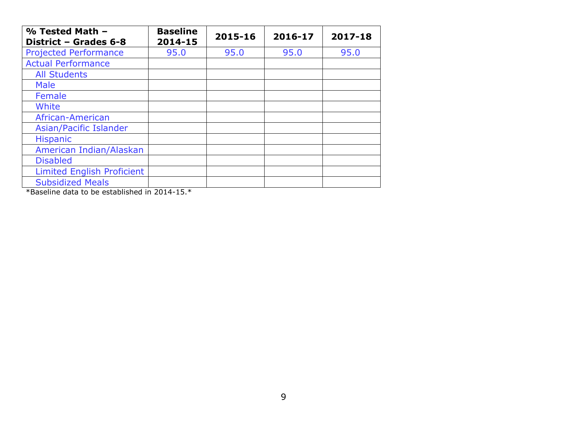| % Tested Math -<br>District - Grades 6-8 | <b>Baseline</b><br>2014-15 | 2015-16 | 2016-17 | 2017-18 |
|------------------------------------------|----------------------------|---------|---------|---------|
| <b>Projected Performance</b>             | 95.0                       | 95.0    | 95.0    | 95.0    |
| <b>Actual Performance</b>                |                            |         |         |         |
| <b>All Students</b>                      |                            |         |         |         |
| <b>Male</b>                              |                            |         |         |         |
| Female                                   |                            |         |         |         |
| White                                    |                            |         |         |         |
| African-American                         |                            |         |         |         |
| Asian/Pacific Islander                   |                            |         |         |         |
| <b>Hispanic</b>                          |                            |         |         |         |
| American Indian/Alaskan                  |                            |         |         |         |
| <b>Disabled</b>                          |                            |         |         |         |
| <b>Limited English Proficient</b>        |                            |         |         |         |
| <b>Subsidized Meals</b>                  |                            |         |         |         |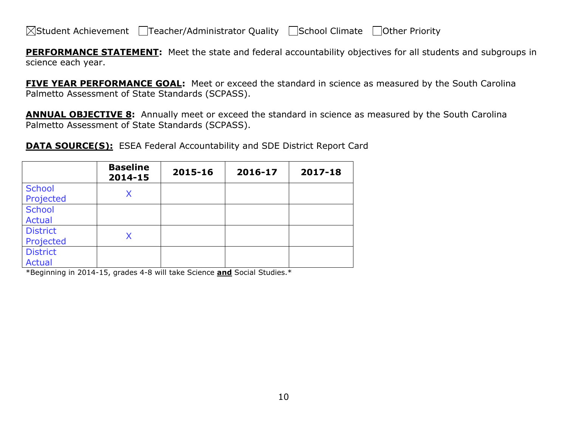**PERFORMANCE STATEMENT:** Meet the state and federal accountability objectives for all students and subgroups in science each year.

**FIVE YEAR PERFORMANCE GOAL:** Meet or exceed the standard in science as measured by the South Carolina Palmetto Assessment of State Standards (SCPASS).

**ANNUAL OBJECTIVE 8:** Annually meet or exceed the standard in science as measured by the South Carolina Palmetto Assessment of State Standards (SCPASS).

**DATA SOURCE(S):** ESEA Federal Accountability and SDE District Report Card

|                                  | <b>Baseline</b><br>2014-15 | 2015-16 | 2016-17 | 2017-18 |
|----------------------------------|----------------------------|---------|---------|---------|
| <b>School</b><br>Projected       | X                          |         |         |         |
| <b>School</b><br><b>Actual</b>   |                            |         |         |         |
| <b>District</b><br>Projected     | Χ                          |         |         |         |
| <b>District</b><br><b>Actual</b> |                            |         |         |         |

\*Beginning in 2014-15, grades 4-8 will take Science **and** Social Studies.\*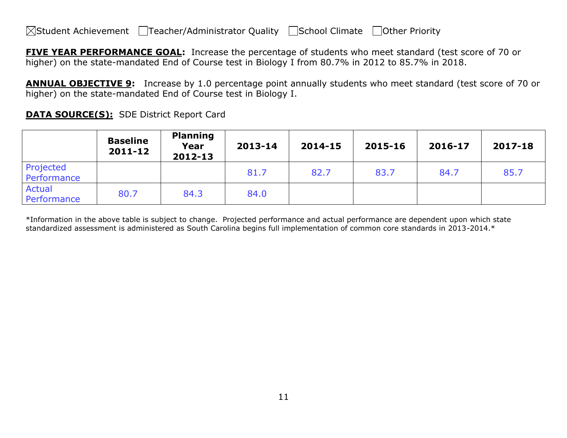**FIVE YEAR PERFORMANCE GOAL:** Increase the percentage of students who meet standard (test score of 70 or higher) on the state-mandated End of Course test in Biology I from 80.7% in 2012 to 85.7% in 2018.

**ANNUAL OBJECTIVE 9:** Increase by 1.0 percentage point annually students who meet standard (test score of 70 or higher) on the state-mandated End of Course test in Biology I.

|                          | <b>Baseline</b><br>$2011 - 12$ | <b>Planning</b><br>Year<br>2012-13 | 2013-14 | 2014-15 | 2015-16 | 2016-17 | 2017-18 |
|--------------------------|--------------------------------|------------------------------------|---------|---------|---------|---------|---------|
| Projected<br>Performance |                                |                                    | 81.7    | 82.7    | 83.7    | 84.7    | 85.7    |
| Actual<br>Performance    | 80.7                           | 84.3                               | 84.0    |         |         |         |         |

**DATA SOURCE(S):** SDE District Report Card

\*Information in the above table is subject to change. Projected performance and actual performance are dependent upon which state standardized assessment is administered as South Carolina begins full implementation of common core standards in 2013-2014.\*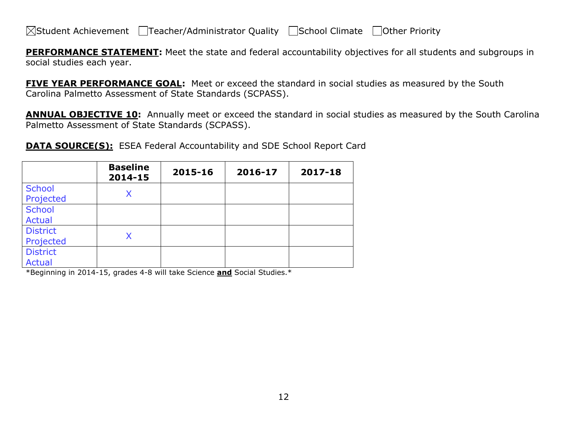**PERFORMANCE STATEMENT:** Meet the state and federal accountability objectives for all students and subgroups in social studies each year.

**FIVE YEAR PERFORMANCE GOAL:** Meet or exceed the standard in social studies as measured by the South Carolina Palmetto Assessment of State Standards (SCPASS).

**ANNUAL OBJECTIVE 10:** Annually meet or exceed the standard in social studies as measured by the South Carolina Palmetto Assessment of State Standards (SCPASS).

**DATA SOURCE(S):** ESEA Federal Accountability and SDE School Report Card

|                                  | <b>Baseline</b><br>2014-15 | 2015-16 | 2016-17 | 2017-18 |
|----------------------------------|----------------------------|---------|---------|---------|
| <b>School</b><br>Projected       | X                          |         |         |         |
| <b>School</b><br><b>Actual</b>   |                            |         |         |         |
| <b>District</b><br>Projected     | Χ                          |         |         |         |
| <b>District</b><br><b>Actual</b> |                            |         |         |         |

\*Beginning in 2014-15, grades 4-8 will take Science **and** Social Studies.\*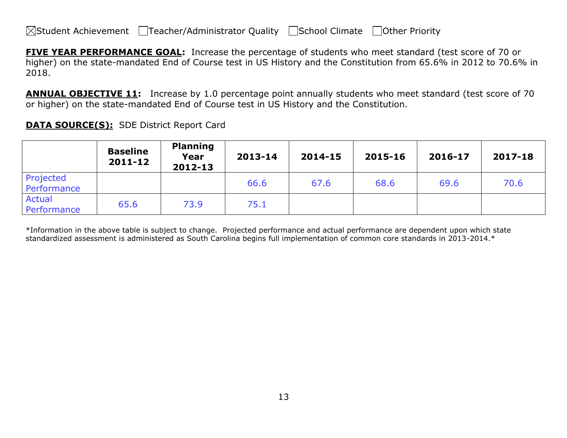**FIVE YEAR PERFORMANCE GOAL:** Increase the percentage of students who meet standard (test score of 70 or higher) on the state-mandated End of Course test in US History and the Constitution from 65.6% in 2012 to 70.6% in 2018.

**ANNUAL OBJECTIVE 11:** Increase by 1.0 percentage point annually students who meet standard (test score of 70 or higher) on the state-mandated End of Course test in US History and the Constitution.

|                              | <b>Baseline</b><br>$2011 - 12$ | <b>Planning</b><br>Year<br>2012-13 | 2013-14 | 2014-15 | 2015-16 | 2016-17 | 2017-18 |
|------------------------------|--------------------------------|------------------------------------|---------|---------|---------|---------|---------|
| Projected<br>Performance     |                                |                                    | 66.6    | 67.6    | 68.6    | 69.6    | 70.6    |
| <b>Actual</b><br>Performance | 65.6                           | 73.9                               | 75.1    |         |         |         |         |

**DATA SOURCE(S):** SDE District Report Card

\*Information in the above table is subject to change. Projected performance and actual performance are dependent upon which state standardized assessment is administered as South Carolina begins full implementation of common core standards in 2013-2014.\*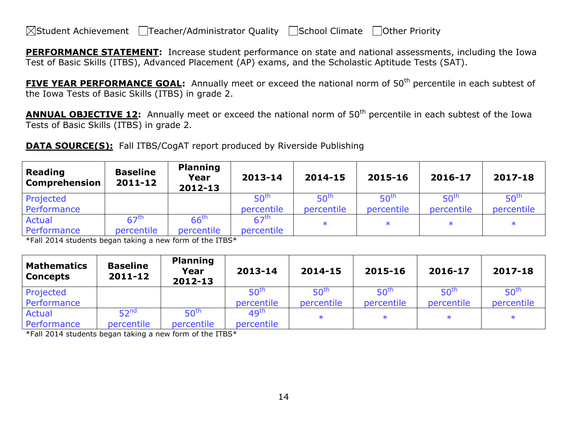**PERFORMANCE STATEMENT:** Increase student performance on state and national assessments, including the Iowa Test of Basic Skills (ITBS), Advanced Placement (AP) exams, and the Scholastic Aptitude Tests (SAT).

**FIVE YEAR PERFORMANCE GOAL:** Annually meet or exceed the national norm of 50<sup>th</sup> percentile in each subtest of the Iowa Tests of Basic Skills (ITBS) in grade 2.

**ANNUAL OBJECTIVE 12:** Annually meet or exceed the national norm of 50<sup>th</sup> percentile in each subtest of the Iowa Tests of Basic Skills (ITBS) in grade 2.

**DATA SOURCE(S):** Fall ITBS/CogAT report produced by Riverside Publishing

| Reading<br><b>Comprehension</b> | <b>Baseline</b><br>2011-12 | <b>Planning</b><br>Year<br>2012-13 | 2013-14          | 2014-15          | 2015-16          | 2016-17          | 2017-18          |
|---------------------------------|----------------------------|------------------------------------|------------------|------------------|------------------|------------------|------------------|
| Projected                       |                            |                                    | 50 <sup>th</sup> | 50 <sup>th</sup> | 50 <sup>th</sup> | 50 <sup>th</sup> | 50 <sup>th</sup> |
| Performance                     |                            |                                    | percentile       | percentile       | percentile       | percentile       | percentile       |
| Actual                          | $67^{\text{th}}$           | $66^{\text{th}}$                   | 67 <sup>th</sup> |                  | $\ast$           |                  | $\ast$           |
| Performance                     | percentile                 | percentile                         | percentile       |                  |                  |                  |                  |

\*Fall 2014 students began taking a new form of the ITBS\*

| <b>Mathematics</b><br><b>Concepts</b> | <b>Baseline</b><br>$2011 - 12$ | <b>Planning</b><br>Year<br>2012-13 | 2013-14          | 2014-15          | 2015-16          | 2016-17          | 2017-18          |
|---------------------------------------|--------------------------------|------------------------------------|------------------|------------------|------------------|------------------|------------------|
| Projected                             |                                |                                    | 50 <sup>th</sup> | 50 <sup>tr</sup> | 50 <sup>th</sup> | 50 <sup>th</sup> | 50 <sup>th</sup> |
| Performance                           |                                |                                    | percentile       | percentile       | percentile       | percentile       | percentile       |
| <b>Actual</b>                         | 52 <sup>nd</sup>               | 50 <sup>th</sup>                   | 49 <sup>th</sup> | $\ast$           | $\ast$           |                  | $\ast$           |
| Performance                           | percentile                     | percentile                         | percentile       |                  |                  |                  |                  |

\*Fall 2014 students began taking a new form of the ITBS\*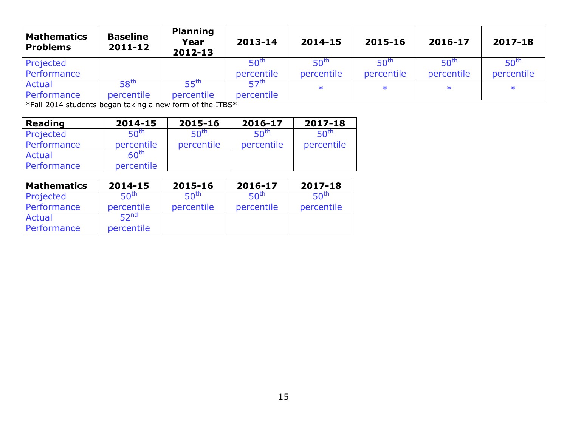| <b>Mathematics</b><br><b>Problems</b> | <b>Baseline</b><br>$2011 - 12$ | <b>Planning</b><br>Year<br>2012-13 | 2013-14          | 2014-15          | 2015-16          | 2016-17          | 2017-18          |
|---------------------------------------|--------------------------------|------------------------------------|------------------|------------------|------------------|------------------|------------------|
| Projected                             |                                |                                    | 50 <sup>tr</sup> | 50 <sup>th</sup> | 50 <sup>th</sup> | 50 <sup>th</sup> | 50 <sup>tr</sup> |
| Performance                           |                                |                                    | percentile       | percentile       | percentile       | percentile       | percentile       |
| <b>Actual</b>                         | 58 <sup>th</sup>               | 55 <sup>th</sup>                   | <b>57th</b>      | $\ast$           | $\ast$           |                  | $\ast$           |
| Performance                           | percentile                     | percentile                         | percentile       |                  |                  |                  |                  |

\*Fall 2014 students began taking a new form of the ITBS\*

| <b>Reading</b> | 2014-15          | 2015-16          | 2016-17          | 2017-18          |
|----------------|------------------|------------------|------------------|------------------|
| Projected      | 50 <sup>th</sup> | 50 <sup>th</sup> | 50 <sup>th</sup> | 50 <sup>th</sup> |
| Performance    | percentile       | percentile       | percentile       | percentile       |
| Actual         | 60 <sup>th</sup> |                  |                  |                  |
| Performance    | percentile       |                  |                  |                  |

| <b>Mathematics</b> | 2014-15          | 2015-16          | 2016-17          | 2017-18          |
|--------------------|------------------|------------------|------------------|------------------|
| Projected          | 50 <sup>th</sup> | 50 <sup>th</sup> | 50 <sup>th</sup> | 50 <sup>th</sup> |
| Performance        | percentile       | percentile       | percentile       | percentile       |
| Actual             | 52 <sup>nd</sup> |                  |                  |                  |
| Performance        | percentile       |                  |                  |                  |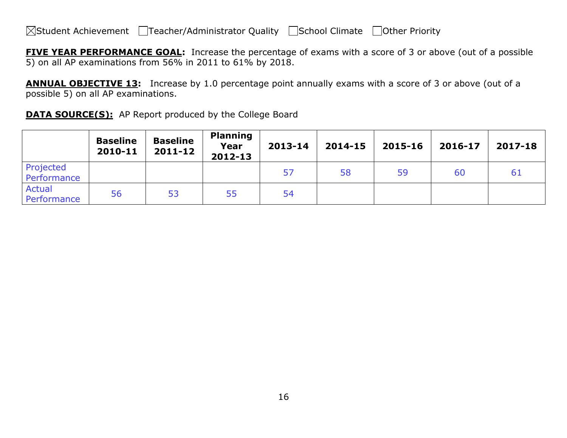**FIVE YEAR PERFORMANCE GOAL:** Increase the percentage of exams with a score of 3 or above (out of a possible 5) on all AP examinations from 56% in 2011 to 61% by 2018.

**ANNUAL OBJECTIVE 13:** Increase by 1.0 percentage point annually exams with a score of 3 or above (out of a possible 5) on all AP examinations.

|  | <b>DATA SOURCE(S):</b> AP Report produced by the College Board |  |
|--|----------------------------------------------------------------|--|
|--|----------------------------------------------------------------|--|

|                              | <b>Baseline</b><br>2010-11 | <b>Baseline</b><br>$2011 - 12$ | <b>Planning</b><br>Year<br>2012-13 | 2013-14 | 2014-15 | 2015-16 | 2016-17 | 2017-18 |
|------------------------------|----------------------------|--------------------------------|------------------------------------|---------|---------|---------|---------|---------|
| Projected<br>Performance     |                            |                                |                                    | 57      | 58      | 59      | 60      | -61     |
| <b>Actual</b><br>Performance | 56                         | 53                             | 55                                 | 54      |         |         |         |         |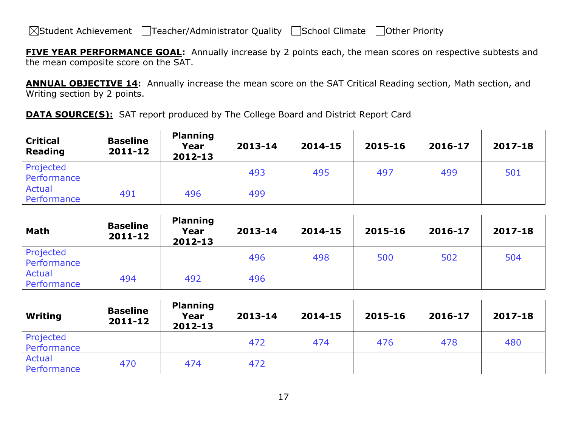**FIVE YEAR PERFORMANCE GOAL:** Annually increase by 2 points each, the mean scores on respective subtests and the mean composite score on the SAT.

**ANNUAL OBJECTIVE 14:** Annually increase the mean score on the SAT Critical Reading section, Math section, and Writing section by 2 points.

**DATA SOURCE(S):** SAT report produced by The College Board and District Report Card

| <b>Critical</b><br>Reading | <b>Baseline</b><br>2011-12 | <b>Planning</b><br>Year<br>2012-13 | 2013-14 | 2014-15 | 2015-16 | 2016-17 | 2017-18 |
|----------------------------|----------------------------|------------------------------------|---------|---------|---------|---------|---------|
| Projected<br>Performance   |                            |                                    | 493     | 495     | 497     | 499     | 501     |
| Actual<br>Performance      | 491                        | 496                                | 499     |         |         |         |         |

| <b>Math</b>                  | <b>Baseline</b><br>$2011 - 12$ | <b>Planning</b><br>Year<br>2012-13 | 2013-14 | 2014-15 | 2015-16 | 2016-17 | 2017-18 |
|------------------------------|--------------------------------|------------------------------------|---------|---------|---------|---------|---------|
| Projected<br>Performance     |                                |                                    | 496     | 498     | 500     | 502     | 504     |
| <b>Actual</b><br>Performance | 494                            | 492                                | 496     |         |         |         |         |

| Writing                  | <b>Baseline</b><br>$2011 - 12$ | <b>Planning</b><br>Year<br>2012-13 | 2013-14 | 2014-15 | 2015-16 | 2016-17 | 2017-18 |
|--------------------------|--------------------------------|------------------------------------|---------|---------|---------|---------|---------|
| Projected<br>Performance |                                |                                    | 472     | 474     | 476     | 478     | 480     |
| Actual<br>Performance    | 470                            | 474                                | 472     |         |         |         |         |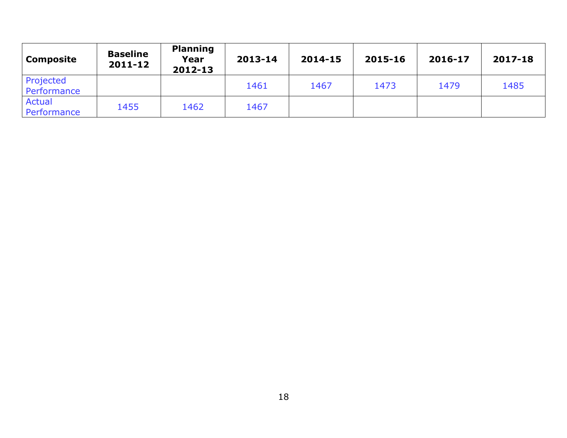| Composite                | <b>Baseline</b><br>2011-12 | <b>Planning</b><br>Year<br>2012-13 | 2013-14 | 2014-15 | 2015-16 | 2016-17 | 2017-18 |
|--------------------------|----------------------------|------------------------------------|---------|---------|---------|---------|---------|
| Projected<br>Performance |                            |                                    | 1461    | 1467    | 1473    | 1479    | 1485    |
| Actual<br>Performance    | 1455                       | 1462                               | 1467    |         |         |         |         |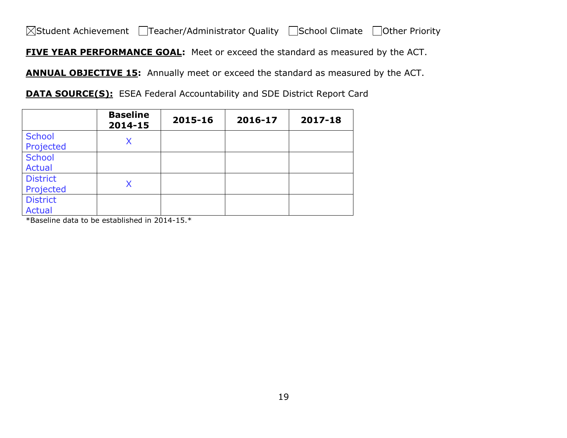■Student Achievement ■Teacher/Administrator Quality ■School Climate ■Other Priority

**FIVE YEAR PERFORMANCE GOAL:** Meet or exceed the standard as measured by the ACT.

**ANNUAL OBJECTIVE 15:** Annually meet or exceed the standard as measured by the ACT.

**DATA SOURCE(S):** ESEA Federal Accountability and SDE District Report Card

|                                  | <b>Baseline</b><br>2014-15 | 2015-16 | 2016-17 | 2017-18 |
|----------------------------------|----------------------------|---------|---------|---------|
| <b>School</b><br>Projected       | X                          |         |         |         |
| <b>School</b><br><b>Actual</b>   |                            |         |         |         |
| <b>District</b><br>Projected     | Χ                          |         |         |         |
| <b>District</b><br><b>Actual</b> |                            |         |         |         |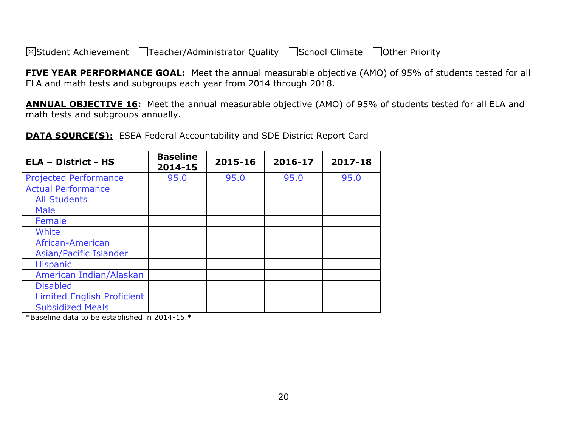**FIVE YEAR PERFORMANCE GOAL:** Meet the annual measurable objective (AMO) of 95% of students tested for all ELA and math tests and subgroups each year from 2014 through 2018.

**ANNUAL OBJECTIVE 16:** Meet the annual measurable objective (AMO) of 95% of students tested for all ELA and math tests and subgroups annually.

**DATA SOURCE(S):** ESEA Federal Accountability and SDE District Report Card

| <b>ELA - District - HS</b>        | <b>Baseline</b><br>2014-15 | 2015-16 | 2016-17 | 2017-18 |
|-----------------------------------|----------------------------|---------|---------|---------|
| <b>Projected Performance</b>      | 95.0                       | 95.0    | 95.0    | 95.0    |
| <b>Actual Performance</b>         |                            |         |         |         |
| <b>All Students</b>               |                            |         |         |         |
| <b>Male</b>                       |                            |         |         |         |
| Female                            |                            |         |         |         |
| White                             |                            |         |         |         |
| African-American                  |                            |         |         |         |
| Asian/Pacific Islander            |                            |         |         |         |
| <b>Hispanic</b>                   |                            |         |         |         |
| American Indian/Alaskan           |                            |         |         |         |
| <b>Disabled</b>                   |                            |         |         |         |
| <b>Limited English Proficient</b> |                            |         |         |         |
| <b>Subsidized Meals</b>           |                            |         |         |         |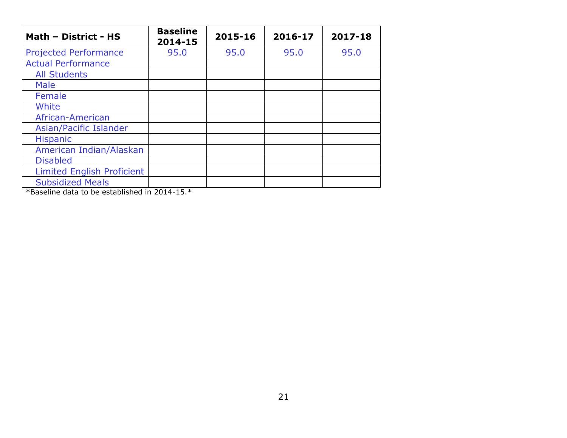| Math - District - HS                                                                                                                                                                                                                                                                                                                             | <b>Baseline</b><br>2014-15 | 2015-16 | 2016-17 | 2017-18 |
|--------------------------------------------------------------------------------------------------------------------------------------------------------------------------------------------------------------------------------------------------------------------------------------------------------------------------------------------------|----------------------------|---------|---------|---------|
| <b>Projected Performance</b>                                                                                                                                                                                                                                                                                                                     | 95.0                       | 95.0    | 95.0    | 95.0    |
| <b>Actual Performance</b>                                                                                                                                                                                                                                                                                                                        |                            |         |         |         |
| <b>All Students</b>                                                                                                                                                                                                                                                                                                                              |                            |         |         |         |
| <b>Male</b>                                                                                                                                                                                                                                                                                                                                      |                            |         |         |         |
| Female                                                                                                                                                                                                                                                                                                                                           |                            |         |         |         |
| White                                                                                                                                                                                                                                                                                                                                            |                            |         |         |         |
| African-American                                                                                                                                                                                                                                                                                                                                 |                            |         |         |         |
| Asian/Pacific Islander                                                                                                                                                                                                                                                                                                                           |                            |         |         |         |
| <b>Hispanic</b>                                                                                                                                                                                                                                                                                                                                  |                            |         |         |         |
| American Indian/Alaskan                                                                                                                                                                                                                                                                                                                          |                            |         |         |         |
| <b>Disabled</b>                                                                                                                                                                                                                                                                                                                                  |                            |         |         |         |
| <b>Limited English Proficient</b>                                                                                                                                                                                                                                                                                                                |                            |         |         |         |
| <b>Subsidized Meals</b><br>$\mathbf{r}$ , $\mathbf{r}$ , $\mathbf{r}$ , $\mathbf{r}$ , $\mathbf{r}$ , $\mathbf{r}$ , $\mathbf{r}$ , $\mathbf{r}$ , $\mathbf{r}$ , $\mathbf{r}$ , $\mathbf{r}$ , $\mathbf{r}$ , $\mathbf{r}$ , $\mathbf{r}$ , $\mathbf{r}$ , $\mathbf{r}$ , $\mathbf{r}$ , $\mathbf{r}$ , $\mathbf{r}$ , $\mathbf{r}$ ,<br>$\sim$ |                            |         |         |         |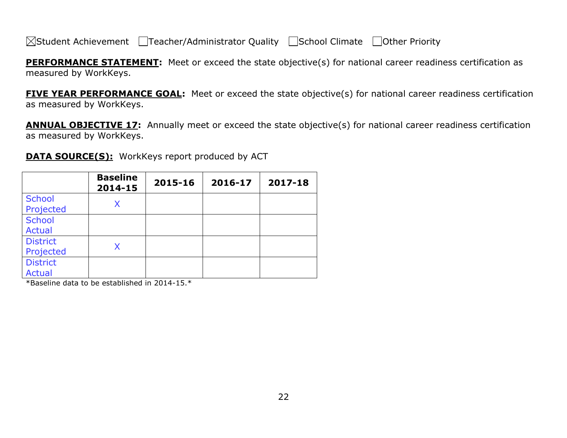**PERFORMANCE STATEMENT:** Meet or exceed the state objective(s) for national career readiness certification as measured by WorkKeys.

**FIVE YEAR PERFORMANCE GOAL:** Meet or exceed the state objective(s) for national career readiness certification as measured by WorkKeys.

**ANNUAL OBJECTIVE 17:** Annually meet or exceed the state objective(s) for national career readiness certification as measured by WorkKeys.

**DATA SOURCE(S):** WorkKeys report produced by ACT

|                                  | <b>Baseline</b><br>2014-15 | 2015-16 | 2016-17 | 2017-18 |
|----------------------------------|----------------------------|---------|---------|---------|
| <b>School</b><br>Projected       | X                          |         |         |         |
| <b>School</b><br><b>Actual</b>   |                            |         |         |         |
| <b>District</b><br>Projected     | Χ                          |         |         |         |
| <b>District</b><br><b>Actual</b> |                            |         |         |         |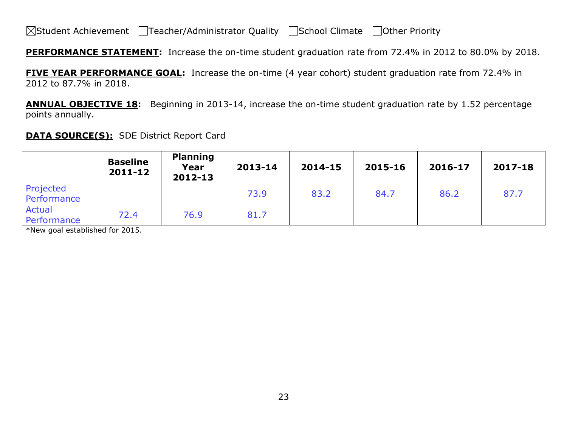**PERFORMANCE STATEMENT:** Increase the on-time student graduation rate from 72.4% in 2012 to 80.0% by 2018.

**FIVE YEAR PERFORMANCE GOAL:** Increase the on-time (4 year cohort) student graduation rate from 72.4% in 2012 to 87.7% in 2018.

**ANNUAL OBJECTIVE 18:** Beginning in 2013-14, increase the on-time student graduation rate by 1.52 percentage points annually.

### **DATA SOURCE(S):** SDE District Report Card

|                              | <b>Baseline</b><br>$2011 - 12$ | <b>Planning</b><br>Year<br>2012-13 | 2013-14 | 2014-15 | 2015-16 | 2016-17 | 2017-18 |
|------------------------------|--------------------------------|------------------------------------|---------|---------|---------|---------|---------|
| Projected<br>Performance     |                                |                                    | 73.9    | 83.2    | 84.7    | 86.2    | 87.7    |
| <b>Actual</b><br>Performance | 72.4                           | 76.9                               | 81.7    |         |         |         |         |

\*New goal established for 2015.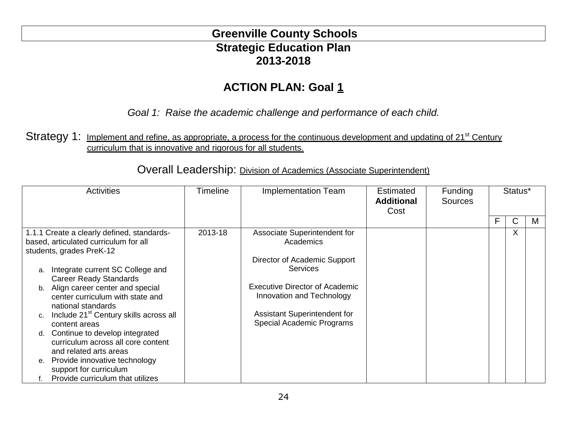# **Greenville County Schools Strategic Education Plan 2013-2018**

# **ACTION PLAN: Goal 1**

*Goal 1: Raise the academic challenge and performance of each child.*

## Strategy 1: Implement and refine, as appropriate, a process for the continuous development and updating of 21<sup>st</sup> Century curriculum that is innovative and rigorous for all students.

| <b>Activities</b>                                                                                               | Timeline | <b>Implementation Team</b>                                         | <b>Estimated</b><br><b>Additional</b><br>Cost | <b>Funding</b><br><b>Sources</b> | Status* |   |   |
|-----------------------------------------------------------------------------------------------------------------|----------|--------------------------------------------------------------------|-----------------------------------------------|----------------------------------|---------|---|---|
|                                                                                                                 |          |                                                                    |                                               |                                  | F.      | С | M |
| 1.1.1 Create a clearly defined, standards-<br>based, articulated curriculum for all<br>students, grades PreK-12 | 2013-18  | Associate Superintendent for<br>Academics                          |                                               |                                  |         | X |   |
|                                                                                                                 |          | Director of Academic Support                                       |                                               |                                  |         |   |   |
| Integrate current SC College and<br>a.<br><b>Career Ready Standards</b>                                         |          | <b>Services</b>                                                    |                                               |                                  |         |   |   |
| b. Align career center and special<br>center curriculum with state and<br>national standards                    |          | <b>Executive Director of Academic</b><br>Innovation and Technology |                                               |                                  |         |   |   |
| Include 21 <sup>st</sup> Century skills across all<br>C <sub>1</sub><br>content areas                           |          | Assistant Superintendent for<br>Special Academic Programs          |                                               |                                  |         |   |   |
| Continue to develop integrated<br>d.<br>curriculum across all core content                                      |          |                                                                    |                                               |                                  |         |   |   |
| and related arts areas                                                                                          |          |                                                                    |                                               |                                  |         |   |   |
| Provide innovative technology<br>е.<br>support for curriculum                                                   |          |                                                                    |                                               |                                  |         |   |   |
| Provide curriculum that utilizes                                                                                |          |                                                                    |                                               |                                  |         |   |   |

Overall Leadership: Division of Academics (Associate Superintendent)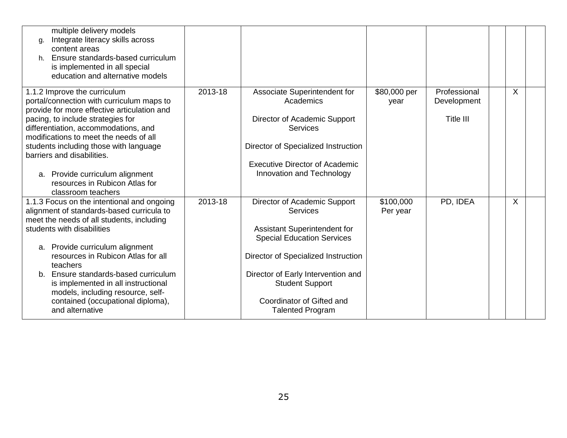| multiple delivery models<br>Integrate literacy skills across<br>g.<br>content areas<br>Ensure standards-based curriculum<br>h.<br>is implemented in all special<br>education and alternative models                                                                                                                                                                                                                                 |         |                                                                                                                                                                                                                                                                                     |                       |                                                 |         |  |
|-------------------------------------------------------------------------------------------------------------------------------------------------------------------------------------------------------------------------------------------------------------------------------------------------------------------------------------------------------------------------------------------------------------------------------------|---------|-------------------------------------------------------------------------------------------------------------------------------------------------------------------------------------------------------------------------------------------------------------------------------------|-----------------------|-------------------------------------------------|---------|--|
| 1.1.2 Improve the curriculum<br>portal/connection with curriculum maps to<br>provide for more effective articulation and<br>pacing, to include strategies for<br>differentiation, accommodations, and<br>modifications to meet the needs of all<br>students including those with language<br>barriers and disabilities.<br>a. Provide curriculum alignment<br>resources in Rubicon Atlas for<br>classroom teachers                  | 2013-18 | Associate Superintendent for<br>Academics<br>Director of Academic Support<br>Services<br>Director of Specialized Instruction<br><b>Executive Director of Academic</b><br>Innovation and Technology                                                                                  | \$80,000 per<br>year  | Professional<br>Development<br><b>Title III</b> | $\sf X$ |  |
| 1.1.3 Focus on the intentional and ongoing<br>alignment of standards-based curricula to<br>meet the needs of all students, including<br>students with disabilities<br>a. Provide curriculum alignment<br>resources in Rubicon Atlas for all<br>teachers<br>b. Ensure standards-based curriculum<br>is implemented in all instructional<br>models, including resource, self-<br>contained (occupational diploma),<br>and alternative | 2013-18 | Director of Academic Support<br>Services<br><b>Assistant Superintendent for</b><br><b>Special Education Services</b><br>Director of Specialized Instruction<br>Director of Early Intervention and<br><b>Student Support</b><br>Coordinator of Gifted and<br><b>Talented Program</b> | \$100,000<br>Per year | PD, IDEA                                        | X       |  |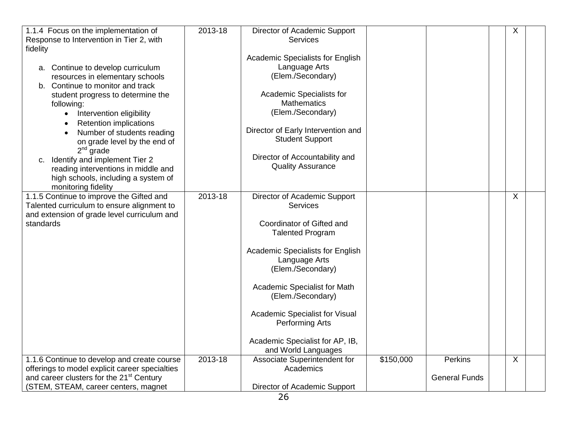| 1.1.4 Focus on the implementation of                                                   | 2013-18 | Director of Academic Support                      |           |                      | $\overline{\mathsf{x}}$ |  |
|----------------------------------------------------------------------------------------|---------|---------------------------------------------------|-----------|----------------------|-------------------------|--|
| Response to Intervention in Tier 2, with<br>fidelity                                   |         | <b>Services</b>                                   |           |                      |                         |  |
|                                                                                        |         | Academic Specialists for English                  |           |                      |                         |  |
| a. Continue to develop curriculum                                                      |         | Language Arts                                     |           |                      |                         |  |
| resources in elementary schools                                                        |         | (Elem./Secondary)                                 |           |                      |                         |  |
| b. Continue to monitor and track                                                       |         |                                                   |           |                      |                         |  |
| student progress to determine the                                                      |         | Academic Specialists for                          |           |                      |                         |  |
| following:                                                                             |         | <b>Mathematics</b><br>(Elem./Secondary)           |           |                      |                         |  |
| Intervention eligibility<br>$\bullet$                                                  |         |                                                   |           |                      |                         |  |
| <b>Retention implications</b><br>Number of students reading                            |         | Director of Early Intervention and                |           |                      |                         |  |
| on grade level by the end of                                                           |         | <b>Student Support</b>                            |           |                      |                         |  |
| $2nd$ grade                                                                            |         |                                                   |           |                      |                         |  |
| c. Identify and implement Tier 2                                                       |         | Director of Accountability and                    |           |                      |                         |  |
| reading interventions in middle and                                                    |         | <b>Quality Assurance</b>                          |           |                      |                         |  |
| high schools, including a system of                                                    |         |                                                   |           |                      |                         |  |
| monitoring fidelity                                                                    |         |                                                   |           |                      |                         |  |
| 1.1.5 Continue to improve the Gifted and<br>Talented curriculum to ensure alignment to | 2013-18 | Director of Academic Support<br><b>Services</b>   |           |                      | $\sf X$                 |  |
| and extension of grade level curriculum and                                            |         |                                                   |           |                      |                         |  |
| standards                                                                              |         | Coordinator of Gifted and                         |           |                      |                         |  |
|                                                                                        |         | <b>Talented Program</b>                           |           |                      |                         |  |
|                                                                                        |         |                                                   |           |                      |                         |  |
|                                                                                        |         | Academic Specialists for English<br>Language Arts |           |                      |                         |  |
|                                                                                        |         | (Elem./Secondary)                                 |           |                      |                         |  |
|                                                                                        |         |                                                   |           |                      |                         |  |
|                                                                                        |         | Academic Specialist for Math<br>(Elem./Secondary) |           |                      |                         |  |
|                                                                                        |         |                                                   |           |                      |                         |  |
|                                                                                        |         | Academic Specialist for Visual                    |           |                      |                         |  |
|                                                                                        |         | Performing Arts                                   |           |                      |                         |  |
|                                                                                        |         | Academic Specialist for AP, IB,                   |           |                      |                         |  |
|                                                                                        |         | and World Languages                               |           |                      |                         |  |
| 1.1.6 Continue to develop and create course                                            | 2013-18 | Associate Superintendent for                      | \$150,000 | Perkins              | $\sf X$                 |  |
| offerings to model explicit career specialties                                         |         | Academics                                         |           |                      |                         |  |
| and career clusters for the 21 <sup>st</sup> Century                                   |         |                                                   |           | <b>General Funds</b> |                         |  |
| (STEM, STEAM, career centers, magnet                                                   |         | Director of Academic Support                      |           |                      |                         |  |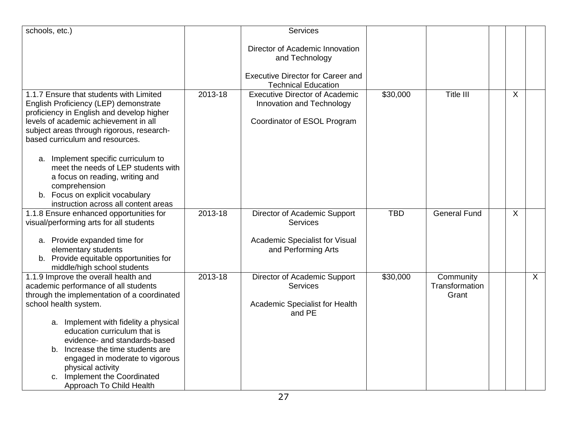| schools, etc.)                                                                     |             | Services                                 |            |                     |   |         |
|------------------------------------------------------------------------------------|-------------|------------------------------------------|------------|---------------------|---|---------|
|                                                                                    |             |                                          |            |                     |   |         |
|                                                                                    |             | Director of Academic Innovation          |            |                     |   |         |
|                                                                                    |             | and Technology                           |            |                     |   |         |
|                                                                                    |             | <b>Executive Director for Career and</b> |            |                     |   |         |
|                                                                                    |             | <b>Technical Education</b>               |            |                     |   |         |
| 1.1.7 Ensure that students with Limited                                            | 2013-18     | <b>Executive Director of Academic</b>    | \$30,000   | Title III           | X |         |
|                                                                                    |             |                                          |            |                     |   |         |
| English Proficiency (LEP) demonstrate<br>proficiency in English and develop higher |             | Innovation and Technology                |            |                     |   |         |
| levels of academic achievement in all                                              |             | Coordinator of ESOL Program              |            |                     |   |         |
| subject areas through rigorous, research-                                          |             |                                          |            |                     |   |         |
| based curriculum and resources.                                                    |             |                                          |            |                     |   |         |
|                                                                                    |             |                                          |            |                     |   |         |
|                                                                                    |             |                                          |            |                     |   |         |
| a. Implement specific curriculum to<br>meet the needs of LEP students with         |             |                                          |            |                     |   |         |
| a focus on reading, writing and                                                    |             |                                          |            |                     |   |         |
| comprehension                                                                      |             |                                          |            |                     |   |         |
| b. Focus on explicit vocabulary                                                    |             |                                          |            |                     |   |         |
| instruction across all content areas                                               |             |                                          |            |                     |   |         |
| 1.1.8 Ensure enhanced opportunities for                                            | 2013-18     | Director of Academic Support             | <b>TBD</b> | <b>General Fund</b> | X |         |
| visual/performing arts for all students                                            |             | <b>Services</b>                          |            |                     |   |         |
|                                                                                    |             |                                          |            |                     |   |         |
| a. Provide expanded time for                                                       |             | Academic Specialist for Visual           |            |                     |   |         |
| elementary students                                                                |             | and Performing Arts                      |            |                     |   |         |
| b. Provide equitable opportunities for                                             |             |                                          |            |                     |   |         |
| middle/high school students                                                        |             |                                          |            |                     |   |         |
| 1.1.9 Improve the overall health and                                               | $2013 - 18$ | Director of Academic Support             | \$30,000   | Community           |   | $\sf X$ |
| academic performance of all students                                               |             | <b>Services</b>                          |            | Transformation      |   |         |
| through the implementation of a coordinated                                        |             |                                          |            | Grant               |   |         |
| school health system.                                                              |             | Academic Specialist for Health           |            |                     |   |         |
|                                                                                    |             | and PE                                   |            |                     |   |         |
| a. Implement with fidelity a physical                                              |             |                                          |            |                     |   |         |
| education curriculum that is                                                       |             |                                          |            |                     |   |         |
| evidence- and standards-based                                                      |             |                                          |            |                     |   |         |
| b. Increase the time students are                                                  |             |                                          |            |                     |   |         |
| engaged in moderate to vigorous                                                    |             |                                          |            |                     |   |         |
| physical activity                                                                  |             |                                          |            |                     |   |         |
| c. Implement the Coordinated                                                       |             |                                          |            |                     |   |         |
| Approach To Child Health                                                           |             |                                          |            |                     |   |         |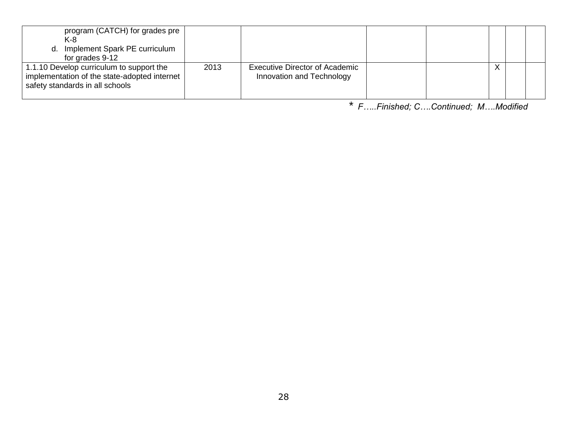| program (CATCH) for grades pre<br>K-8<br>d. Implement Spark PE curriculum<br>for grades 9-12                                |      |                                                             |  |           |  |
|-----------------------------------------------------------------------------------------------------------------------------|------|-------------------------------------------------------------|--|-----------|--|
| 1.1.10 Develop curriculum to support the<br>implementation of the state-adopted internet<br>safety standards in all schools | 2013 | Executive Director of Academic<br>Innovation and Technology |  | $\lambda$ |  |

*\* F…..Finished; C….Continued; M….Modified*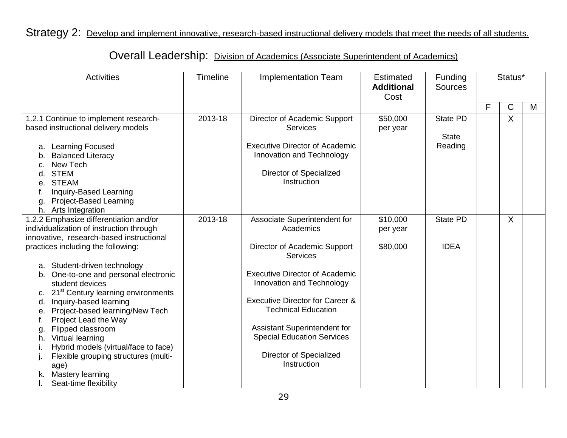# Strategy 2: Develop and implement innovative, research-based instructional delivery models that meet the needs of all students.

# Overall Leadership: Division of Academics (Associate Superintendent of Academics)

| <b>Activities</b>                                                                                                                                                                                                                                                                                                                                                                                                                                                                                                                                                                                                   | <b>Timeline</b> | <b>Implementation Team</b>                                                                                                                                                                                                                                                                                                                                    | Estimated<br><b>Additional</b><br>Cost | Funding<br><b>Sources</b>           |   | Status*      |   |
|---------------------------------------------------------------------------------------------------------------------------------------------------------------------------------------------------------------------------------------------------------------------------------------------------------------------------------------------------------------------------------------------------------------------------------------------------------------------------------------------------------------------------------------------------------------------------------------------------------------------|-----------------|---------------------------------------------------------------------------------------------------------------------------------------------------------------------------------------------------------------------------------------------------------------------------------------------------------------------------------------------------------------|----------------------------------------|-------------------------------------|---|--------------|---|
|                                                                                                                                                                                                                                                                                                                                                                                                                                                                                                                                                                                                                     |                 |                                                                                                                                                                                                                                                                                                                                                               |                                        |                                     | F | $\mathsf{C}$ | M |
| 1.2.1 Continue to implement research-<br>based instructional delivery models<br>a. Learning Focused<br><b>Balanced Literacy</b><br>b.<br>New Tech<br>c.<br><b>STEM</b><br>d.<br><b>STEAM</b><br>е.<br>Inquiry-Based Learning<br><b>Project-Based Learning</b><br>g.<br>h. Arts Integration                                                                                                                                                                                                                                                                                                                          | 2013-18         | Director of Academic Support<br><b>Services</b><br><b>Executive Director of Academic</b><br>Innovation and Technology<br>Director of Specialized<br>Instruction                                                                                                                                                                                               | \$50,000<br>per year                   | State PD<br><b>State</b><br>Reading |   | X            |   |
| 1.2.2 Emphasize differentiation and/or<br>individualization of instruction through<br>innovative, research-based instructional<br>practices including the following:<br>a. Student-driven technology<br>One-to-one and personal electronic<br>b.<br>student devices<br>c. 21 <sup>st</sup> Century learning environments<br>Inquiry-based learning<br>d.<br>Project-based learning/New Tech<br>е.<br>Project Lead the Way<br>Flipped classroom<br>g.<br>Virtual learning<br>h.<br>Hybrid models (virtual/face to face)<br>Flexible grouping structures (multi-<br>age)<br>Mastery learning<br>Seat-time flexibility | 2013-18         | Associate Superintendent for<br>Academics<br>Director of Academic Support<br><b>Services</b><br><b>Executive Director of Academic</b><br>Innovation and Technology<br><b>Executive Director for Career &amp;</b><br><b>Technical Education</b><br>Assistant Superintendent for<br><b>Special Education Services</b><br>Director of Specialized<br>Instruction | \$10,000<br>per year<br>\$80,000       | <b>State PD</b><br><b>IDEA</b>      |   | X            |   |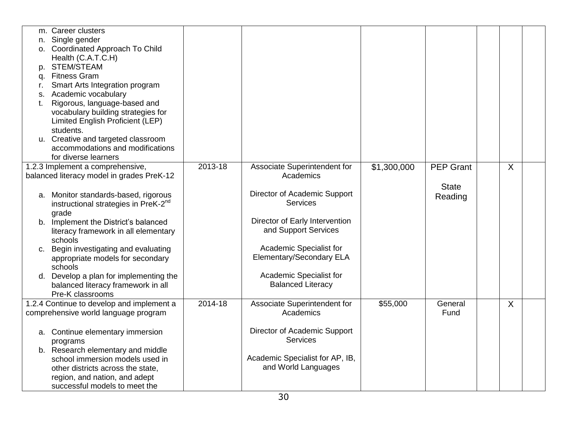|    | m. Career clusters                               |             |                                 |             |                  |         |  |
|----|--------------------------------------------------|-------------|---------------------------------|-------------|------------------|---------|--|
| n. | Single gender                                    |             |                                 |             |                  |         |  |
|    | o. Coordinated Approach To Child                 |             |                                 |             |                  |         |  |
|    | Health (C.A.T.C.H)                               |             |                                 |             |                  |         |  |
| p. | <b>STEM/STEAM</b>                                |             |                                 |             |                  |         |  |
| q. | <b>Fitness Gram</b>                              |             |                                 |             |                  |         |  |
| r. | Smart Arts Integration program                   |             |                                 |             |                  |         |  |
| S. | Academic vocabulary                              |             |                                 |             |                  |         |  |
| t. | Rigorous, language-based and                     |             |                                 |             |                  |         |  |
|    | vocabulary building strategies for               |             |                                 |             |                  |         |  |
|    | Limited English Proficient (LEP)                 |             |                                 |             |                  |         |  |
|    | students.                                        |             |                                 |             |                  |         |  |
|    | u. Creative and targeted classroom               |             |                                 |             |                  |         |  |
|    | accommodations and modifications                 |             |                                 |             |                  |         |  |
|    | for diverse learners                             |             |                                 |             |                  |         |  |
|    | 1.2.3 Implement a comprehensive,                 | $2013 - 18$ | Associate Superintendent for    | \$1,300,000 | <b>PEP Grant</b> | $\sf X$ |  |
|    | balanced literacy model in grades PreK-12        |             | Academics                       |             |                  |         |  |
|    |                                                  |             |                                 |             | <b>State</b>     |         |  |
|    | a. Monitor standards-based, rigorous             |             | Director of Academic Support    |             | Reading          |         |  |
|    | instructional strategies in PreK-2 <sup>nd</sup> |             | <b>Services</b>                 |             |                  |         |  |
|    | grade                                            |             |                                 |             |                  |         |  |
|    | b. Implement the District's balanced             |             | Director of Early Intervention  |             |                  |         |  |
|    | literacy framework in all elementary             |             | and Support Services            |             |                  |         |  |
|    | schools                                          |             |                                 |             |                  |         |  |
|    | c. Begin investigating and evaluating            |             | Academic Specialist for         |             |                  |         |  |
|    | appropriate models for secondary                 |             | <b>Elementary/Secondary ELA</b> |             |                  |         |  |
|    | schools                                          |             |                                 |             |                  |         |  |
|    | d. Develop a plan for implementing the           |             | Academic Specialist for         |             |                  |         |  |
|    | balanced literacy framework in all               |             | <b>Balanced Literacy</b>        |             |                  |         |  |
|    | Pre-K classrooms                                 |             |                                 |             |                  |         |  |
|    | 1.2.4 Continue to develop and implement a        | $2014 - 18$ | Associate Superintendent for    | \$55,000    | General          | $\sf X$ |  |
|    | comprehensive world language program             |             | Academics                       |             | Fund             |         |  |
|    |                                                  |             |                                 |             |                  |         |  |
|    | a. Continue elementary immersion                 |             | Director of Academic Support    |             |                  |         |  |
|    | programs                                         |             | <b>Services</b>                 |             |                  |         |  |
|    | b. Research elementary and middle                |             |                                 |             |                  |         |  |
|    | school immersion models used in                  |             | Academic Specialist for AP, IB, |             |                  |         |  |
|    | other districts across the state,                |             | and World Languages             |             |                  |         |  |
|    | region, and nation, and adept                    |             |                                 |             |                  |         |  |
|    | successful models to meet the                    |             |                                 |             |                  |         |  |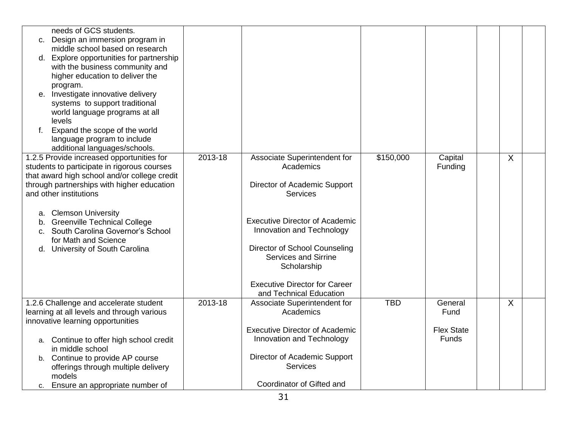|             | needs of GCS students.                       |         |                                       |            |                   |         |  |
|-------------|----------------------------------------------|---------|---------------------------------------|------------|-------------------|---------|--|
|             | c. Design an immersion program in            |         |                                       |            |                   |         |  |
|             | middle school based on research              |         |                                       |            |                   |         |  |
|             | d. Explore opportunities for partnership     |         |                                       |            |                   |         |  |
|             | with the business community and              |         |                                       |            |                   |         |  |
|             | higher education to deliver the              |         |                                       |            |                   |         |  |
|             | program.                                     |         |                                       |            |                   |         |  |
|             | e. Investigate innovative delivery           |         |                                       |            |                   |         |  |
|             | systems to support traditional               |         |                                       |            |                   |         |  |
|             | world language programs at all               |         |                                       |            |                   |         |  |
|             | levels                                       |         |                                       |            |                   |         |  |
| $f_{\cdot}$ | Expand the scope of the world                |         |                                       |            |                   |         |  |
|             | language program to include                  |         |                                       |            |                   |         |  |
|             | additional languages/schools.                |         |                                       |            |                   |         |  |
|             | 1.2.5 Provide increased opportunities for    | 2013-18 | Associate Superintendent for          | \$150,000  | Capital           | X       |  |
|             | students to participate in rigorous courses  |         | Academics                             |            | Funding           |         |  |
|             | that award high school and/or college credit |         |                                       |            |                   |         |  |
|             | through partnerships with higher education   |         | Director of Academic Support          |            |                   |         |  |
|             | and other institutions                       |         | <b>Services</b>                       |            |                   |         |  |
|             |                                              |         |                                       |            |                   |         |  |
|             | a. Clemson University                        |         |                                       |            |                   |         |  |
|             | b. Greenville Technical College              |         | <b>Executive Director of Academic</b> |            |                   |         |  |
|             | c. South Carolina Governor's School          |         | Innovation and Technology             |            |                   |         |  |
|             | for Math and Science                         |         |                                       |            |                   |         |  |
|             | d. University of South Carolina              |         | Director of School Counseling         |            |                   |         |  |
|             |                                              |         | <b>Services and Sirrine</b>           |            |                   |         |  |
|             |                                              |         | Scholarship                           |            |                   |         |  |
|             |                                              |         |                                       |            |                   |         |  |
|             |                                              |         | <b>Executive Director for Career</b>  |            |                   |         |  |
|             |                                              |         | and Technical Education               |            |                   |         |  |
|             | 1.2.6 Challenge and accelerate student       | 2013-18 | Associate Superintendent for          | <b>TBD</b> | General           | $\sf X$ |  |
|             | learning at all levels and through various   |         | Academics                             |            | Fund              |         |  |
|             | innovative learning opportunities            |         |                                       |            |                   |         |  |
|             |                                              |         | <b>Executive Director of Academic</b> |            | <b>Flex State</b> |         |  |
|             | a. Continue to offer high school credit      |         | Innovation and Technology             |            | <b>Funds</b>      |         |  |
|             | in middle school                             |         |                                       |            |                   |         |  |
|             | b. Continue to provide AP course             |         | Director of Academic Support          |            |                   |         |  |
|             | offerings through multiple delivery          |         | Services                              |            |                   |         |  |
|             | models                                       |         |                                       |            |                   |         |  |
|             | c. Ensure an appropriate number of           |         | Coordinator of Gifted and             |            |                   |         |  |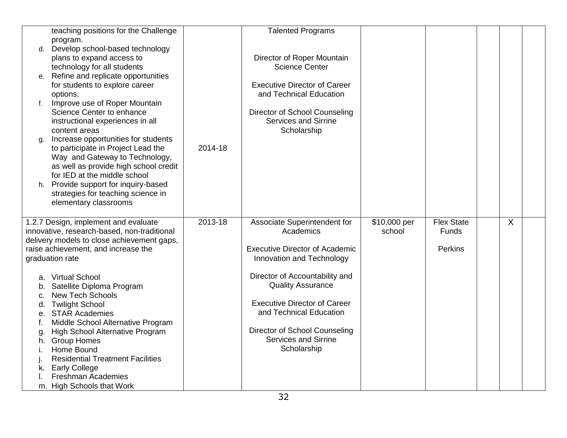|    | teaching positions for the Challenge                       |         | <b>Talented Programs</b>                                     |              |                   |   |  |
|----|------------------------------------------------------------|---------|--------------------------------------------------------------|--------------|-------------------|---|--|
|    | program.                                                   |         |                                                              |              |                   |   |  |
| d. | Develop school-based technology                            |         |                                                              |              |                   |   |  |
|    | plans to expand access to                                  |         | Director of Roper Mountain                                   |              |                   |   |  |
|    | technology for all students                                |         | <b>Science Center</b>                                        |              |                   |   |  |
| е. | Refine and replicate opportunities                         |         |                                                              |              |                   |   |  |
|    | for students to explore career                             |         | <b>Executive Director of Career</b>                          |              |                   |   |  |
|    | options.                                                   |         | and Technical Education                                      |              |                   |   |  |
| f. | Improve use of Roper Mountain<br>Science Center to enhance |         |                                                              |              |                   |   |  |
|    |                                                            |         | Director of School Counseling<br><b>Services and Sirrine</b> |              |                   |   |  |
|    | instructional experiences in all<br>content areas          |         | Scholarship                                                  |              |                   |   |  |
|    | Increase opportunities for students                        |         |                                                              |              |                   |   |  |
| g. | to participate in Project Lead the                         | 2014-18 |                                                              |              |                   |   |  |
|    | Way and Gateway to Technology,                             |         |                                                              |              |                   |   |  |
|    | as well as provide high school credit                      |         |                                                              |              |                   |   |  |
|    | for IED at the middle school                               |         |                                                              |              |                   |   |  |
|    | h. Provide support for inquiry-based                       |         |                                                              |              |                   |   |  |
|    | strategies for teaching science in                         |         |                                                              |              |                   |   |  |
|    | elementary classrooms                                      |         |                                                              |              |                   |   |  |
|    |                                                            |         |                                                              |              |                   |   |  |
|    | 1.2.7 Design, implement and evaluate                       | 2013-18 | Associate Superintendent for                                 | \$10,000 per | <b>Flex State</b> | X |  |
|    | innovative, research-based, non-traditional                |         | Academics                                                    | school       | Funds             |   |  |
|    | delivery models to close achievement gaps,                 |         |                                                              |              |                   |   |  |
|    | raise achievement, and increase the                        |         | <b>Executive Director of Academic</b>                        |              | Perkins           |   |  |
|    | graduation rate                                            |         | Innovation and Technology                                    |              |                   |   |  |
|    |                                                            |         |                                                              |              |                   |   |  |
|    | a. Virtual School                                          |         | Director of Accountability and                               |              |                   |   |  |
| b. | Satellite Diploma Program                                  |         | <b>Quality Assurance</b>                                     |              |                   |   |  |
| C. | <b>New Tech Schools</b>                                    |         |                                                              |              |                   |   |  |
|    | d. Twilight School                                         |         | <b>Executive Director of Career</b>                          |              |                   |   |  |
|    | e. STAR Academies                                          |         | and Technical Education                                      |              |                   |   |  |
| t. | Middle School Alternative Program                          |         | Director of School Counseling                                |              |                   |   |  |
| g. | High School Alternative Program                            |         | <b>Services and Sirrine</b>                                  |              |                   |   |  |
| h. | <b>Group Homes</b><br>Home Bound                           |         | Scholarship                                                  |              |                   |   |  |
| L. | <b>Residential Treatment Facilities</b>                    |         |                                                              |              |                   |   |  |
| k. | <b>Early College</b>                                       |         |                                                              |              |                   |   |  |
|    | <b>Freshman Academies</b>                                  |         |                                                              |              |                   |   |  |
|    | m. High Schools that Work                                  |         |                                                              |              |                   |   |  |
|    |                                                            |         |                                                              |              |                   |   |  |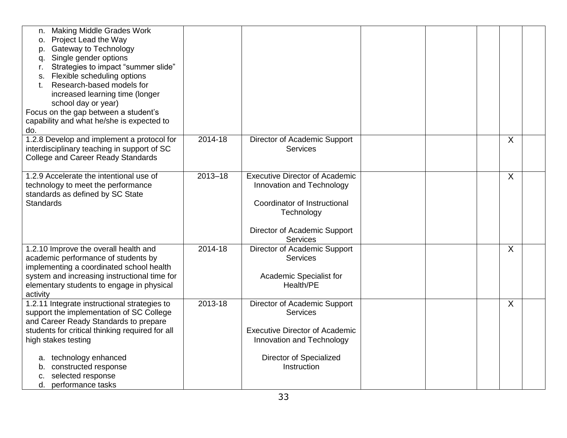| <b>Making Middle Grades Work</b><br>n.                                                    |             |                                       |  |         |  |
|-------------------------------------------------------------------------------------------|-------------|---------------------------------------|--|---------|--|
| Project Lead the Way<br>0.                                                                |             |                                       |  |         |  |
| <b>Gateway to Technology</b><br>p.                                                        |             |                                       |  |         |  |
| Single gender options<br>a.                                                               |             |                                       |  |         |  |
| Strategies to impact "summer slide"<br>r.                                                 |             |                                       |  |         |  |
| Flexible scheduling options<br>S.                                                         |             |                                       |  |         |  |
| Research-based models for                                                                 |             |                                       |  |         |  |
| increased learning time (longer<br>school day or year)                                    |             |                                       |  |         |  |
| Focus on the gap between a student's                                                      |             |                                       |  |         |  |
| capability and what he/she is expected to                                                 |             |                                       |  |         |  |
| do.                                                                                       |             |                                       |  |         |  |
| 1.2.8 Develop and implement a protocol for                                                | 2014-18     | Director of Academic Support          |  | $\sf X$ |  |
| interdisciplinary teaching in support of SC                                               |             | <b>Services</b>                       |  |         |  |
| <b>College and Career Ready Standards</b>                                                 |             |                                       |  |         |  |
|                                                                                           |             |                                       |  |         |  |
| 1.2.9 Accelerate the intentional use of                                                   | $2013 - 18$ | <b>Executive Director of Academic</b> |  | X       |  |
| technology to meet the performance                                                        |             | Innovation and Technology             |  |         |  |
| standards as defined by SC State                                                          |             |                                       |  |         |  |
| <b>Standards</b>                                                                          |             | Coordinator of Instructional          |  |         |  |
|                                                                                           |             | Technology                            |  |         |  |
|                                                                                           |             |                                       |  |         |  |
|                                                                                           |             | Director of Academic Support          |  |         |  |
|                                                                                           | $2014 - 18$ | <b>Services</b>                       |  |         |  |
| 1.2.10 Improve the overall health and                                                     |             | Director of Academic Support          |  | X       |  |
| academic performance of students by                                                       |             | <b>Services</b>                       |  |         |  |
| implementing a coordinated school health                                                  |             |                                       |  |         |  |
| system and increasing instructional time for<br>elementary students to engage in physical |             | Academic Specialist for<br>Health/PE  |  |         |  |
| activity                                                                                  |             |                                       |  |         |  |
| 1.2.11 Integrate instructional strategies to                                              | 2013-18     | Director of Academic Support          |  | X       |  |
| support the implementation of SC College                                                  |             | <b>Services</b>                       |  |         |  |
| and Career Ready Standards to prepare                                                     |             |                                       |  |         |  |
| students for critical thinking required for all                                           |             | <b>Executive Director of Academic</b> |  |         |  |
| high stakes testing                                                                       |             | Innovation and Technology             |  |         |  |
|                                                                                           |             |                                       |  |         |  |
| technology enhanced<br>a.                                                                 |             | Director of Specialized               |  |         |  |
| constructed response<br>b.                                                                |             | Instruction                           |  |         |  |
| selected response<br>C.                                                                   |             |                                       |  |         |  |
| d.<br>performance tasks                                                                   |             |                                       |  |         |  |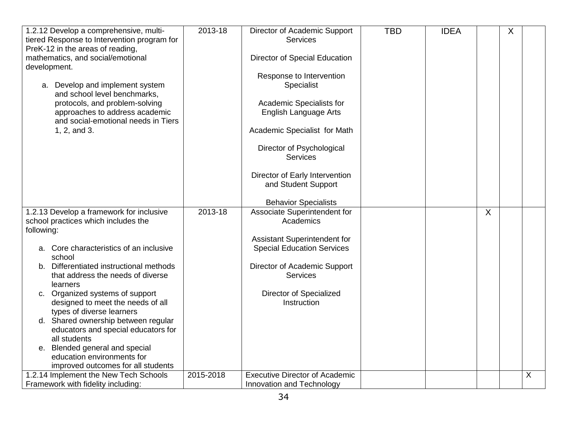| 1.2.12 Develop a comprehensive, multi-<br>tiered Response to Intervention program for<br>PreK-12 in the areas of reading,<br>mathematics, and social/emotional<br>development.<br>a. Develop and implement system<br>and school level benchmarks,<br>protocols, and problem-solving<br>approaches to address academic<br>and social-emotional needs in Tiers<br>1, 2, and 3. | 2013-18     | Director of Academic Support<br><b>Services</b><br>Director of Special Education<br>Response to Intervention<br>Specialist<br>Academic Specialists for<br><b>English Language Arts</b><br>Academic Specialist for Math<br>Director of Psychological<br><b>Services</b><br>Director of Early Intervention<br>and Student Support<br><b>Behavior Specialists</b> | <b>TBD</b> | <b>IDEA</b> |   | X |   |
|------------------------------------------------------------------------------------------------------------------------------------------------------------------------------------------------------------------------------------------------------------------------------------------------------------------------------------------------------------------------------|-------------|----------------------------------------------------------------------------------------------------------------------------------------------------------------------------------------------------------------------------------------------------------------------------------------------------------------------------------------------------------------|------------|-------------|---|---|---|
| 1.2.13 Develop a framework for inclusive<br>school practices which includes the                                                                                                                                                                                                                                                                                              | $2013 - 18$ | Associate Superintendent for<br>Academics                                                                                                                                                                                                                                                                                                                      |            |             | X |   |   |
| following:                                                                                                                                                                                                                                                                                                                                                                   |             |                                                                                                                                                                                                                                                                                                                                                                |            |             |   |   |   |
|                                                                                                                                                                                                                                                                                                                                                                              |             | Assistant Superintendent for                                                                                                                                                                                                                                                                                                                                   |            |             |   |   |   |
| Core characteristics of an inclusive<br>a.<br>school                                                                                                                                                                                                                                                                                                                         |             | <b>Special Education Services</b>                                                                                                                                                                                                                                                                                                                              |            |             |   |   |   |
| b. Differentiated instructional methods<br>that address the needs of diverse                                                                                                                                                                                                                                                                                                 |             | Director of Academic Support<br><b>Services</b>                                                                                                                                                                                                                                                                                                                |            |             |   |   |   |
| learners                                                                                                                                                                                                                                                                                                                                                                     |             |                                                                                                                                                                                                                                                                                                                                                                |            |             |   |   |   |
| c. Organized systems of support                                                                                                                                                                                                                                                                                                                                              |             | Director of Specialized                                                                                                                                                                                                                                                                                                                                        |            |             |   |   |   |
| designed to meet the needs of all                                                                                                                                                                                                                                                                                                                                            |             | Instruction                                                                                                                                                                                                                                                                                                                                                    |            |             |   |   |   |
| types of diverse learners<br>d. Shared ownership between regular                                                                                                                                                                                                                                                                                                             |             |                                                                                                                                                                                                                                                                                                                                                                |            |             |   |   |   |
| educators and special educators for                                                                                                                                                                                                                                                                                                                                          |             |                                                                                                                                                                                                                                                                                                                                                                |            |             |   |   |   |
| all students                                                                                                                                                                                                                                                                                                                                                                 |             |                                                                                                                                                                                                                                                                                                                                                                |            |             |   |   |   |
| e. Blended general and special                                                                                                                                                                                                                                                                                                                                               |             |                                                                                                                                                                                                                                                                                                                                                                |            |             |   |   |   |
| education environments for                                                                                                                                                                                                                                                                                                                                                   |             |                                                                                                                                                                                                                                                                                                                                                                |            |             |   |   |   |
| improved outcomes for all students                                                                                                                                                                                                                                                                                                                                           |             |                                                                                                                                                                                                                                                                                                                                                                |            |             |   |   |   |
| 1.2.14 Implement the New Tech Schools                                                                                                                                                                                                                                                                                                                                        | 2015-2018   | <b>Executive Director of Academic</b>                                                                                                                                                                                                                                                                                                                          |            |             |   |   | X |
| Framework with fidelity including:                                                                                                                                                                                                                                                                                                                                           |             | Innovation and Technology                                                                                                                                                                                                                                                                                                                                      |            |             |   |   |   |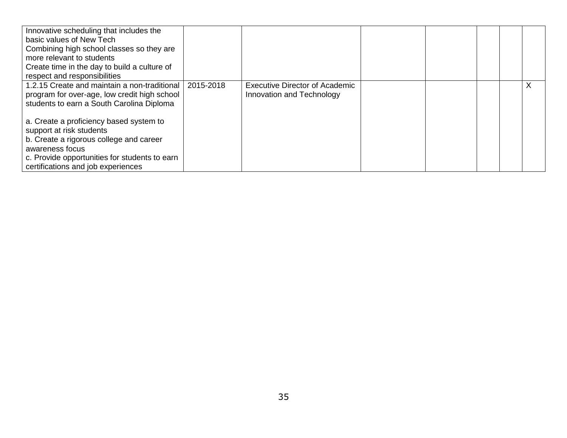| Innovative scheduling that includes the       |           |                                       |  |  |  |
|-----------------------------------------------|-----------|---------------------------------------|--|--|--|
| basic values of New Tech                      |           |                                       |  |  |  |
| Combining high school classes so they are     |           |                                       |  |  |  |
| more relevant to students                     |           |                                       |  |  |  |
| Create time in the day to build a culture of  |           |                                       |  |  |  |
| respect and responsibilities                  |           |                                       |  |  |  |
| 1.2.15 Create and maintain a non-traditional  | 2015-2018 | <b>Executive Director of Academic</b> |  |  |  |
| program for over-age, low credit high school  |           | Innovation and Technology             |  |  |  |
| students to earn a South Carolina Diploma     |           |                                       |  |  |  |
|                                               |           |                                       |  |  |  |
| a. Create a proficiency based system to       |           |                                       |  |  |  |
| support at risk students                      |           |                                       |  |  |  |
| b. Create a rigorous college and career       |           |                                       |  |  |  |
| awareness focus                               |           |                                       |  |  |  |
| c. Provide opportunities for students to earn |           |                                       |  |  |  |
| certifications and job experiences            |           |                                       |  |  |  |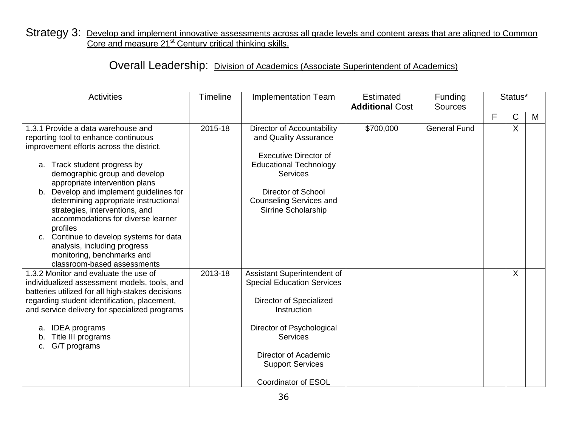## Strategy 3: Develop and implement innovative assessments across all grade levels and content areas that are aligned to Common Core and measure 21<sup>st</sup> Century critical thinking skills.

## Overall Leadership: Division of Academics (Associate Superintendent of Academics)

| <b>Activities</b>                                                                                                                                                                                                                                                                                                                                                                                                                                                                                                                         | <b>Timeline</b> | <b>Implementation Team</b><br><b>Additional Cost</b>                                                                                                                                                                                        |           | Funding<br><b>Sources</b> | Status* |   |   |
|-------------------------------------------------------------------------------------------------------------------------------------------------------------------------------------------------------------------------------------------------------------------------------------------------------------------------------------------------------------------------------------------------------------------------------------------------------------------------------------------------------------------------------------------|-----------------|---------------------------------------------------------------------------------------------------------------------------------------------------------------------------------------------------------------------------------------------|-----------|---------------------------|---------|---|---|
|                                                                                                                                                                                                                                                                                                                                                                                                                                                                                                                                           |                 |                                                                                                                                                                                                                                             |           |                           | F       | C | M |
| 1.3.1 Provide a data warehouse and<br>reporting tool to enhance continuous<br>improvement efforts across the district.<br>a. Track student progress by<br>demographic group and develop<br>appropriate intervention plans<br>b. Develop and implement guidelines for<br>determining appropriate instructional<br>strategies, interventions, and<br>accommodations for diverse learner<br>profiles<br>c. Continue to develop systems for data<br>analysis, including progress<br>monitoring, benchmarks and<br>classroom-based assessments | $2015 - 18$     | Director of Accountability<br>and Quality Assurance<br><b>Executive Director of</b><br><b>Educational Technology</b><br><b>Services</b><br><b>Director of School</b><br><b>Counseling Services and</b><br>Sirrine Scholarship               | \$700,000 | <b>General Fund</b>       |         | X |   |
| 1.3.2 Monitor and evaluate the use of<br>individualized assessment models, tools, and<br>batteries utilized for all high-stakes decisions<br>regarding student identification, placement,<br>and service delivery for specialized programs<br><b>IDEA</b> programs<br>a.<br>Title III programs<br>G/T programs<br>c.                                                                                                                                                                                                                      | 2013-18         | Assistant Superintendent of<br><b>Special Education Services</b><br>Director of Specialized<br>Instruction<br>Director of Psychological<br><b>Services</b><br>Director of Academic<br><b>Support Services</b><br><b>Coordinator of ESOL</b> |           |                           |         | X |   |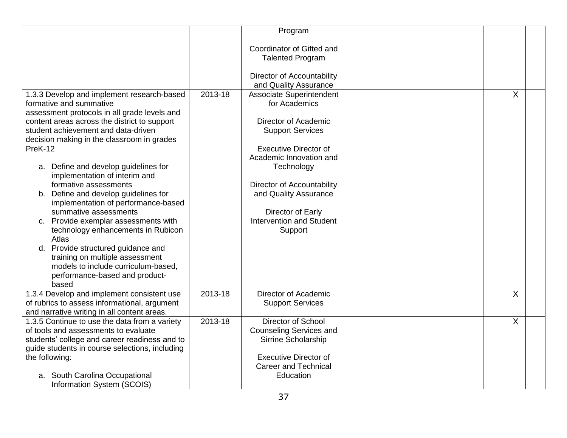|                                                                                                                                                                                                                                                                                                                                                                                                                                                                                                                                                                                                                                                                                                                                   |             | Program                                                                                                                                                                                                                                                                                                |  |   |  |
|-----------------------------------------------------------------------------------------------------------------------------------------------------------------------------------------------------------------------------------------------------------------------------------------------------------------------------------------------------------------------------------------------------------------------------------------------------------------------------------------------------------------------------------------------------------------------------------------------------------------------------------------------------------------------------------------------------------------------------------|-------------|--------------------------------------------------------------------------------------------------------------------------------------------------------------------------------------------------------------------------------------------------------------------------------------------------------|--|---|--|
|                                                                                                                                                                                                                                                                                                                                                                                                                                                                                                                                                                                                                                                                                                                                   |             | Coordinator of Gifted and<br><b>Talented Program</b><br>Director of Accountability<br>and Quality Assurance                                                                                                                                                                                            |  |   |  |
| 1.3.3 Develop and implement research-based<br>formative and summative<br>assessment protocols in all grade levels and<br>content areas across the district to support<br>student achievement and data-driven<br>decision making in the classroom in grades<br>PreK-12<br>a. Define and develop guidelines for<br>implementation of interim and<br>formative assessments<br>b. Define and develop guidelines for<br>implementation of performance-based<br>summative assessments<br>c. Provide exemplar assessments with<br>technology enhancements in Rubicon<br>Atlas<br>d. Provide structured guidance and<br>training on multiple assessment<br>models to include curriculum-based,<br>performance-based and product-<br>based | 2013-18     | <b>Associate Superintendent</b><br>for Academics<br>Director of Academic<br><b>Support Services</b><br><b>Executive Director of</b><br>Academic Innovation and<br>Technology<br>Director of Accountability<br>and Quality Assurance<br>Director of Early<br><b>Intervention and Student</b><br>Support |  | X |  |
| 1.3.4 Develop and implement consistent use<br>of rubrics to assess informational, argument<br>and narrative writing in all content areas.                                                                                                                                                                                                                                                                                                                                                                                                                                                                                                                                                                                         | $2013 - 18$ | Director of Academic<br><b>Support Services</b>                                                                                                                                                                                                                                                        |  | X |  |
| 1.3.5 Continue to use the data from a variety<br>of tools and assessments to evaluate<br>students' college and career readiness and to<br>guide students in course selections, including<br>the following:<br>a. South Carolina Occupational<br>Information System (SCOIS)                                                                                                                                                                                                                                                                                                                                                                                                                                                        | 2013-18     | Director of School<br><b>Counseling Services and</b><br>Sirrine Scholarship<br><b>Executive Director of</b><br><b>Career and Technical</b><br>Education                                                                                                                                                |  | X |  |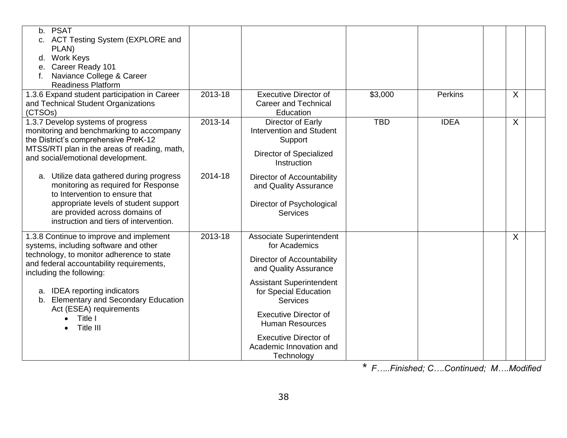| <b>PSAT</b><br>b.<br>c. ACT Testing System (EXPLORE and<br>PLAN)<br>d. Work Keys<br>e. Career Ready 101<br>Naviance College & Career<br><b>Readiness Platform</b>                                                                                                                                                                                     |         |                                                                                                                                                                                                                                                                                                                           |            |             |         |  |
|-------------------------------------------------------------------------------------------------------------------------------------------------------------------------------------------------------------------------------------------------------------------------------------------------------------------------------------------------------|---------|---------------------------------------------------------------------------------------------------------------------------------------------------------------------------------------------------------------------------------------------------------------------------------------------------------------------------|------------|-------------|---------|--|
| 1.3.6 Expand student participation in Career<br>and Technical Student Organizations<br>(CTSOs)                                                                                                                                                                                                                                                        | 2013-18 | <b>Executive Director of</b><br><b>Career and Technical</b><br>Education                                                                                                                                                                                                                                                  | \$3,000    | Perkins     | X       |  |
| 1.3.7 Develop systems of progress<br>monitoring and benchmarking to accompany<br>the District's comprehensive PreK-12<br>MTSS/RTI plan in the areas of reading, math,<br>and social/emotional development.                                                                                                                                            | 2013-14 | Director of Early<br><b>Intervention and Student</b><br>Support<br>Director of Specialized<br>Instruction                                                                                                                                                                                                                 | <b>TBD</b> | <b>IDEA</b> | $\sf X$ |  |
| a. Utilize data gathered during progress<br>monitoring as required for Response<br>to Intervention to ensure that<br>appropriate levels of student support<br>are provided across domains of<br>instruction and tiers of intervention.                                                                                                                | 2014-18 | Director of Accountability<br>and Quality Assurance<br>Director of Psychological<br><b>Services</b>                                                                                                                                                                                                                       |            |             |         |  |
| 1.3.8 Continue to improve and implement<br>systems, including software and other<br>technology, to monitor adherence to state<br>and federal accountability requirements,<br>including the following:<br><b>IDEA</b> reporting indicators<br>а.<br><b>Elementary and Secondary Education</b><br>b.<br>Act (ESEA) requirements<br>Title I<br>Title III | 2013-18 | <b>Associate Superintendent</b><br>for Academics<br>Director of Accountability<br>and Quality Assurance<br><b>Assistant Superintendent</b><br>for Special Education<br><b>Services</b><br><b>Executive Director of</b><br><b>Human Resources</b><br><b>Executive Director of</b><br>Academic Innovation and<br>Technology |            |             | $\sf X$ |  |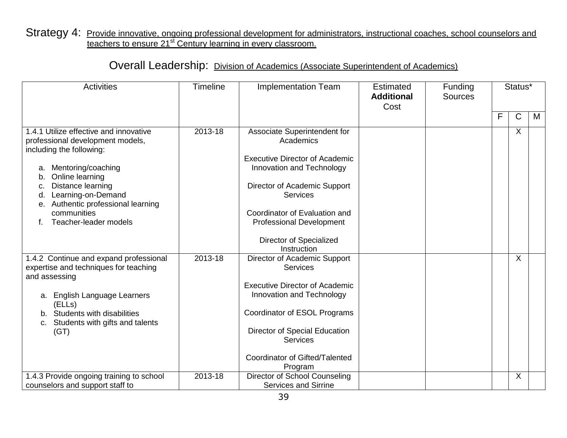### Strategy 4: Provide innovative, ongoing professional development for administrators, instructional coaches, school counselors and teachers to ensure 21<sup>st</sup> Century learning in every classroom.

## Overall Leadership: Division of Academics (Associate Superintendent of Academics)

| <b>Activities</b>                                                                                                                                                                                                                                                                                   | <b>Timeline</b> | <b>Implementation Team</b>                                                                                                                                                                                                                                                       | <b>Estimated</b><br><b>Additional</b><br>Cost | Funding<br><b>Sources</b> |   | Status* |   |
|-----------------------------------------------------------------------------------------------------------------------------------------------------------------------------------------------------------------------------------------------------------------------------------------------------|-----------------|----------------------------------------------------------------------------------------------------------------------------------------------------------------------------------------------------------------------------------------------------------------------------------|-----------------------------------------------|---------------------------|---|---------|---|
|                                                                                                                                                                                                                                                                                                     |                 |                                                                                                                                                                                                                                                                                  |                                               |                           | F | C       | M |
| 1.4.1 Utilize effective and innovative<br>professional development models,<br>including the following:<br>Mentoring/coaching<br>a.<br>Online learning<br>b.<br>Distance learning<br>c.<br>Learning-on-Demand<br>d.<br>Authentic professional learning<br>е.<br>communities<br>Teacher-leader models | 2013-18         | Associate Superintendent for<br>Academics<br><b>Executive Director of Academic</b><br>Innovation and Technology<br>Director of Academic Support<br><b>Services</b><br>Coordinator of Evaluation and<br><b>Professional Development</b><br>Director of Specialized<br>Instruction |                                               |                           |   | X       |   |
| 1.4.2 Continue and expand professional<br>expertise and techniques for teaching<br>and assessing<br>a. English Language Learners<br>(ELLs)<br>b. Students with disabilities<br>Students with gifts and talents<br>C.<br>(GT)                                                                        | 2013-18         | Director of Academic Support<br><b>Services</b><br><b>Executive Director of Academic</b><br>Innovation and Technology<br>Coordinator of ESOL Programs<br>Director of Special Education<br>Services<br>Coordinator of Gifted/Talented<br>Program                                  |                                               |                           |   | $\sf X$ |   |
| 1.4.3 Provide ongoing training to school<br>counselors and support staff to                                                                                                                                                                                                                         | 2013-18         | Director of School Counseling<br><b>Services and Sirrine</b>                                                                                                                                                                                                                     |                                               |                           |   | X       |   |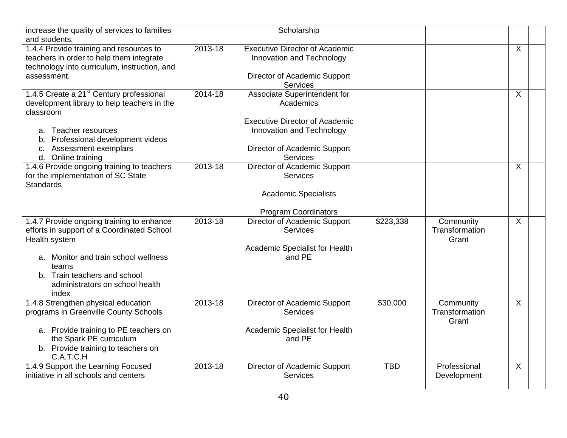| increase the quality of services to families<br>and students.                                                                                                                                                                         |             | Scholarship                                                                                                                                                        |            |                                      |                           |  |
|---------------------------------------------------------------------------------------------------------------------------------------------------------------------------------------------------------------------------------------|-------------|--------------------------------------------------------------------------------------------------------------------------------------------------------------------|------------|--------------------------------------|---------------------------|--|
| 1.4.4 Provide training and resources to<br>teachers in order to help them integrate<br>technology into curriculum, instruction, and<br>assessment.                                                                                    | 2013-18     | <b>Executive Director of Academic</b><br>Innovation and Technology<br>Director of Academic Support<br><b>Services</b>                                              |            |                                      | $\boldsymbol{\mathsf{X}}$ |  |
| 1.4.5 Create a 21 <sup>st</sup> Century professional<br>development library to help teachers in the<br>classroom<br>a. Teacher resources<br>Professional development videos<br>b.<br>c. Assessment exemplars<br>d. Online training    | 2014-18     | Associate Superintendent for<br>Academics<br><b>Executive Director of Academic</b><br>Innovation and Technology<br>Director of Academic Support<br><b>Services</b> |            |                                      | X                         |  |
| 1.4.6 Provide ongoing training to teachers<br>for the implementation of SC State<br><b>Standards</b>                                                                                                                                  | 2013-18     | Director of Academic Support<br><b>Services</b><br><b>Academic Specialists</b><br><b>Program Coordinators</b>                                                      |            |                                      | $\overline{X}$            |  |
| 1.4.7 Provide ongoing training to enhance<br>efforts in support of a Coordinated School<br>Health system<br>a. Monitor and train school wellness<br>teams<br>b. Train teachers and school<br>administrators on school health<br>index | $2013 - 18$ | Director of Academic Support<br><b>Services</b><br>Academic Specialist for Health<br>and PE                                                                        | \$223,338  | Community<br>Transformation<br>Grant | $\sf X$                   |  |
| 1.4.8 Strengthen physical education<br>programs in Greenville County Schools<br>a. Provide training to PE teachers on<br>the Spark PE curriculum<br>b. Provide training to teachers on<br>C.A.T.C.H                                   | 2013-18     | Director of Academic Support<br>Services<br>Academic Specialist for Health<br>and PE                                                                               | \$30,000   | Community<br>Transformation<br>Grant | $\overline{X}$            |  |
| 1.4.9 Support the Learning Focused<br>initiative in all schools and centers                                                                                                                                                           | 2013-18     | Director of Academic Support<br>Services                                                                                                                           | <b>TBD</b> | Professional<br>Development          | $\boldsymbol{\mathsf{X}}$ |  |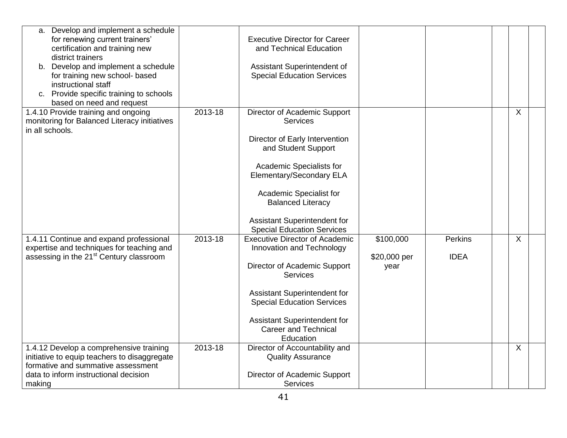| a. Develop and implement a schedule<br>for renewing current trainers'<br>certification and training new<br>district trainers<br>b. Develop and implement a schedule<br>for training new school- based<br>instructional staff<br>c. Provide specific training to schools<br>based on need and request |         | <b>Executive Director for Career</b><br>and Technical Education<br>Assistant Superintendent of<br><b>Special Education Services</b>                                                                                                                                                          |                                   |                        |         |
|------------------------------------------------------------------------------------------------------------------------------------------------------------------------------------------------------------------------------------------------------------------------------------------------------|---------|----------------------------------------------------------------------------------------------------------------------------------------------------------------------------------------------------------------------------------------------------------------------------------------------|-----------------------------------|------------------------|---------|
| 1.4.10 Provide training and ongoing<br>monitoring for Balanced Literacy initiatives<br>in all schools.                                                                                                                                                                                               | 2013-18 | Director of Academic Support<br><b>Services</b><br>Director of Early Intervention<br>and Student Support<br>Academic Specialists for<br>Elementary/Secondary ELA<br>Academic Specialist for<br><b>Balanced Literacy</b><br>Assistant Superintendent for<br><b>Special Education Services</b> |                                   |                        | X       |
| 1.4.11 Continue and expand professional<br>expertise and techniques for teaching and<br>assessing in the 21 <sup>st</sup> Century classroom                                                                                                                                                          | 2013-18 | <b>Executive Director of Academic</b><br>Innovation and Technology<br>Director of Academic Support<br><b>Services</b><br>Assistant Superintendent for<br><b>Special Education Services</b><br><b>Assistant Superintendent for</b><br><b>Career and Technical</b><br>Education                | \$100,000<br>\$20,000 per<br>year | Perkins<br><b>IDEA</b> | $\sf X$ |
| 1.4.12 Develop a comprehensive training<br>initiative to equip teachers to disaggregate<br>formative and summative assessment<br>data to inform instructional decision<br>making                                                                                                                     | 2013-18 | Director of Accountability and<br><b>Quality Assurance</b><br>Director of Academic Support<br><b>Services</b>                                                                                                                                                                                |                                   |                        | X       |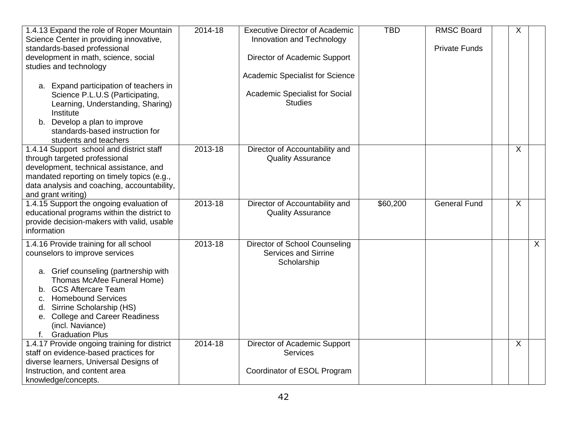| 1.4.13 Expand the role of Roper Mountain<br>Science Center in providing innovative,<br>standards-based professional                                                                                                                                                                                                      | 2014-18 | <b>Executive Director of Academic</b><br>Innovation and Technology   | <b>TBD</b> | <b>RMSC Board</b><br><b>Private Funds</b> | X       |
|--------------------------------------------------------------------------------------------------------------------------------------------------------------------------------------------------------------------------------------------------------------------------------------------------------------------------|---------|----------------------------------------------------------------------|------------|-------------------------------------------|---------|
| development in math, science, social<br>studies and technology                                                                                                                                                                                                                                                           |         | Director of Academic Support                                         |            |                                           |         |
|                                                                                                                                                                                                                                                                                                                          |         | Academic Specialist for Science                                      |            |                                           |         |
| a. Expand participation of teachers in<br>Science P.L.U.S (Participating,<br>Learning, Understanding, Sharing)<br>Institute                                                                                                                                                                                              |         | <b>Academic Specialist for Social</b><br><b>Studies</b>              |            |                                           |         |
| b. Develop a plan to improve<br>standards-based instruction for<br>students and teachers                                                                                                                                                                                                                                 |         |                                                                      |            |                                           |         |
| 1.4.14 Support school and district staff<br>through targeted professional<br>development, technical assistance, and<br>mandated reporting on timely topics (e.g.,<br>data analysis and coaching, accountability,<br>and grant writing)                                                                                   | 2013-18 | Director of Accountability and<br><b>Quality Assurance</b>           |            |                                           | $\sf X$ |
| 1.4.15 Support the ongoing evaluation of<br>educational programs within the district to<br>provide decision-makers with valid, usable<br>information                                                                                                                                                                     | 2013-18 | Director of Accountability and<br><b>Quality Assurance</b>           | \$60,200   | <b>General Fund</b>                       | $\sf X$ |
| 1.4.16 Provide training for all school<br>counselors to improve services<br>a. Grief counseling (partnership with<br>Thomas McAfee Funeral Home)<br>b. GCS Aftercare Team<br><b>Homebound Services</b><br>c.<br>d. Sirrine Scholarship (HS)<br>e. College and Career Readiness<br>(incl. Naviance)<br>f. Graduation Plus | 2013-18 | Director of School Counseling<br>Services and Sirrine<br>Scholarship |            |                                           | X       |
| 1.4.17 Provide ongoing training for district<br>staff on evidence-based practices for<br>diverse learners, Universal Designs of                                                                                                                                                                                          | 2014-18 | Director of Academic Support<br>Services                             |            |                                           | $\sf X$ |
| Instruction, and content area<br>knowledge/concepts.                                                                                                                                                                                                                                                                     |         | Coordinator of ESOL Program                                          |            |                                           |         |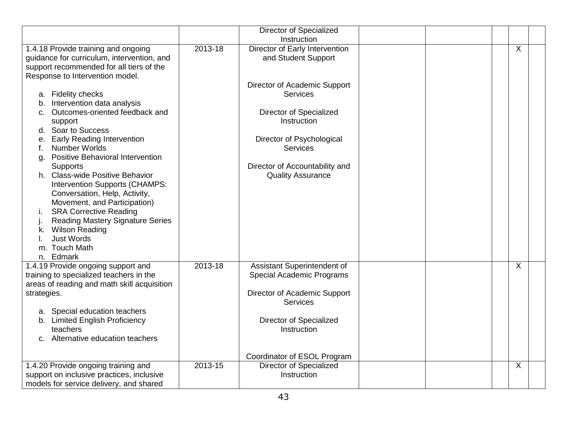|                                                                                                                                                                                                                                                                                                                                                                                                                                                                                                                                                                                                |         | Director of Specialized<br>Instruction                                                                                                                                                                         |  |                |
|------------------------------------------------------------------------------------------------------------------------------------------------------------------------------------------------------------------------------------------------------------------------------------------------------------------------------------------------------------------------------------------------------------------------------------------------------------------------------------------------------------------------------------------------------------------------------------------------|---------|----------------------------------------------------------------------------------------------------------------------------------------------------------------------------------------------------------------|--|----------------|
| 1.4.18 Provide training and ongoing<br>guidance for curriculum, intervention, and<br>support recommended for all tiers of the                                                                                                                                                                                                                                                                                                                                                                                                                                                                  | 2013-18 | Director of Early Intervention<br>and Student Support                                                                                                                                                          |  | $\overline{X}$ |
| Response to Intervention model.<br>a. Fidelity checks<br>Intervention data analysis<br>b.<br>Outcomes-oriented feedback and<br>C.<br>support<br>d. Soar to Success<br><b>Early Reading Intervention</b><br>е.<br>Number Worlds<br>Positive Behavioral Intervention<br>g.<br>Supports<br>h. Class-wide Positive Behavior<br>Intervention Supports (CHAMPS:<br>Conversation, Help, Activity,<br>Movement, and Participation)<br><b>SRA Corrective Reading</b><br>i.<br><b>Reading Mastery Signature Series</b><br><b>Wilson Reading</b><br>k.<br><b>Just Words</b><br>m. Touch Math<br>n. Edmark |         | Director of Academic Support<br><b>Services</b><br><b>Director of Specialized</b><br>Instruction<br>Director of Psychological<br><b>Services</b><br>Director of Accountability and<br><b>Quality Assurance</b> |  |                |
| 1.4.19 Provide ongoing support and<br>training to specialized teachers in the<br>areas of reading and math skill acquisition<br>strategies.<br>a. Special education teachers<br><b>Limited English Proficiency</b><br>b.<br>teachers<br>c. Alternative education teachers                                                                                                                                                                                                                                                                                                                      | 2013-18 | Assistant Superintendent of<br>Special Academic Programs<br>Director of Academic Support<br><b>Services</b><br>Director of Specialized<br>Instruction<br>Coordinator of ESOL Program                           |  | X              |
| 1.4.20 Provide ongoing training and<br>support on inclusive practices, inclusive<br>models for service delivery, and shared                                                                                                                                                                                                                                                                                                                                                                                                                                                                    | 2013-15 | <b>Director of Specialized</b><br>Instruction                                                                                                                                                                  |  | X              |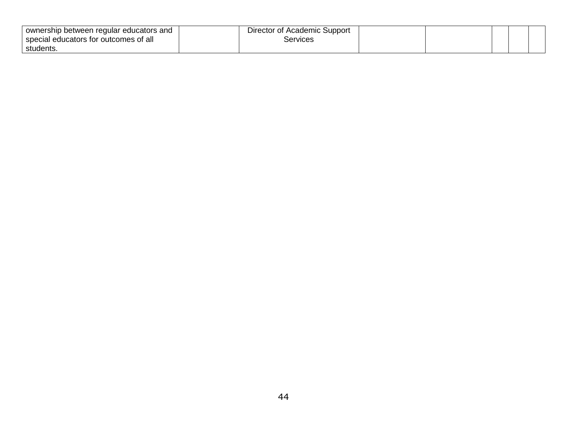| ownership between regular educators and<br>special educators for outcomes of all | Director of Academic Support<br>Services |  |  |
|----------------------------------------------------------------------------------|------------------------------------------|--|--|
| students.                                                                        |                                          |  |  |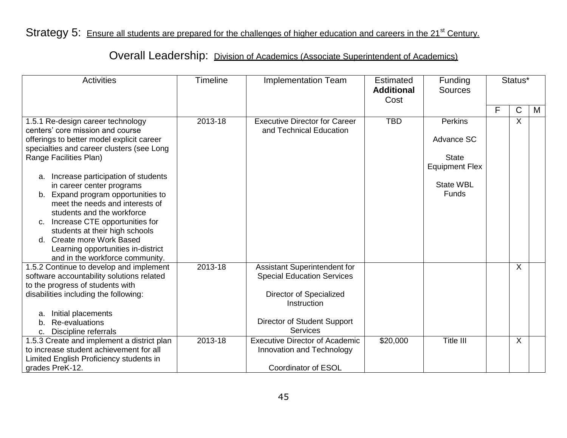# Strategy 5: Ensure all students are prepared for the challenges of higher education and careers in the 21<sup>st</sup> Century.

# Overall Leadership: Division of Academics (Associate Superintendent of Academics)

| <b>Activities</b>                                                                                                                                                                                                                                                                                                                                                                                                                                                                                                                                   | <b>Timeline</b>    | <b>Implementation Team</b>                                                                                                                                                                                                                                        | <b>Estimated</b><br><b>Additional</b><br>Cost | Funding<br><b>Sources</b>                                                                                 | Status* |              |   |
|-----------------------------------------------------------------------------------------------------------------------------------------------------------------------------------------------------------------------------------------------------------------------------------------------------------------------------------------------------------------------------------------------------------------------------------------------------------------------------------------------------------------------------------------------------|--------------------|-------------------------------------------------------------------------------------------------------------------------------------------------------------------------------------------------------------------------------------------------------------------|-----------------------------------------------|-----------------------------------------------------------------------------------------------------------|---------|--------------|---|
|                                                                                                                                                                                                                                                                                                                                                                                                                                                                                                                                                     |                    |                                                                                                                                                                                                                                                                   |                                               |                                                                                                           | F       | $\mathsf{C}$ | M |
| 1.5.1 Re-design career technology<br>centers' core mission and course<br>offerings to better model explicit career<br>specialties and career clusters (see Long<br>Range Facilities Plan)<br>a. Increase participation of students<br>in career center programs<br>b. Expand program opportunities to<br>meet the needs and interests of<br>students and the workforce<br>c. Increase CTE opportunities for<br>students at their high schools<br>d. Create more Work Based<br>Learning opportunities in-district<br>and in the workforce community. | 2013-18            | <b>Executive Director for Career</b><br>and Technical Education                                                                                                                                                                                                   | <b>TBD</b>                                    | <b>Perkins</b><br>Advance SC<br><b>State</b><br><b>Equipment Flex</b><br><b>State WBL</b><br><b>Funds</b> |         | $\times$     |   |
| 1.5.2 Continue to develop and implement<br>software accountability solutions related<br>to the progress of students with<br>disabilities including the following:<br>Initial placements<br>a.<br>Re-evaluations<br>b.<br>Discipline referrals<br>c.<br>1.5.3 Create and implement a district plan<br>to increase student achievement for all<br>Limited English Proficiency students in<br>grades PreK-12.                                                                                                                                          | 2013-18<br>2013-18 | Assistant Superintendent for<br><b>Special Education Services</b><br>Director of Specialized<br>Instruction<br>Director of Student Support<br><b>Services</b><br><b>Executive Director of Academic</b><br>Innovation and Technology<br><b>Coordinator of ESOL</b> | \$20,000                                      | Title III                                                                                                 |         | X<br>$\sf X$ |   |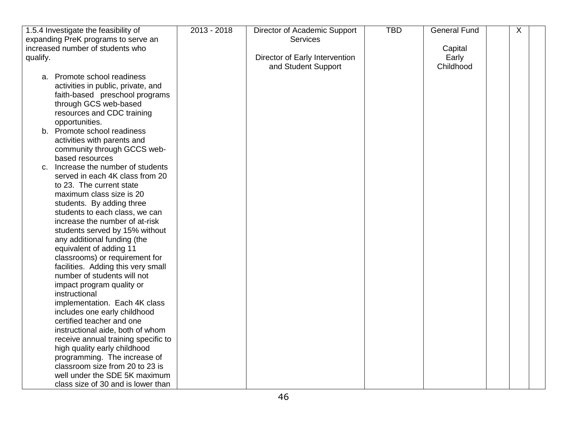| 1.5.4 Investigate the feasibility of<br>expanding PreK programs to serve an | 2013 - 2018 | Director of Academic Support<br>Services | <b>TBD</b> | <b>General Fund</b> | X |
|-----------------------------------------------------------------------------|-------------|------------------------------------------|------------|---------------------|---|
| increased number of students who                                            |             |                                          |            | Capital             |   |
| qualify.                                                                    |             | Director of Early Intervention           |            | Early               |   |
|                                                                             |             | and Student Support                      |            | Childhood           |   |
| a. Promote school readiness                                                 |             |                                          |            |                     |   |
| activities in public, private, and                                          |             |                                          |            |                     |   |
| faith-based preschool programs                                              |             |                                          |            |                     |   |
| through GCS web-based                                                       |             |                                          |            |                     |   |
| resources and CDC training                                                  |             |                                          |            |                     |   |
| opportunities.                                                              |             |                                          |            |                     |   |
| b. Promote school readiness                                                 |             |                                          |            |                     |   |
| activities with parents and                                                 |             |                                          |            |                     |   |
| community through GCCS web-                                                 |             |                                          |            |                     |   |
| based resources                                                             |             |                                          |            |                     |   |
| Increase the number of students<br>C.                                       |             |                                          |            |                     |   |
| served in each 4K class from 20                                             |             |                                          |            |                     |   |
| to 23. The current state                                                    |             |                                          |            |                     |   |
| maximum class size is 20                                                    |             |                                          |            |                     |   |
| students. By adding three                                                   |             |                                          |            |                     |   |
| students to each class, we can                                              |             |                                          |            |                     |   |
| increase the number of at-risk                                              |             |                                          |            |                     |   |
| students served by 15% without                                              |             |                                          |            |                     |   |
| any additional funding (the                                                 |             |                                          |            |                     |   |
| equivalent of adding 11                                                     |             |                                          |            |                     |   |
| classrooms) or requirement for                                              |             |                                          |            |                     |   |
| facilities. Adding this very small                                          |             |                                          |            |                     |   |
| number of students will not                                                 |             |                                          |            |                     |   |
| impact program quality or                                                   |             |                                          |            |                     |   |
| instructional                                                               |             |                                          |            |                     |   |
| implementation. Each 4K class                                               |             |                                          |            |                     |   |
| includes one early childhood                                                |             |                                          |            |                     |   |
| certified teacher and one                                                   |             |                                          |            |                     |   |
| instructional aide, both of whom                                            |             |                                          |            |                     |   |
| receive annual training specific to                                         |             |                                          |            |                     |   |
| high quality early childhood                                                |             |                                          |            |                     |   |
| programming. The increase of                                                |             |                                          |            |                     |   |
| classroom size from 20 to 23 is                                             |             |                                          |            |                     |   |
| well under the SDE 5K maximum                                               |             |                                          |            |                     |   |
| class size of 30 and is lower than                                          |             |                                          |            |                     |   |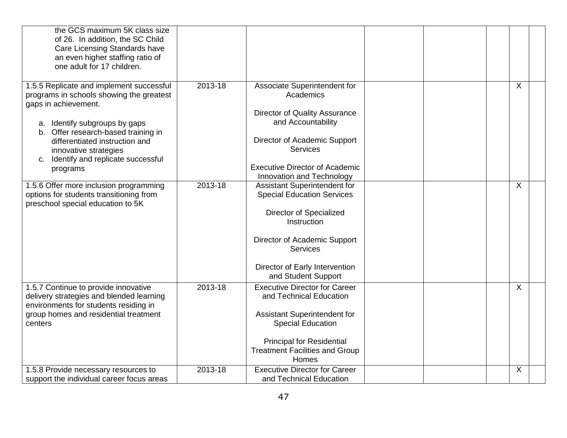| the GCS maximum 5K class size<br>of 26. In addition, the SC Child<br>Care Licensing Standards have<br>an even higher staffing ratio of<br>one adult for 17 children. |         |                                                                                    |                           |
|----------------------------------------------------------------------------------------------------------------------------------------------------------------------|---------|------------------------------------------------------------------------------------|---------------------------|
| 1.5.5 Replicate and implement successful<br>programs in schools showing the greatest<br>gaps in achievement.                                                         | 2013-18 | Associate Superintendent for<br>Academics                                          | $\sf X$                   |
|                                                                                                                                                                      |         | Director of Quality Assurance                                                      |                           |
| a. Identify subgroups by gaps<br>b. Offer research-based training in                                                                                                 |         | and Accountability                                                                 |                           |
| differentiated instruction and<br>innovative strategies                                                                                                              |         | Director of Academic Support<br><b>Services</b>                                    |                           |
| c. Identify and replicate successful<br>programs                                                                                                                     |         | <b>Executive Director of Academic</b><br>Innovation and Technology                 |                           |
| 1.5.6 Offer more inclusion programming<br>options for students transitioning from<br>preschool special education to 5K                                               | 2013-18 | Assistant Superintendent for<br><b>Special Education Services</b>                  | X                         |
|                                                                                                                                                                      |         | Director of Specialized<br>Instruction                                             |                           |
|                                                                                                                                                                      |         | Director of Academic Support<br><b>Services</b>                                    |                           |
|                                                                                                                                                                      |         | Director of Early Intervention<br>and Student Support                              |                           |
| 1.5.7 Continue to provide innovative<br>delivery strategies and blended learning<br>environments for students residing in                                            | 2013-18 | <b>Executive Director for Career</b><br>and Technical Education                    | $\boldsymbol{\mathsf{X}}$ |
| group homes and residential treatment<br>centers                                                                                                                     |         | Assistant Superintendent for<br><b>Special Education</b>                           |                           |
|                                                                                                                                                                      |         | <b>Principal for Residential</b><br><b>Treatment Facilities and Group</b><br>Homes |                           |
| 1.5.8 Provide necessary resources to                                                                                                                                 | 2013-18 | <b>Executive Director for Career</b>                                               | $\pmb{\times}$            |
| support the individual career focus areas                                                                                                                            |         | and Technical Education                                                            |                           |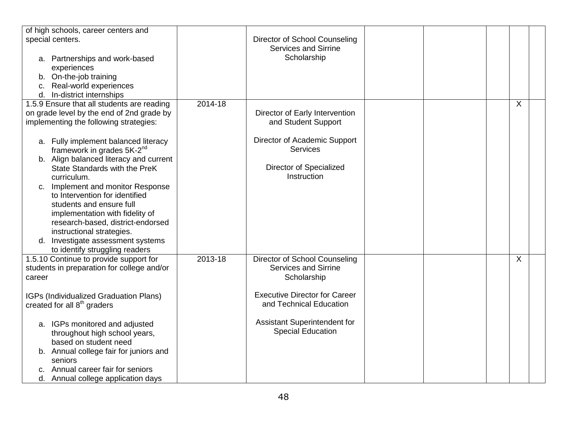| of high schools, career centers and<br>special centers.<br>a. Partnerships and work-based<br>experiences<br>b. On-the-job training                                                                                                                                          |         | Director of School Counseling<br><b>Services and Sirrine</b><br>Scholarship           |  |         |  |
|-----------------------------------------------------------------------------------------------------------------------------------------------------------------------------------------------------------------------------------------------------------------------------|---------|---------------------------------------------------------------------------------------|--|---------|--|
| Real-world experiences<br>C.<br>In-district internships<br>d.                                                                                                                                                                                                               |         |                                                                                       |  |         |  |
| 1.5.9 Ensure that all students are reading<br>on grade level by the end of 2nd grade by<br>implementing the following strategies:<br>a. Fully implement balanced literacy                                                                                                   | 2014-18 | Director of Early Intervention<br>and Student Support<br>Director of Academic Support |  | X       |  |
| framework in grades 5K-2 <sup>nd</sup><br>b. Align balanced literacy and current<br>State Standards with the PreK<br>curriculum.                                                                                                                                            |         | <b>Services</b><br><b>Director of Specialized</b><br>Instruction                      |  |         |  |
| c. Implement and monitor Response<br>to Intervention for identified<br>students and ensure full<br>implementation with fidelity of<br>research-based, district-endorsed<br>instructional strategies.<br>d. Investigate assessment systems<br>to identify struggling readers |         |                                                                                       |  |         |  |
| 1.5.10 Continue to provide support for<br>students in preparation for college and/or<br>career                                                                                                                                                                              | 2013-18 | Director of School Counseling<br><b>Services and Sirrine</b><br>Scholarship           |  | $\sf X$ |  |
| IGPs (Individualized Graduation Plans)<br>created for all 8 <sup>th</sup> graders                                                                                                                                                                                           |         | <b>Executive Director for Career</b><br>and Technical Education                       |  |         |  |
| a. IGPs monitored and adjusted<br>throughout high school years,<br>based on student need                                                                                                                                                                                    |         | Assistant Superintendent for<br><b>Special Education</b>                              |  |         |  |
| b. Annual college fair for juniors and<br>seniors<br>Annual career fair for seniors<br>C.                                                                                                                                                                                   |         |                                                                                       |  |         |  |
| d. Annual college application days                                                                                                                                                                                                                                          |         |                                                                                       |  |         |  |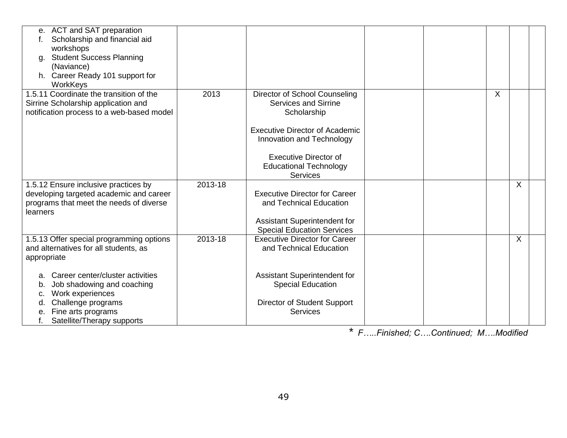| e. ACT and SAT preparation<br>Scholarship and financial aid<br>workshops<br><b>Student Success Planning</b><br>a.<br>(Naviance)<br>h. Career Ready 101 support for<br>WorkKeys       |         |                                                                                                                                                                                                                                       |         |  |
|--------------------------------------------------------------------------------------------------------------------------------------------------------------------------------------|---------|---------------------------------------------------------------------------------------------------------------------------------------------------------------------------------------------------------------------------------------|---------|--|
| 1.5.11 Coordinate the transition of the<br>Sirrine Scholarship application and<br>notification process to a web-based model                                                          | 2013    | Director of School Counseling<br><b>Services and Sirrine</b><br>Scholarship<br><b>Executive Director of Academic</b><br>Innovation and Technology<br><b>Executive Director of</b><br><b>Educational Technology</b><br><b>Services</b> | X       |  |
| 1.5.12 Ensure inclusive practices by<br>developing targeted academic and career<br>programs that meet the needs of diverse<br>learners                                               | 2013-18 | <b>Executive Director for Career</b><br>and Technical Education<br>Assistant Superintendent for<br><b>Special Education Services</b>                                                                                                  | $\sf X$ |  |
| 1.5.13 Offer special programming options<br>and alternatives for all students, as<br>appropriate                                                                                     | 2013-18 | <b>Executive Director for Career</b><br>and Technical Education                                                                                                                                                                       | X       |  |
| Career center/cluster activities<br>а.<br>Job shadowing and coaching<br>b.<br>Work experiences<br>c.<br>Challenge programs<br>Fine arts programs<br>е.<br>Satellite/Therapy supports |         | Assistant Superintendent for<br><b>Special Education</b><br>Director of Student Support<br><b>Services</b>                                                                                                                            |         |  |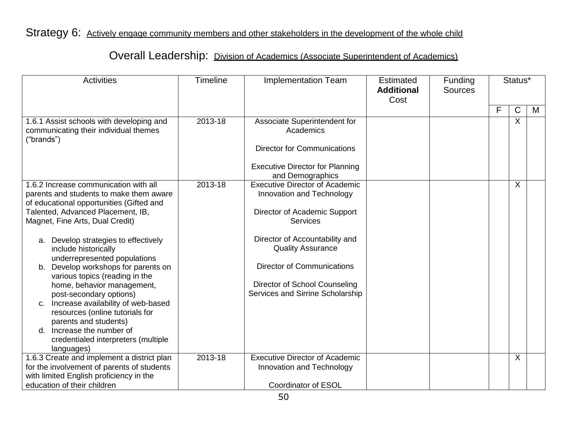Strategy 6: Actively engage community members and other stakeholders in the development of the whole child

# Overall Leadership: Division of Academics (Associate Superintendent of Academics)

| <b>Activities</b>                                                                                                                                                                                                                                                                                                                                                                                                        | Timeline | <b>Implementation Team</b>                                                                                                                                           | Estimated<br><b>Additional</b><br>Cost | Funding<br><b>Sources</b> |   | Status*                   |   |
|--------------------------------------------------------------------------------------------------------------------------------------------------------------------------------------------------------------------------------------------------------------------------------------------------------------------------------------------------------------------------------------------------------------------------|----------|----------------------------------------------------------------------------------------------------------------------------------------------------------------------|----------------------------------------|---------------------------|---|---------------------------|---|
|                                                                                                                                                                                                                                                                                                                                                                                                                          |          |                                                                                                                                                                      |                                        |                           | F | $\mathsf{C}$              | M |
| 1.6.1 Assist schools with developing and<br>communicating their individual themes<br>("brands")                                                                                                                                                                                                                                                                                                                          | 2013-18  | Associate Superintendent for<br>Academics                                                                                                                            |                                        |                           |   | $\sf X$                   |   |
|                                                                                                                                                                                                                                                                                                                                                                                                                          |          | <b>Director for Communications</b>                                                                                                                                   |                                        |                           |   |                           |   |
|                                                                                                                                                                                                                                                                                                                                                                                                                          |          | <b>Executive Director for Planning</b><br>and Demographics                                                                                                           |                                        |                           |   |                           |   |
| 1.6.2 Increase communication with all<br>parents and students to make them aware<br>of educational opportunities (Gifted and<br>Talented, Advanced Placement, IB,<br>Magnet, Fine Arts, Dual Credit)                                                                                                                                                                                                                     | 2013-18  | <b>Executive Director of Academic</b><br>Innovation and Technology<br>Director of Academic Support<br><b>Services</b>                                                |                                        |                           |   | $\sf X$                   |   |
| a. Develop strategies to effectively<br>include historically<br>underrepresented populations<br>Develop workshops for parents on<br>b.<br>various topics (reading in the<br>home, behavior management,<br>post-secondary options)<br>c. Increase availability of web-based<br>resources (online tutorials for<br>parents and students)<br>d. Increase the number of<br>credentialed interpreters (multiple<br>languages) |          | Director of Accountability and<br><b>Quality Assurance</b><br><b>Director of Communications</b><br>Director of School Counseling<br>Services and Sirrine Scholarship |                                        |                           |   |                           |   |
| 1.6.3 Create and implement a district plan<br>for the involvement of parents of students<br>with limited English proficiency in the<br>education of their children                                                                                                                                                                                                                                                       | 2013-18  | <b>Executive Director of Academic</b><br>Innovation and Technology<br><b>Coordinator of ESOL</b>                                                                     |                                        |                           |   | $\boldsymbol{\mathsf{X}}$ |   |
|                                                                                                                                                                                                                                                                                                                                                                                                                          |          |                                                                                                                                                                      |                                        |                           |   |                           |   |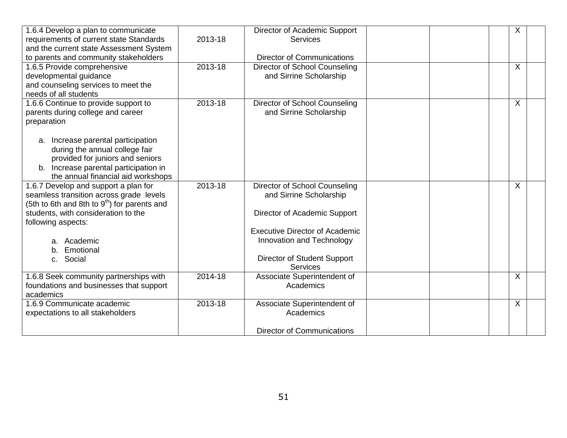| 1.6.4 Develop a plan to communicate<br>requirements of current state Standards<br>and the current state Assessment System<br>to parents and community stakeholders       | 2013-18 | Director of Academic Support<br><b>Services</b><br><b>Director of Communications</b>                     | X       |
|--------------------------------------------------------------------------------------------------------------------------------------------------------------------------|---------|----------------------------------------------------------------------------------------------------------|---------|
| 1.6.5 Provide comprehensive<br>developmental guidance<br>and counseling services to meet the<br>needs of all students                                                    | 2013-18 | Director of School Counseling<br>and Sirrine Scholarship                                                 | X       |
| 1.6.6 Continue to provide support to<br>parents during college and career<br>preparation<br>Increase parental participation<br>a.                                        | 2013-18 | Director of School Counseling<br>and Sirrine Scholarship                                                 | $\sf X$ |
| during the annual college fair<br>provided for juniors and seniors<br>b. Increase parental participation in<br>the annual financial aid workshops                        |         |                                                                                                          |         |
| 1.6.7 Develop and support a plan for<br>seamless transition across grade levels<br>(5th to 6th and 8th to $9th$ ) for parents and<br>students, with consideration to the | 2013-18 | Director of School Counseling<br>and Sirrine Scholarship<br>Director of Academic Support                 | $\sf X$ |
| following aspects:<br>a. Academic<br>Emotional<br>b.<br>c. Social                                                                                                        |         | <b>Executive Director of Academic</b><br>Innovation and Technology<br><b>Director of Student Support</b> |         |
|                                                                                                                                                                          |         | <b>Services</b>                                                                                          |         |
| 1.6.8 Seek community partnerships with<br>foundations and businesses that support<br>academics                                                                           | 2014-18 | Associate Superintendent of<br>Academics                                                                 | $\sf X$ |
| 1.6.9 Communicate academic<br>expectations to all stakeholders                                                                                                           | 2013-18 | Associate Superintendent of<br>Academics                                                                 | $\sf X$ |
|                                                                                                                                                                          |         | <b>Director of Communications</b>                                                                        |         |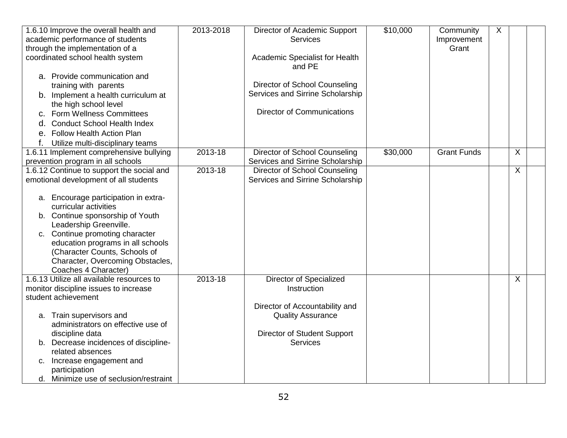| 1.6.10 Improve the overall health and                          | 2013-2018 | Director of Academic Support             | \$10,000 | Community          | X       |
|----------------------------------------------------------------|-----------|------------------------------------------|----------|--------------------|---------|
| academic performance of students                               |           | <b>Services</b>                          |          | Improvement        |         |
| through the implementation of a                                |           |                                          |          | Grant              |         |
| coordinated school health system                               |           | Academic Specialist for Health<br>and PE |          |                    |         |
| a. Provide communication and                                   |           |                                          |          |                    |         |
| training with parents                                          |           | Director of School Counseling            |          |                    |         |
| b. Implement a health curriculum at                            |           | Services and Sirrine Scholarship         |          |                    |         |
| the high school level                                          |           |                                          |          |                    |         |
| <b>Form Wellness Committees</b><br>c.                          |           | <b>Director of Communications</b>        |          |                    |         |
| <b>Conduct School Health Index</b><br>d.                       |           |                                          |          |                    |         |
| <b>Follow Health Action Plan</b><br>е.                         |           |                                          |          |                    |         |
| f.<br>Utilize multi-disciplinary teams                         |           |                                          |          |                    |         |
| 1.6.11 Implement comprehensive bullying                        | 2013-18   | Director of School Counseling            | \$30,000 | <b>Grant Funds</b> | X       |
| prevention program in all schools                              |           | Services and Sirrine Scholarship         |          |                    |         |
| 1.6.12 Continue to support the social and                      | 2013-18   | Director of School Counseling            |          |                    | X       |
| emotional development of all students                          |           | Services and Sirrine Scholarship         |          |                    |         |
|                                                                |           |                                          |          |                    |         |
| a. Encourage participation in extra-                           |           |                                          |          |                    |         |
| curricular activities                                          |           |                                          |          |                    |         |
| b. Continue sponsorship of Youth                               |           |                                          |          |                    |         |
| Leadership Greenville.                                         |           |                                          |          |                    |         |
| c. Continue promoting character                                |           |                                          |          |                    |         |
| education programs in all schools                              |           |                                          |          |                    |         |
| (Character Counts, Schools of                                  |           |                                          |          |                    |         |
| Character, Overcoming Obstacles,                               |           |                                          |          |                    |         |
| Coaches 4 Character)                                           |           |                                          |          |                    |         |
| 1.6.13 Utilize all available resources to                      | 2013-18   | <b>Director of Specialized</b>           |          |                    | $\sf X$ |
| monitor discipline issues to increase                          |           | Instruction                              |          |                    |         |
| student achievement                                            |           |                                          |          |                    |         |
|                                                                |           | Director of Accountability and           |          |                    |         |
| a. Train supervisors and<br>administrators on effective use of |           | <b>Quality Assurance</b>                 |          |                    |         |
| discipline data                                                |           | Director of Student Support              |          |                    |         |
| b. Decrease incidences of discipline-                          |           | <b>Services</b>                          |          |                    |         |
| related absences                                               |           |                                          |          |                    |         |
| Increase engagement and<br>c.                                  |           |                                          |          |                    |         |
| participation                                                  |           |                                          |          |                    |         |
| d. Minimize use of seclusion/restraint                         |           |                                          |          |                    |         |
|                                                                |           |                                          |          |                    |         |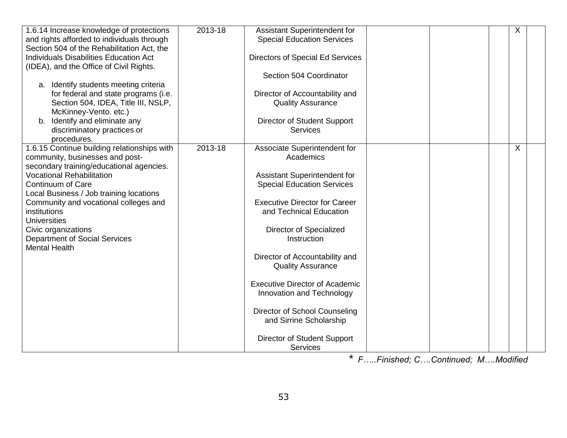| 1.6.14 Increase knowledge of protections<br>and rights afforded to individuals through<br>Section 504 of the Rehabilitation Act, the<br>Individuals Disabilities Education Act<br>(IDEA), and the Office of Civil Rights.<br>a. Identify students meeting criteria<br>for federal and state programs (i.e.<br>Section 504, IDEA, Title III, NSLP,<br>McKinney-Vento. etc.)<br>b. Identify and eliminate any<br>discriminatory practices or<br>procedures. | 2013-18 | Assistant Superintendent for<br><b>Special Education Services</b><br><b>Directors of Special Ed Services</b><br>Section 504 Coordinator<br>Director of Accountability and<br><b>Quality Assurance</b><br>Director of Student Support<br><b>Services</b>                                                                                                                                                                                                                       |  | X |  |
|-----------------------------------------------------------------------------------------------------------------------------------------------------------------------------------------------------------------------------------------------------------------------------------------------------------------------------------------------------------------------------------------------------------------------------------------------------------|---------|-------------------------------------------------------------------------------------------------------------------------------------------------------------------------------------------------------------------------------------------------------------------------------------------------------------------------------------------------------------------------------------------------------------------------------------------------------------------------------|--|---|--|
| 1.6.15 Continue building relationships with<br>community, businesses and post-<br>secondary training/educational agencies.<br><b>Vocational Rehabilitation</b><br>Continuum of Care<br>Local Business / Job training locations<br>Community and vocational colleges and<br>institutions<br><b>Universities</b><br>Civic organizations<br><b>Department of Social Services</b><br><b>Mental Health</b>                                                     | 2013-18 | Associate Superintendent for<br>Academics<br>Assistant Superintendent for<br><b>Special Education Services</b><br><b>Executive Director for Career</b><br>and Technical Education<br>Director of Specialized<br>Instruction<br>Director of Accountability and<br><b>Quality Assurance</b><br><b>Executive Director of Academic</b><br>Innovation and Technology<br>Director of School Counseling<br>and Sirrine Scholarship<br>Director of Student Support<br><b>Services</b> |  | X |  |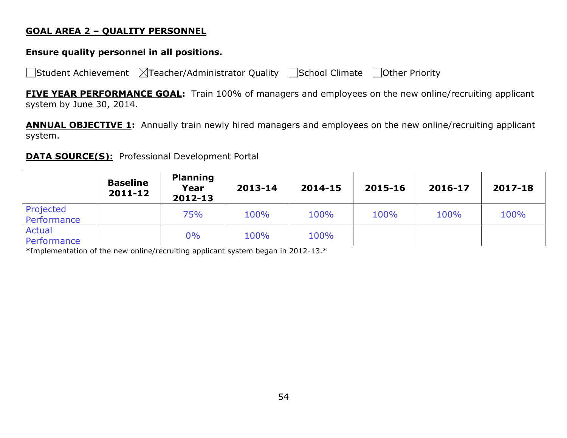#### **GOAL AREA 2 – QUALITY PERSONNEL**

### **Ensure quality personnel in all positions.**

 $\Box$ Student Achievement  $\Box$ Teacher/Administrator Quality  $\Box$ School Climate  $\Box$ Other Priority

**FIVE YEAR PERFORMANCE GOAL:** Train 100% of managers and employees on the new online/recruiting applicant system by June 30, 2014.

**ANNUAL OBJECTIVE 1:** Annually train newly hired managers and employees on the new online/recruiting applicant system.

### **DATA SOURCE(S):** Professional Development Portal

|                              | <b>Baseline</b><br>$2011 - 12$ | <b>Planning</b><br>Year<br>2012-13 | 2013-14 | 2014-15 | 2015-16 | 2016-17 | 2017-18 |
|------------------------------|--------------------------------|------------------------------------|---------|---------|---------|---------|---------|
| Projected<br>Performance     |                                | 75%                                | 100%    | 100%    | 100%    | 100%    | 100%    |
| <b>Actual</b><br>Performance |                                | 0%                                 | 100%    | 100%    |         |         |         |

\*Implementation of the new online/recruiting applicant system began in 2012-13.\*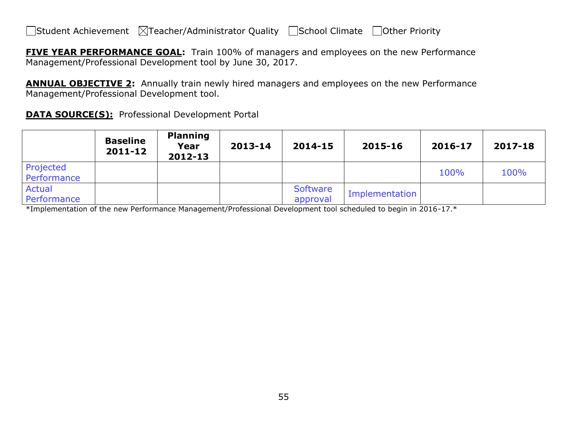**FIVE YEAR PERFORMANCE GOAL:** Train 100% of managers and employees on the new Performance Management/Professional Development tool by June 30, 2017.

**ANNUAL OBJECTIVE 2:** Annually train newly hired managers and employees on the new Performance Management/Professional Development tool.

**DATA SOURCE(S):** Professional Development Portal

|                              | <b>Baseline</b><br>2011-12 | <b>Planning</b><br>Year<br>2012-13 | 2013-14 | 2014-15              | 2015-16        | 2016-17 | 2017-18 |
|------------------------------|----------------------------|------------------------------------|---------|----------------------|----------------|---------|---------|
| Projected<br>Performance     |                            |                                    |         |                      |                | 100%    | 100%    |
| <b>Actual</b><br>Performance |                            |                                    |         | Software<br>approval | Implementation |         |         |

\*Implementation of the new Performance Management/Professional Development tool scheduled to begin in 2016-17.\*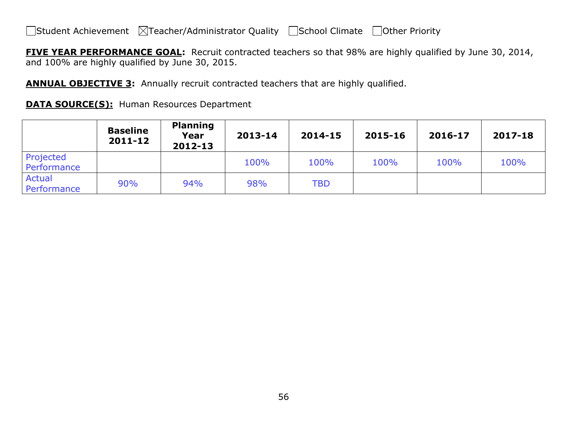**FIVE YEAR PERFORMANCE GOAL:** Recruit contracted teachers so that 98% are highly qualified by June 30, 2014, and 100% are highly qualified by June 30, 2015.

**ANNUAL OBJECTIVE 3:** Annually recruit contracted teachers that are highly qualified.

| <b>DATA SOURCE(S):</b> Human Resources Department |
|---------------------------------------------------|
|---------------------------------------------------|

|                              | <b>Baseline</b><br>2011-12 | <b>Planning</b><br>Year<br>2012-13 | 2013-14 | 2014-15    | 2015-16 | 2016-17 | 2017-18 |
|------------------------------|----------------------------|------------------------------------|---------|------------|---------|---------|---------|
| Projected<br>Performance     |                            |                                    | 100%    | 100%       | 100%    | 100%    | 100%    |
| <b>Actual</b><br>Performance | 90%                        | 94%                                | 98%     | <b>TBD</b> |         |         |         |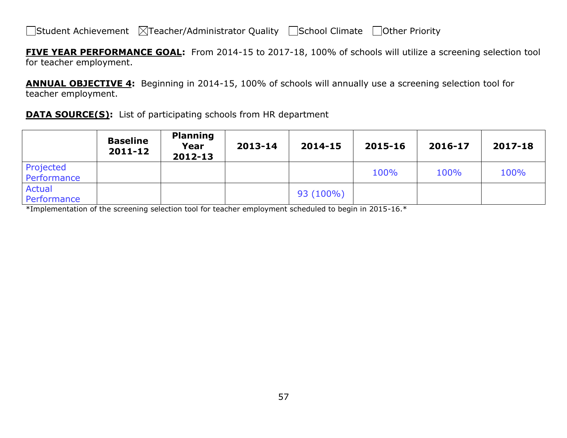**FIVE YEAR PERFORMANCE GOAL:** From 2014-15 to 2017-18, 100% of schools will utilize a screening selection tool for teacher employment.

**ANNUAL OBJECTIVE 4:** Beginning in 2014-15, 100% of schools will annually use a screening selection tool for teacher employment.

**DATA SOURCE(S):** List of participating schools from HR department

|                          | <b>Baseline</b><br>2011-12 | <b>Planning</b><br>Year<br>2012-13 | 2013-14 | 2014-15     | 2015-16 | 2016-17 | 2017-18 |
|--------------------------|----------------------------|------------------------------------|---------|-------------|---------|---------|---------|
| Projected<br>Performance |                            |                                    |         |             | 100%    | 100%    | 100%    |
| Actual<br>Performance    |                            |                                    |         | $93(100\%)$ |         |         |         |

\*Implementation of the screening selection tool for teacher employment scheduled to begin in 2015-16.\*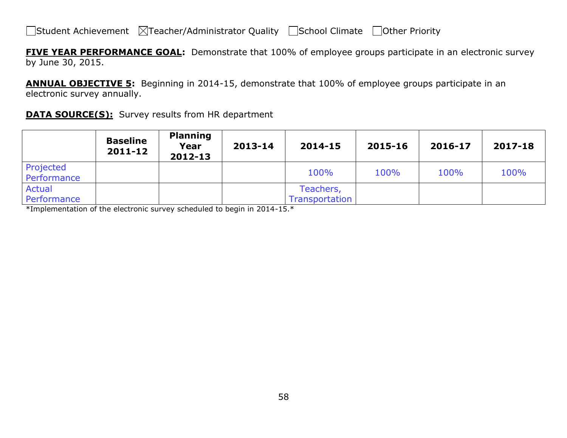**FIVE YEAR PERFORMANCE GOAL:** Demonstrate that 100% of employee groups participate in an electronic survey by June 30, 2015.

**ANNUAL OBJECTIVE 5:** Beginning in 2014-15, demonstrate that 100% of employee groups participate in an electronic survey annually.

| <b>DATA SOURCE(S):</b> Survey results from HR department |  |  |  |
|----------------------------------------------------------|--|--|--|
|----------------------------------------------------------|--|--|--|

|                          | <b>Baseline</b><br>2011-12 | <b>Planning</b><br>Year<br>2012-13 | 2013-14 | 2014-15               | 2015-16 | 2016-17 | 2017-18 |
|--------------------------|----------------------------|------------------------------------|---------|-----------------------|---------|---------|---------|
| Projected<br>Performance |                            |                                    |         | 100%                  | 100%    | 100%    | 100%    |
| Actual                   |                            |                                    |         | Teachers,             |         |         |         |
| Performance              |                            |                                    |         | <b>Transportation</b> |         |         |         |

\*Implementation of the electronic survey scheduled to begin in 2014-15.\*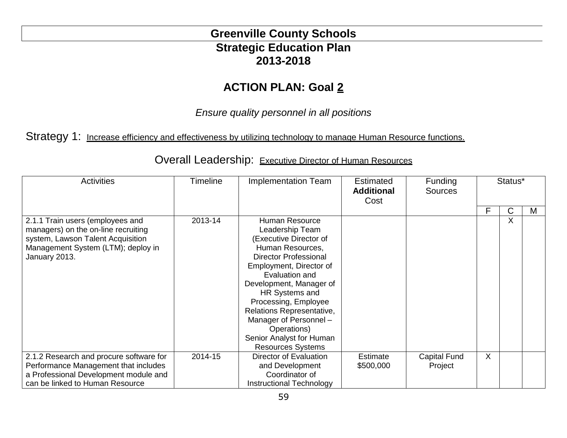# **Greenville County Schools Strategic Education Plan 2013-2018**

# **ACTION PLAN: Goal 2**

*Ensure quality personnel in all positions*

## Strategy 1: Increase efficiency and effectiveness by utilizing technology to manage Human Resource functions.

| <b>Activities</b>                                                                                                                                                   | <b>Timeline</b> | <b>Implementation Team</b>                                                                                                                                                                                                                                                                                                                                             | <b>Estimated</b><br><b>Additional</b><br>Cost | Funding<br><b>Sources</b> | Status* |   |   |
|---------------------------------------------------------------------------------------------------------------------------------------------------------------------|-----------------|------------------------------------------------------------------------------------------------------------------------------------------------------------------------------------------------------------------------------------------------------------------------------------------------------------------------------------------------------------------------|-----------------------------------------------|---------------------------|---------|---|---|
|                                                                                                                                                                     |                 |                                                                                                                                                                                                                                                                                                                                                                        |                                               |                           | F       | C | М |
| 2.1.1 Train users (employees and<br>managers) on the on-line recruiting<br>system, Lawson Talent Acquisition<br>Management System (LTM); deploy in<br>January 2013. | 2013-14         | <b>Human Resource</b><br>Leadership Team<br>(Executive Director of<br>Human Resources,<br><b>Director Professional</b><br>Employment, Director of<br>Evaluation and<br>Development, Manager of<br>HR Systems and<br>Processing, Employee<br>Relations Representative,<br>Manager of Personnel -<br>Operations)<br>Senior Analyst for Human<br><b>Resources Systems</b> |                                               |                           |         | X |   |
| 2.1.2 Research and procure software for                                                                                                                             | 2014-15         | Director of Evaluation                                                                                                                                                                                                                                                                                                                                                 | <b>Estimate</b>                               | Capital Fund              | $\sf X$ |   |   |
| Performance Management that includes                                                                                                                                |                 | and Development                                                                                                                                                                                                                                                                                                                                                        | \$500,000                                     | Project                   |         |   |   |
| a Professional Development module and                                                                                                                               |                 | Coordinator of                                                                                                                                                                                                                                                                                                                                                         |                                               |                           |         |   |   |
| can be linked to Human Resource                                                                                                                                     |                 | Instructional Technology                                                                                                                                                                                                                                                                                                                                               |                                               |                           |         |   |   |

Overall Leadership: Executive Director of Human Resources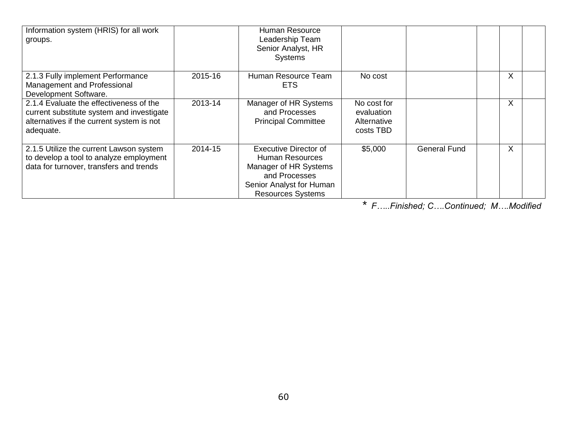| Information system (HRIS) for all work<br>groups.                                                                                              |         | Human Resource<br>Leadership Team<br>Senior Analyst, HR<br><b>Systems</b>                                                                         |                                                       |                     |              |
|------------------------------------------------------------------------------------------------------------------------------------------------|---------|---------------------------------------------------------------------------------------------------------------------------------------------------|-------------------------------------------------------|---------------------|--------------|
| 2.1.3 Fully implement Performance<br>Management and Professional<br>Development Software.                                                      | 2015-16 | Human Resource Team<br><b>ETS</b>                                                                                                                 | No cost                                               |                     | X            |
| 2.1.4 Evaluate the effectiveness of the<br>current substitute system and investigate<br>alternatives if the current system is not<br>adequate. | 2013-14 | Manager of HR Systems<br>and Processes<br><b>Principal Committee</b>                                                                              | No cost for<br>evaluation<br>Alternative<br>costs TBD |                     | $\sf X$      |
| 2.1.5 Utilize the current Lawson system<br>to develop a tool to analyze employment<br>data for turnover, transfers and trends                  | 2014-15 | <b>Executive Director of</b><br>Human Resources<br>Manager of HR Systems<br>and Processes<br>Senior Analyst for Human<br><b>Resources Systems</b> | \$5,000                                               | <b>General Fund</b> | $\mathsf{X}$ |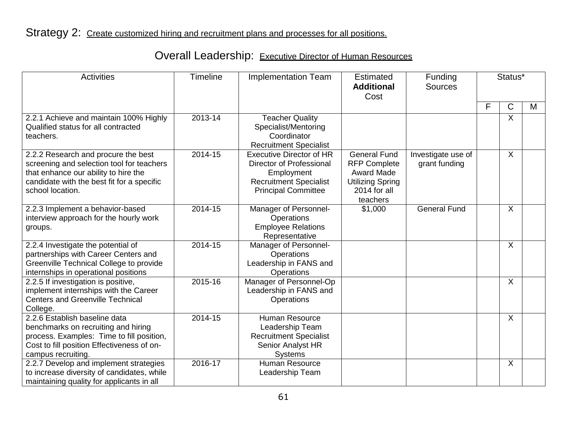| <b>Activities</b>                                                                                                                                                                          | Timeline | <b>Implementation Team</b>                                                                                                               | Estimated<br><b>Additional</b><br>Cost                                                                                 | Funding<br><b>Sources</b>           | Status* |              |   |
|--------------------------------------------------------------------------------------------------------------------------------------------------------------------------------------------|----------|------------------------------------------------------------------------------------------------------------------------------------------|------------------------------------------------------------------------------------------------------------------------|-------------------------------------|---------|--------------|---|
|                                                                                                                                                                                            |          |                                                                                                                                          |                                                                                                                        |                                     | F       | C            | M |
| 2.2.1 Achieve and maintain 100% Highly<br>Qualified status for all contracted<br>teachers.                                                                                                 | 2013-14  | <b>Teacher Quality</b><br>Specialist/Mentoring<br>Coordinator<br><b>Recruitment Specialist</b>                                           |                                                                                                                        |                                     |         | X            |   |
| 2.2.2 Research and procure the best<br>screening and selection tool for teachers<br>that enhance our ability to hire the<br>candidate with the best fit for a specific<br>school location. | 2014-15  | <b>Executive Director of HR</b><br>Director of Professional<br>Employment<br><b>Recruitment Specialist</b><br><b>Principal Committee</b> | <b>General Fund</b><br><b>RFP Complete</b><br><b>Award Made</b><br><b>Utilizing Spring</b><br>2014 for all<br>teachers | Investigate use of<br>grant funding |         | X            |   |
| 2.2.3 Implement a behavior-based<br>interview approach for the hourly work<br>groups.                                                                                                      | 2014-15  | Manager of Personnel-<br>Operations<br><b>Employee Relations</b><br>Representative                                                       | \$1,000                                                                                                                | <b>General Fund</b>                 |         | X            |   |
| 2.2.4 Investigate the potential of<br>partnerships with Career Centers and<br>Greenville Technical College to provide<br>internships in operational positions                              | 2014-15  | Manager of Personnel-<br>Operations<br>Leadership in FANS and<br>Operations                                                              |                                                                                                                        |                                     |         | X            |   |
| 2.2.5 If investigation is positive,<br>implement internships with the Career<br><b>Centers and Greenville Technical</b><br>College.                                                        | 2015-16  | Manager of Personnel-Op<br>Leadership in FANS and<br>Operations                                                                          |                                                                                                                        |                                     |         | X            |   |
| 2.2.6 Establish baseline data<br>benchmarks on recruiting and hiring<br>process. Examples: Time to fill position,<br>Cost to fill position Effectiveness of on-<br>campus recruiting.      | 2014-15  | <b>Human Resource</b><br>Leadership Team<br><b>Recruitment Specialist</b><br>Senior Analyst HR<br><b>Systems</b>                         |                                                                                                                        |                                     |         | $\mathsf{X}$ |   |
| 2.2.7 Develop and implement strategies<br>to increase diversity of candidates, while<br>maintaining quality for applicants in all                                                          | 2016-17  | <b>Human Resource</b><br>Leadership Team                                                                                                 |                                                                                                                        |                                     |         | X            |   |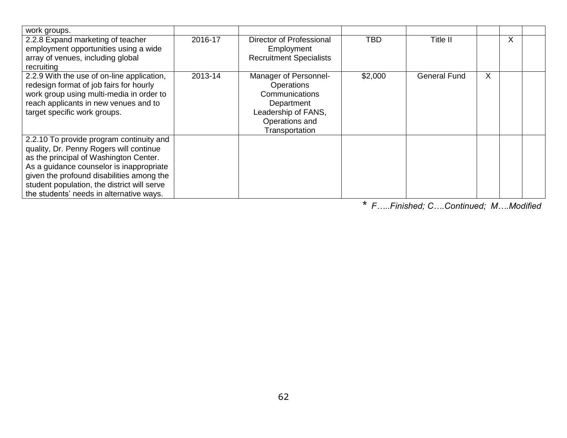| work groups.                                                                                                                                                                                                                                                                                                      |         |                                                                                                                                |            |                     |   |         |  |
|-------------------------------------------------------------------------------------------------------------------------------------------------------------------------------------------------------------------------------------------------------------------------------------------------------------------|---------|--------------------------------------------------------------------------------------------------------------------------------|------------|---------------------|---|---------|--|
| 2.2.8 Expand marketing of teacher<br>employment opportunities using a wide<br>array of venues, including global<br>recruiting                                                                                                                                                                                     | 2016-17 | Director of Professional<br>Employment<br><b>Recruitment Specialists</b>                                                       | <b>TBD</b> | Title II            |   | $\sf X$ |  |
| 2.2.9 With the use of on-line application,<br>redesign format of job fairs for hourly<br>work group using multi-media in order to<br>reach applicants in new venues and to<br>target specific work groups.                                                                                                        | 2013-14 | Manager of Personnel-<br>Operations<br>Communications<br>Department<br>Leadership of FANS,<br>Operations and<br>Transportation | \$2,000    | <b>General Fund</b> | X |         |  |
| 2.2.10 To provide program continuity and<br>quality, Dr. Penny Rogers will continue<br>as the principal of Washington Center.<br>As a guidance counselor is inappropriate<br>given the profound disabilities among the<br>student population, the district will serve<br>the students' needs in alternative ways. |         |                                                                                                                                |            |                     |   |         |  |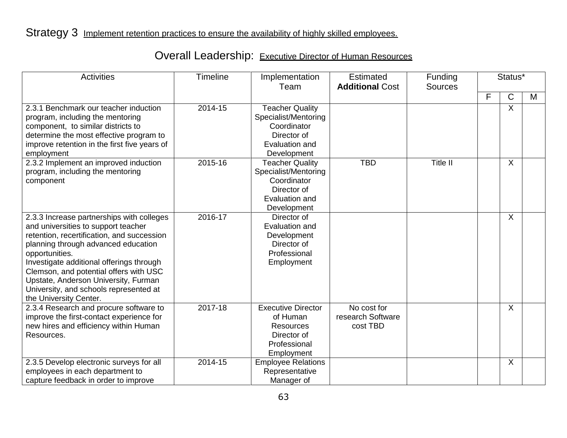| <b>Activities</b>                                                                                                                                                                                                                                                                                                                                                                         | <b>Timeline</b> | Implementation<br>Team                                                                                        | <b>Estimated</b><br><b>Additional Cost</b>   | Funding<br><b>Sources</b> | Status* |              |   |
|-------------------------------------------------------------------------------------------------------------------------------------------------------------------------------------------------------------------------------------------------------------------------------------------------------------------------------------------------------------------------------------------|-----------------|---------------------------------------------------------------------------------------------------------------|----------------------------------------------|---------------------------|---------|--------------|---|
|                                                                                                                                                                                                                                                                                                                                                                                           |                 |                                                                                                               |                                              |                           | F       | $\mathsf{C}$ | M |
| 2.3.1 Benchmark our teacher induction<br>program, including the mentoring<br>component, to similar districts to<br>determine the most effective program to<br>improve retention in the first five years of<br>employment                                                                                                                                                                  | 2014-15         | <b>Teacher Quality</b><br>Specialist/Mentoring<br>Coordinator<br>Director of<br>Evaluation and<br>Development |                                              |                           |         | X            |   |
| 2.3.2 Implement an improved induction<br>program, including the mentoring<br>component                                                                                                                                                                                                                                                                                                    | 2015-16         | <b>Teacher Quality</b><br>Specialist/Mentoring<br>Coordinator<br>Director of<br>Evaluation and<br>Development | <b>TBD</b>                                   | <b>Title II</b>           |         | $\sf X$      |   |
| 2.3.3 Increase partnerships with colleges<br>and universities to support teacher<br>retention, recertification, and succession<br>planning through advanced education<br>opportunities.<br>Investigate additional offerings through<br>Clemson, and potential offers with USC<br>Upstate, Anderson University, Furman<br>University, and schools represented at<br>the University Center. | 2016-17         | Director of<br>Evaluation and<br>Development<br>Director of<br>Professional<br>Employment                     |                                              |                           |         | $\sf X$      |   |
| 2.3.4 Research and procure software to<br>improve the first-contact experience for<br>new hires and efficiency within Human<br>Resources.                                                                                                                                                                                                                                                 | 2017-18         | <b>Executive Director</b><br>of Human<br><b>Resources</b><br>Director of<br>Professional<br>Employment        | No cost for<br>research Software<br>cost TBD |                           |         | X            |   |
| 2.3.5 Develop electronic surveys for all<br>employees in each department to<br>capture feedback in order to improve                                                                                                                                                                                                                                                                       | 2014-15         | <b>Employee Relations</b><br>Representative<br>Manager of                                                     |                                              |                           |         | $\sf X$      |   |

# Overall Leadership: Executive Director of Human Resources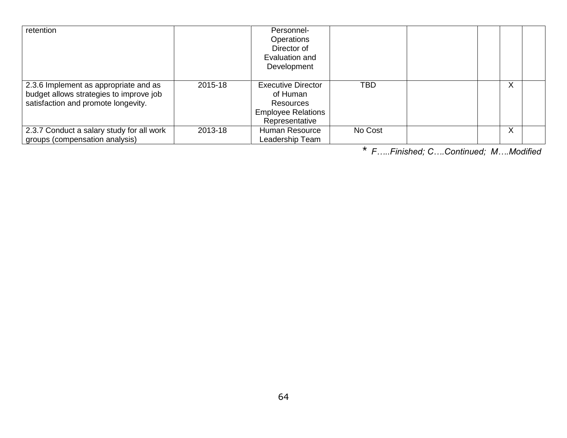| retention                                                                                                               |         | Personnel-<br>Operations<br>Director of<br>Evaluation and<br>Development                                 |            |  |   |  |
|-------------------------------------------------------------------------------------------------------------------------|---------|----------------------------------------------------------------------------------------------------------|------------|--|---|--|
| 2.3.6 Implement as appropriate and as<br>budget allows strategies to improve job<br>satisfaction and promote longevity. | 2015-18 | <b>Executive Director</b><br>of Human<br><b>Resources</b><br><b>Employee Relations</b><br>Representative | <b>TBD</b> |  | X |  |
| 2.3.7 Conduct a salary study for all work<br>groups (compensation analysis)                                             | 2013-18 | Human Resource<br>Leadership Team                                                                        | No Cost    |  | X |  |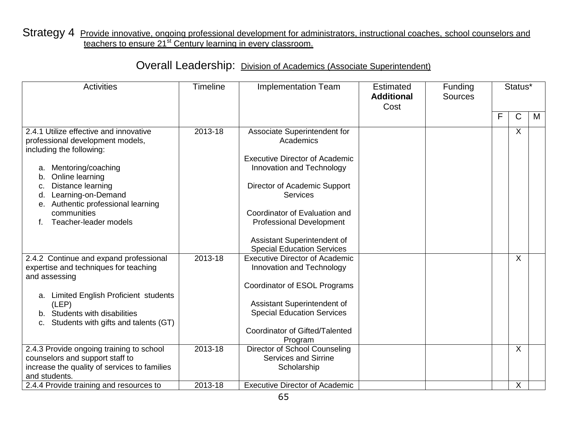### Strategy 4 Provide innovative, ongoing professional development for administrators, instructional coaches, school counselors and teachers to ensure 21<sup>st</sup> Century learning in every classroom.

| <b>Activities</b>                                                                                                                            | Timeline | <b>Implementation Team</b>                                                  | <b>Estimated</b><br><b>Additional</b><br>Cost | Funding<br><b>Sources</b> |   | Status*      |   |
|----------------------------------------------------------------------------------------------------------------------------------------------|----------|-----------------------------------------------------------------------------|-----------------------------------------------|---------------------------|---|--------------|---|
|                                                                                                                                              |          |                                                                             |                                               |                           | F | $\mathsf{C}$ | M |
| 2.4.1 Utilize effective and innovative<br>professional development models,<br>including the following:                                       | 2013-18  | Associate Superintendent for<br>Academics                                   |                                               |                           |   | X            |   |
| Mentoring/coaching<br>Online learning<br>b.                                                                                                  |          | <b>Executive Director of Academic</b><br>Innovation and Technology          |                                               |                           |   |              |   |
| Distance learning<br>C.<br>Learning-on-Demand<br>d.<br>Authentic professional learning<br>е.                                                 |          | Director of Academic Support<br><b>Services</b>                             |                                               |                           |   |              |   |
| communities<br>Teacher-leader models                                                                                                         |          | Coordinator of Evaluation and<br><b>Professional Development</b>            |                                               |                           |   |              |   |
|                                                                                                                                              |          | Assistant Superintendent of<br><b>Special Education Services</b>            |                                               |                           |   |              |   |
| 2.4.2 Continue and expand professional<br>expertise and techniques for teaching<br>and assessing                                             | 2013-18  | <b>Executive Director of Academic</b><br>Innovation and Technology          |                                               |                           |   | X            |   |
|                                                                                                                                              |          | Coordinator of ESOL Programs                                                |                                               |                           |   |              |   |
| a. Limited English Proficient students<br>(LEP)<br>b. Students with disabilities<br>Students with gifts and talents (GT)                     |          | Assistant Superintendent of<br><b>Special Education Services</b>            |                                               |                           |   |              |   |
| C.                                                                                                                                           |          | Coordinator of Gifted/Talented<br>Program                                   |                                               |                           |   |              |   |
| 2.4.3 Provide ongoing training to school<br>counselors and support staff to<br>increase the quality of services to families<br>and students. | 2013-18  | Director of School Counseling<br><b>Services and Sirrine</b><br>Scholarship |                                               |                           |   | X            |   |
| 2.4.4 Provide training and resources to                                                                                                      | 2013-18  | <b>Executive Director of Academic</b>                                       |                                               |                           |   | X            |   |

## Overall Leadership: Division of Academics (Associate Superintendent)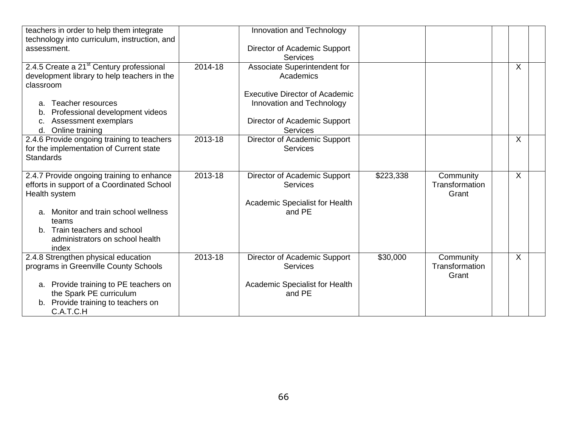| teachers in order to help them integrate<br>technology into curriculum, instruction, and                               |         | Innovation and Technology                                          |           |                                      |                         |  |
|------------------------------------------------------------------------------------------------------------------------|---------|--------------------------------------------------------------------|-----------|--------------------------------------|-------------------------|--|
| assessment.                                                                                                            |         | Director of Academic Support<br><b>Services</b>                    |           |                                      |                         |  |
| 2.4.5 Create a 21 <sup>st</sup> Century professional<br>development library to help teachers in the<br>classroom       | 2014-18 | Associate Superintendent for<br>Academics                          |           |                                      | $\sf X$                 |  |
| Teacher resources<br>a.<br>Professional development videos<br>b.                                                       |         | <b>Executive Director of Academic</b><br>Innovation and Technology |           |                                      |                         |  |
| Assessment exemplars<br>C.<br>d. Online training                                                                       |         | Director of Academic Support<br><b>Services</b>                    |           |                                      |                         |  |
| 2.4.6 Provide ongoing training to teachers<br>for the implementation of Current state<br><b>Standards</b>              | 2013-18 | Director of Academic Support<br><b>Services</b>                    |           |                                      | $\sf X$                 |  |
| 2.4.7 Provide ongoing training to enhance<br>efforts in support of a Coordinated School<br>Health system               | 2013-18 | Director of Academic Support<br><b>Services</b>                    | \$223,338 | Community<br>Transformation<br>Grant | $\overline{\mathsf{x}}$ |  |
| Monitor and train school wellness<br>a.<br>teams                                                                       |         | Academic Specialist for Health<br>and PE                           |           |                                      |                         |  |
| b. Train teachers and school<br>administrators on school health<br>index                                               |         |                                                                    |           |                                      |                         |  |
| 2.4.8 Strengthen physical education<br>programs in Greenville County Schools                                           | 2013-18 | Director of Academic Support<br><b>Services</b>                    | \$30,000  | Community<br>Transformation<br>Grant | $\sf X$                 |  |
| a. Provide training to PE teachers on<br>the Spark PE curriculum<br>Provide training to teachers on<br>b.<br>C.A.T.C.H |         | Academic Specialist for Health<br>and PE                           |           |                                      |                         |  |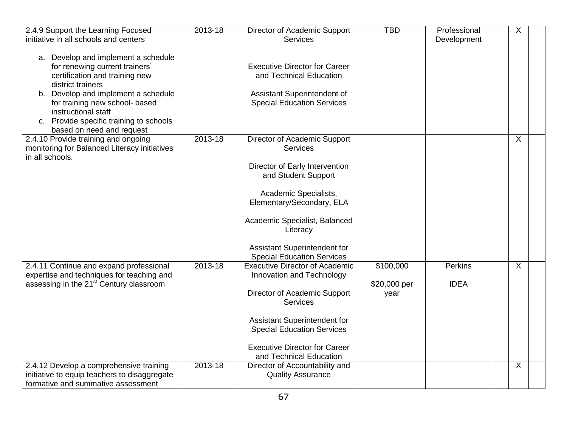| 2.4.9 Support the Learning Focused<br>initiative in all schools and centers                                                             | 2013-18 | Director of Academic Support<br><b>Services</b>                    | <b>TBD</b>           | Professional<br>Development | X              |  |
|-----------------------------------------------------------------------------------------------------------------------------------------|---------|--------------------------------------------------------------------|----------------------|-----------------------------|----------------|--|
| a. Develop and implement a schedule<br>for renewing current trainers'<br>certification and training new<br>district trainers            |         | <b>Executive Director for Career</b><br>and Technical Education    |                      |                             |                |  |
| b. Develop and implement a schedule<br>for training new school- based<br>instructional staff<br>c. Provide specific training to schools |         | Assistant Superintendent of<br><b>Special Education Services</b>   |                      |                             |                |  |
| based on need and request<br>2.4.10 Provide training and ongoing                                                                        | 2013-18 | Director of Academic Support                                       |                      |                             | X              |  |
| monitoring for Balanced Literacy initiatives<br>in all schools.                                                                         |         | <b>Services</b>                                                    |                      |                             |                |  |
|                                                                                                                                         |         | Director of Early Intervention<br>and Student Support              |                      |                             |                |  |
|                                                                                                                                         |         | Academic Specialists,<br>Elementary/Secondary, ELA                 |                      |                             |                |  |
|                                                                                                                                         |         | Academic Specialist, Balanced<br>Literacy                          |                      |                             |                |  |
|                                                                                                                                         |         | Assistant Superintendent for<br><b>Special Education Services</b>  |                      |                             |                |  |
| 2.4.11 Continue and expand professional<br>expertise and techniques for teaching and                                                    | 2013-18 | <b>Executive Director of Academic</b><br>Innovation and Technology | \$100,000            | <b>Perkins</b>              | $\pmb{\times}$ |  |
| assessing in the 21 <sup>st</sup> Century classroom                                                                                     |         | Director of Academic Support<br>Services                           | \$20,000 per<br>year | <b>IDEA</b>                 |                |  |
|                                                                                                                                         |         | Assistant Superintendent for<br><b>Special Education Services</b>  |                      |                             |                |  |
|                                                                                                                                         |         | <b>Executive Director for Career</b><br>and Technical Education    |                      |                             |                |  |
| 2.4.12 Develop a comprehensive training<br>initiative to equip teachers to disaggregate<br>formative and summative assessment           | 2013-18 | Director of Accountability and<br><b>Quality Assurance</b>         |                      |                             | X              |  |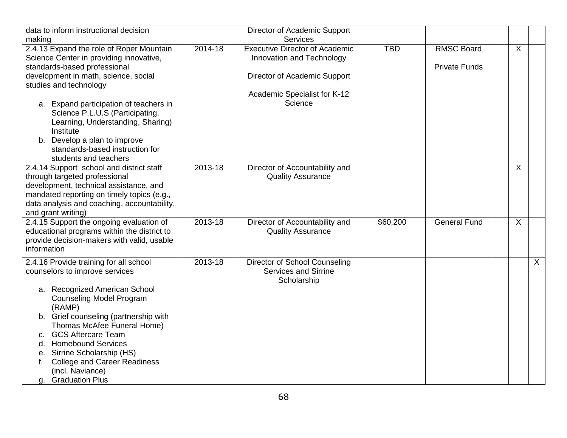| data to inform instructional decision<br>making                                                                                                                                                                                                                                                                                                                                                                                         |         | Director of Academic Support<br><b>Services</b>                                                                                               |            |                                           |                |              |
|-----------------------------------------------------------------------------------------------------------------------------------------------------------------------------------------------------------------------------------------------------------------------------------------------------------------------------------------------------------------------------------------------------------------------------------------|---------|-----------------------------------------------------------------------------------------------------------------------------------------------|------------|-------------------------------------------|----------------|--------------|
| 2.4.13 Expand the role of Roper Mountain<br>Science Center in providing innovative,<br>standards-based professional<br>development in math, science, social<br>studies and technology<br>a. Expand participation of teachers in<br>Science P.L.U.S (Participating,<br>Learning, Understanding, Sharing)<br>Institute<br>b. Develop a plan to improve<br>standards-based instruction for                                                 | 2014-18 | <b>Executive Director of Academic</b><br>Innovation and Technology<br>Director of Academic Support<br>Academic Specialist for K-12<br>Science | <b>TBD</b> | <b>RMSC Board</b><br><b>Private Funds</b> | $\pmb{\times}$ |              |
| students and teachers<br>2.4.14 Support school and district staff<br>through targeted professional<br>development, technical assistance, and<br>mandated reporting on timely topics (e.g.,<br>data analysis and coaching, accountability,<br>and grant writing)                                                                                                                                                                         | 2013-18 | Director of Accountability and<br><b>Quality Assurance</b>                                                                                    |            |                                           | $\sf X$        |              |
| 2.4.15 Support the ongoing evaluation of<br>educational programs within the district to<br>provide decision-makers with valid, usable<br>information                                                                                                                                                                                                                                                                                    | 2013-18 | Director of Accountability and<br><b>Quality Assurance</b>                                                                                    | \$60,200   | <b>General Fund</b>                       | X              |              |
| 2.4.16 Provide training for all school<br>counselors to improve services<br>a. Recognized American School<br><b>Counseling Model Program</b><br>(RAMP)<br>b. Grief counseling (partnership with<br>Thomas McAfee Funeral Home)<br><b>GCS Aftercare Team</b><br>c.<br><b>Homebound Services</b><br>d.<br>Sirrine Scholarship (HS)<br>е.<br><b>College and Career Readiness</b><br>f.<br>(incl. Naviance)<br><b>Graduation Plus</b><br>g. | 2013-18 | Director of School Counseling<br><b>Services and Sirrine</b><br>Scholarship                                                                   |            |                                           |                | $\mathsf{X}$ |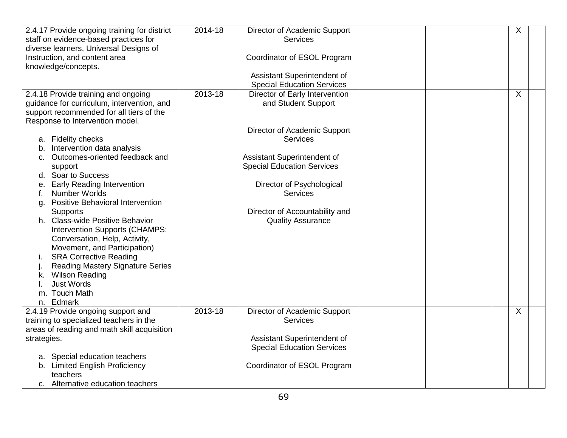| 2.4.17 Provide ongoing training for district<br>staff on evidence-based practices for<br>diverse learners, Universal Designs of | 2014-18     | Director of Academic Support<br><b>Services</b> |  | Χ |
|---------------------------------------------------------------------------------------------------------------------------------|-------------|-------------------------------------------------|--|---|
| Instruction, and content area<br>knowledge/concepts.                                                                            |             | Coordinator of ESOL Program                     |  |   |
|                                                                                                                                 |             | Assistant Superintendent of                     |  |   |
|                                                                                                                                 |             | <b>Special Education Services</b>               |  |   |
| 2.4.18 Provide training and ongoing                                                                                             | $2013 - 18$ | Director of Early Intervention                  |  | X |
| guidance for curriculum, intervention, and                                                                                      |             | and Student Support                             |  |   |
| support recommended for all tiers of the                                                                                        |             |                                                 |  |   |
| Response to Intervention model.                                                                                                 |             |                                                 |  |   |
|                                                                                                                                 |             | Director of Academic Support                    |  |   |
| a. Fidelity checks                                                                                                              |             | <b>Services</b>                                 |  |   |
| Intervention data analysis<br>b.                                                                                                |             |                                                 |  |   |
| Outcomes-oriented feedback and<br>C.                                                                                            |             | Assistant Superintendent of                     |  |   |
| support                                                                                                                         |             | <b>Special Education Services</b>               |  |   |
| Soar to Success<br>d.                                                                                                           |             |                                                 |  |   |
| <b>Early Reading Intervention</b><br>е.                                                                                         |             | Director of Psychological                       |  |   |
| Number Worlds<br>t.                                                                                                             |             | <b>Services</b>                                 |  |   |
| <b>Positive Behavioral Intervention</b><br>a.                                                                                   |             |                                                 |  |   |
| <b>Supports</b>                                                                                                                 |             | Director of Accountability and                  |  |   |
| h. Class-wide Positive Behavior                                                                                                 |             | <b>Quality Assurance</b>                        |  |   |
| Intervention Supports (CHAMPS:                                                                                                  |             |                                                 |  |   |
| Conversation, Help, Activity,                                                                                                   |             |                                                 |  |   |
| Movement, and Participation)                                                                                                    |             |                                                 |  |   |
| <b>SRA Corrective Reading</b><br>i.                                                                                             |             |                                                 |  |   |
| <b>Reading Mastery Signature Series</b>                                                                                         |             |                                                 |  |   |
| <b>Wilson Reading</b><br>k.                                                                                                     |             |                                                 |  |   |
| <b>Just Words</b>                                                                                                               |             |                                                 |  |   |
| m. Touch Math                                                                                                                   |             |                                                 |  |   |
| n. Edmark                                                                                                                       |             |                                                 |  |   |
| 2.4.19 Provide ongoing support and                                                                                              | 2013-18     | Director of Academic Support                    |  | X |
| training to specialized teachers in the                                                                                         |             | <b>Services</b>                                 |  |   |
| areas of reading and math skill acquisition                                                                                     |             |                                                 |  |   |
| strategies.                                                                                                                     |             | Assistant Superintendent of                     |  |   |
|                                                                                                                                 |             | <b>Special Education Services</b>               |  |   |
| a. Special education teachers                                                                                                   |             |                                                 |  |   |
| b. Limited English Proficiency                                                                                                  |             | Coordinator of ESOL Program                     |  |   |
| teachers                                                                                                                        |             |                                                 |  |   |
| c. Alternative education teachers                                                                                               |             |                                                 |  |   |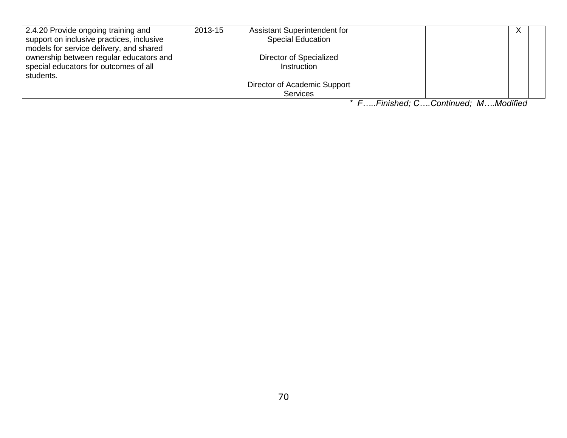| 2.4.20 Provide ongoing training and       | 2013-15 | <b>Assistant Superintendent for</b> |  |  |
|-------------------------------------------|---------|-------------------------------------|--|--|
| support on inclusive practices, inclusive |         | <b>Special Education</b>            |  |  |
| models for service delivery, and shared   |         |                                     |  |  |
| ownership between regular educators and   |         | Director of Specialized             |  |  |
| special educators for outcomes of all     |         | Instruction                         |  |  |
| students.                                 |         |                                     |  |  |
|                                           |         | Director of Academic Support        |  |  |
|                                           |         | <b>Services</b>                     |  |  |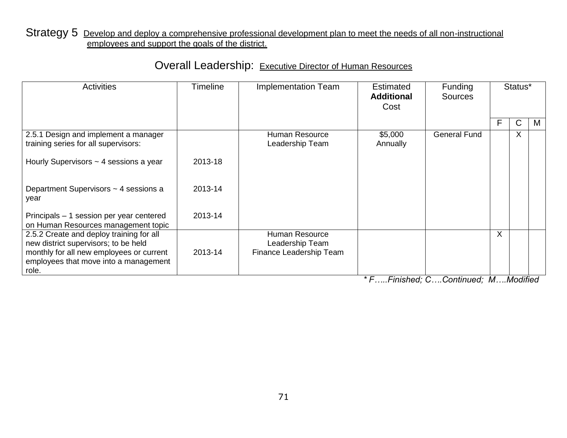#### Strategy 5 Develop and deploy a comprehensive professional development plan to meet the needs of all non-instructional employees and support the goals of the district.

## Overall Leadership: Executive Director of Human Resources

| <b>Activities</b>                                                                                                                                                     | Timeline | <b>Implementation Team</b>                                   | <b>Estimated</b><br><b>Additional</b><br>Cost | <b>Funding</b><br><b>Sources</b> | Status* |              |   |
|-----------------------------------------------------------------------------------------------------------------------------------------------------------------------|----------|--------------------------------------------------------------|-----------------------------------------------|----------------------------------|---------|--------------|---|
|                                                                                                                                                                       |          |                                                              |                                               |                                  | F       | $\mathsf{C}$ | M |
| 2.5.1 Design and implement a manager<br>training series for all supervisors:                                                                                          |          | <b>Human Resource</b><br>Leadership Team                     | \$5,000<br>Annually                           | <b>General Fund</b>              |         | $\sf X$      |   |
| Hourly Supervisors $\sim$ 4 sessions a year                                                                                                                           | 2013-18  |                                                              |                                               |                                  |         |              |   |
| Department Supervisors ~ 4 sessions a<br>year                                                                                                                         | 2013-14  |                                                              |                                               |                                  |         |              |   |
| Principals – 1 session per year centered<br>on Human Resources management topic                                                                                       | 2013-14  |                                                              |                                               |                                  |         |              |   |
| 2.5.2 Create and deploy training for all<br>new district supervisors; to be held<br>monthly for all new employees or current<br>employees that move into a management | 2013-14  | Human Resource<br>Leadership Team<br>Finance Leadership Team |                                               |                                  | $\sf X$ |              |   |
| role.                                                                                                                                                                 |          |                                                              |                                               |                                  |         |              |   |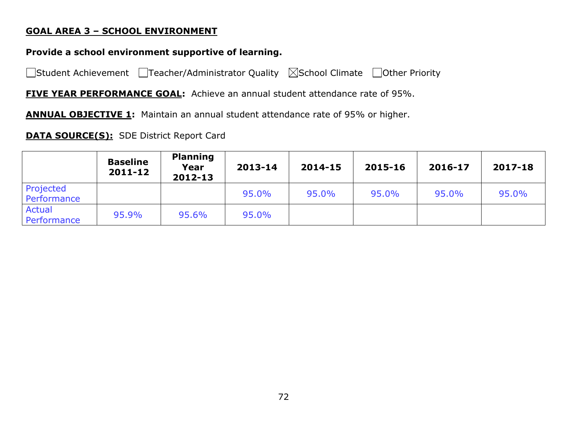#### **GOAL AREA 3 – SCHOOL ENVIRONMENT**

### **Provide a school environment supportive of learning.**

□Student Achievement □Teacher/Administrator Quality ⊠School Climate □Other Priority

**FIVE YEAR PERFORMANCE GOAL:** Achieve an annual student attendance rate of 95%.

**ANNUAL OBJECTIVE 1:** Maintain an annual student attendance rate of 95% or higher.

### **DATA SOURCE(S):** SDE District Report Card

|                          | <b>Baseline</b><br>2011-12 | <b>Planning</b><br>Year<br>2012-13 | 2013-14 | 2014-15 | 2015-16 | 2016-17 | 2017-18 |
|--------------------------|----------------------------|------------------------------------|---------|---------|---------|---------|---------|
| Projected<br>Performance |                            |                                    | 95.0%   | 95.0%   | 95.0%   | 95.0%   | 95.0%   |
| Actual<br>Performance    | 95.9%                      | 95.6%                              | 95.0%   |         |         |         |         |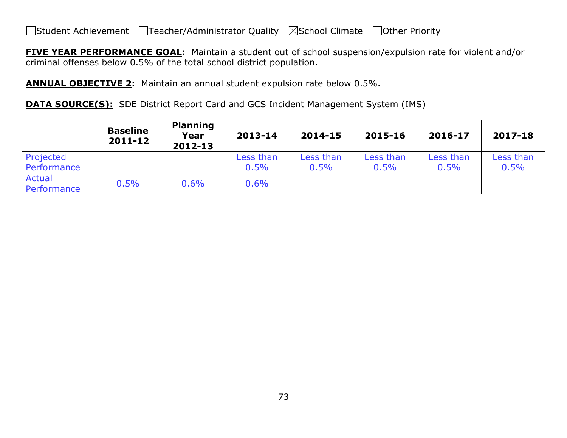**FIVE YEAR PERFORMANCE GOAL:** Maintain a student out of school suspension/expulsion rate for violent and/or criminal offenses below 0.5% of the total school district population.

**ANNUAL OBJECTIVE 2:** Maintain an annual student expulsion rate below 0.5%.

**DATA SOURCE(S):** SDE District Report Card and GCS Incident Management System (IMS)

|                              | <b>Baseline</b><br>2011-12 | <b>Planning</b><br>Year<br>2012-13 | 2013-14           | 2014-15           | 2015-16           | 2016-17           | 2017-18           |
|------------------------------|----------------------------|------------------------------------|-------------------|-------------------|-------------------|-------------------|-------------------|
| Projected<br>Performance     |                            |                                    | Less than<br>0.5% | Less than<br>0.5% | Less than<br>0.5% | Less than<br>0.5% | Less than<br>0.5% |
| <b>Actual</b><br>Performance | 0.5%                       | 0.6%                               | 0.6%              |                   |                   |                   |                   |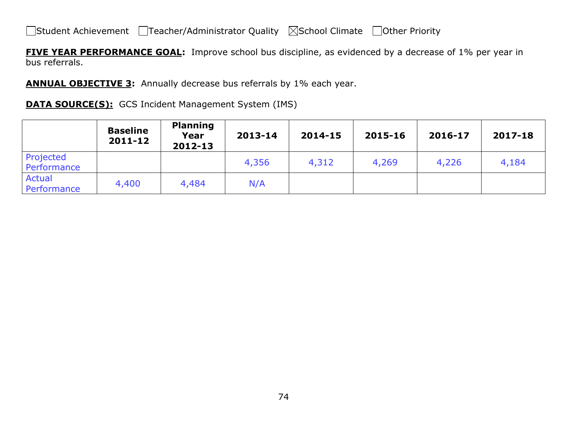**FIVE YEAR PERFORMANCE GOAL:** Improve school bus discipline, as evidenced by a decrease of 1% per year in bus referrals.

**ANNUAL OBJECTIVE 3:** Annually decrease bus referrals by 1% each year.

#### **DATA SOURCE(S):** GCS Incident Management System (IMS)

|                          | <b>Baseline</b><br>$2011 - 12$ | <b>Planning</b><br>Year<br>2012-13 | 2013-14 | 2014-15 | 2015-16 | 2016-17 | 2017-18 |
|--------------------------|--------------------------------|------------------------------------|---------|---------|---------|---------|---------|
| Projected<br>Performance |                                |                                    | 4,356   | 4,312   | 4,269   | 4,226   | 4,184   |
| Actual<br>Performance    | 4,400                          | 4,484                              | N/A     |         |         |         |         |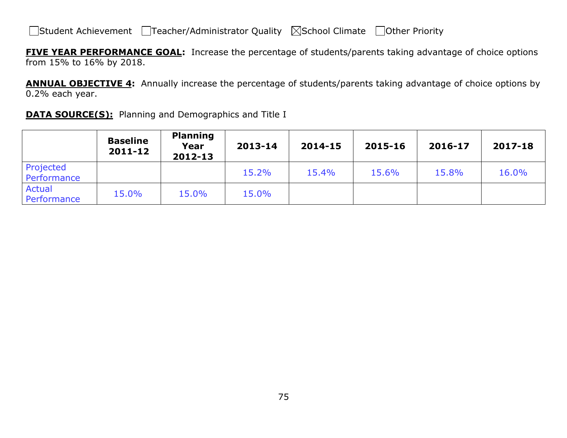**FIVE YEAR PERFORMANCE GOAL:** Increase the percentage of students/parents taking advantage of choice options from 15% to 16% by 2018.

**ANNUAL OBJECTIVE 4:** Annually increase the percentage of students/parents taking advantage of choice options by 0.2% each year.

| <b>DATA SOURCE(S):</b> Planning and Demographics and Title I |  |  |  |
|--------------------------------------------------------------|--|--|--|
|--------------------------------------------------------------|--|--|--|

|                          | <b>Baseline</b><br>$2011 - 12$ | <b>Planning</b><br>Year<br>$2012 - 13$ | 2013-14 | 2014-15 | 2015-16 | 2016-17 | 2017-18 |
|--------------------------|--------------------------------|----------------------------------------|---------|---------|---------|---------|---------|
| Projected<br>Performance |                                |                                        | 15.2%   | 15.4%   | 15.6%   | 15.8%   | 16.0%   |
| Actual<br>Performance    | 15.0%                          | 15.0%                                  | 15.0%   |         |         |         |         |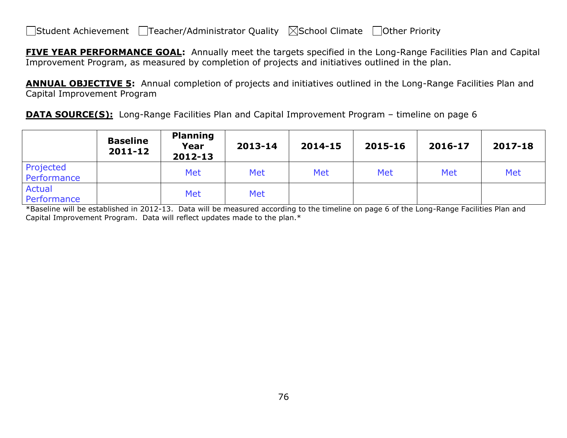**FIVE YEAR PERFORMANCE GOAL:** Annually meet the targets specified in the Long-Range Facilities Plan and Capital Improvement Program, as measured by completion of projects and initiatives outlined in the plan.

**ANNUAL OBJECTIVE 5:** Annual completion of projects and initiatives outlined in the Long-Range Facilities Plan and Capital Improvement Program

**DATA SOURCE(S):** Long-Range Facilities Plan and Capital Improvement Program – timeline on page 6

|                              | <b>Baseline</b><br>2011-12 | <b>Planning</b><br>Year<br>2012-13 | 2013-14    | 2014-15 | 2015-16 | 2016-17 | 2017-18 |
|------------------------------|----------------------------|------------------------------------|------------|---------|---------|---------|---------|
| Projected<br>Performance     |                            | <b>Met</b>                         | Met        | Met     | Met     | Met     | Met     |
| <b>Actual</b><br>Performance |                            | <b>Met</b>                         | <b>Met</b> |         |         |         |         |

\*Baseline will be established in 2012-13. Data will be measured according to the timeline on page 6 of the Long-Range Facilities Plan and Capital Improvement Program. Data will reflect updates made to the plan.\*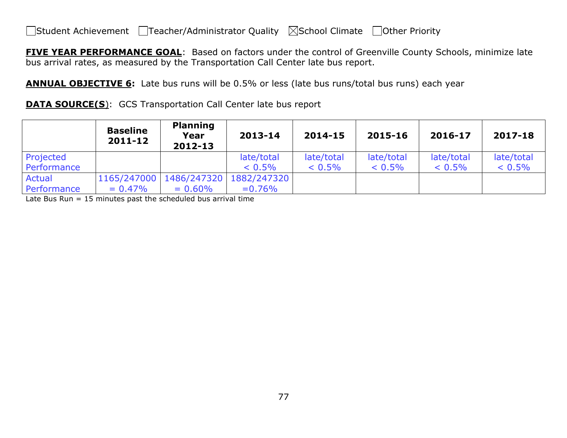**FIVE YEAR PERFORMANCE GOAL**: Based on factors under the control of Greenville County Schools, minimize late bus arrival rates, as measured by the Transportation Call Center late bus report.

**ANNUAL OBJECTIVE 6:** Late bus runs will be 0.5% or less (late bus runs/total bus runs) each year

**DATA SOURCE(S):** GCS Transportation Call Center late bus report

|               | <b>Baseline</b><br>2011-12 | <b>Planning</b><br>Year<br>2012-13 | 2013-14                   | 2014-15    | 2015-16    | 2016-17    | 2017-18    |
|---------------|----------------------------|------------------------------------|---------------------------|------------|------------|------------|------------|
| Projected     |                            |                                    | late/total                | late/total | late/total | late/total | late/total |
| Performance   |                            |                                    | $< 0.5\%$                 | $< 0.5\%$  | $< 0.5\%$  | $< 0.5\%$  | $< 0.5\%$  |
| <b>Actual</b> | 1165/247000                |                                    | 1486/247320   1882/247320 |            |            |            |            |
| Performance   | $= 0.47\%$                 | $= 0.60\%$                         | $= 0.76\%$                |            |            |            |            |

Late Bus Run = 15 minutes past the scheduled bus arrival time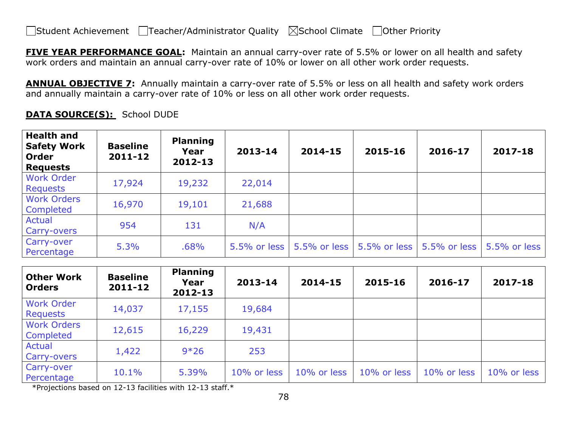**FIVE YEAR PERFORMANCE GOAL:** Maintain an annual carry-over rate of 5.5% or lower on all health and safety work orders and maintain an annual carry-over rate of 10% or lower on all other work order requests.

**ANNUAL OBJECTIVE 7:** Annually maintain a carry-over rate of 5.5% or less on all health and safety work orders and annually maintain a carry-over rate of 10% or less on all other work order requests.

| <b>Health and</b><br><b>Safety Work</b><br>Order<br><b>Requests</b> | <b>Baseline</b><br>$2011 - 12$ | <b>Planning</b><br>Year<br>2012-13 | 2013-14      | 2014-15      | 2015-16      | 2016-17      | 2017-18      |
|---------------------------------------------------------------------|--------------------------------|------------------------------------|--------------|--------------|--------------|--------------|--------------|
| <b>Work Order</b><br>Requests                                       | 17,924                         | 19,232                             | 22,014       |              |              |              |              |
| <b>Work Orders</b><br>Completed                                     | 16,970                         | 19,101                             | 21,688       |              |              |              |              |
| Actual<br>Carry-overs                                               | 954                            | 131                                | N/A          |              |              |              |              |
| Carry-over<br>Percentage                                            | 5.3%                           | .68%                               | 5.5% or less | 5.5% or less | 5.5% or less | 5.5% or less | 5.5% or less |

**DATA SOURCE(S):** School DUDE

| <b>Other Work</b><br><b>Orders</b> | <b>Baseline</b><br>2011-12 | <b>Planning</b><br>Year<br>2012-13 | 2013-14     | 2014-15     | 2015-16     | 2016-17     | 2017-18     |
|------------------------------------|----------------------------|------------------------------------|-------------|-------------|-------------|-------------|-------------|
| <b>Work Order</b><br>Requests      | 14,037                     | 17,155                             | 19,684      |             |             |             |             |
| <b>Work Orders</b><br>Completed    | 12,615                     | 16,229                             | 19,431      |             |             |             |             |
| Actual<br>Carry-overs              | 1,422                      | $9*26$                             | 253         |             |             |             |             |
| Carry-over<br>Percentage           | 10.1%                      | 5.39%                              | 10% or less | 10% or less | 10% or less | 10% or less | 10% or less |

\*Projections based on 12-13 facilities with 12-13 staff.\*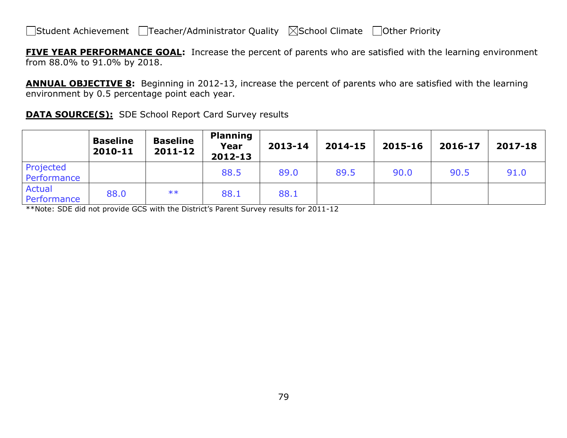**FIVE YEAR PERFORMANCE GOAL:** Increase the percent of parents who are satisfied with the learning environment from 88.0% to 91.0% by 2018.

**ANNUAL OBJECTIVE 8:** Beginning in 2012-13, increase the percent of parents who are satisfied with the learning environment by 0.5 percentage point each year.

**DATA SOURCE(S):** SDE School Report Card Survey results

|                          | <b>Baseline</b><br>2010-11 | <b>Baseline</b><br>$2011 - 12$ | <b>Planning</b><br>Year<br>2012-13 | 2013-14 | 2014-15 | 2015-16 | 2016-17 | 2017-18 |
|--------------------------|----------------------------|--------------------------------|------------------------------------|---------|---------|---------|---------|---------|
| Projected<br>Performance |                            |                                | 88.5                               | 89.0    | 89.5    | 90.0    | 90.5    | 91.0    |
| Actual<br>Performance    | 88.0                       | $**$                           | 88.1                               | 88.1    |         |         |         |         |

\*\*Note: SDE did not provide GCS with the District's Parent Survey results for 2011-12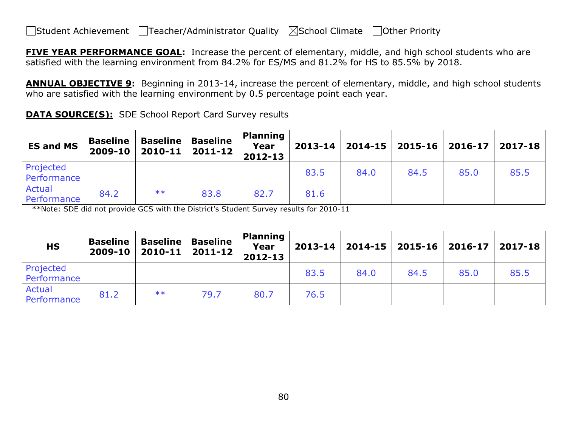**FIVE YEAR PERFORMANCE GOAL:** Increase the percent of elementary, middle, and high school students who are satisfied with the learning environment from 84.2% for ES/MS and 81.2% for HS to 85.5% by 2018.

**ANNUAL OBJECTIVE 9:** Beginning in 2013-14, increase the percent of elementary, middle, and high school students who are satisfied with the learning environment by 0.5 percentage point each year.

| <b>DATA SOURCE(S):</b> SDE School Report Card Survey results |
|--------------------------------------------------------------|
|                                                              |

| <b>ES and MS</b>         | <b>Baseline</b><br>2009-10 | <b>Baseline</b> | <b>Baseline</b><br>$2010 - 11$   2011-12 | <b>Planning</b><br>Year<br>2012-13 |      |      |      |      | 2013-14   2014-15   2015-16   2016-17   2017-18 |
|--------------------------|----------------------------|-----------------|------------------------------------------|------------------------------------|------|------|------|------|-------------------------------------------------|
| Projected<br>Performance |                            |                 |                                          |                                    | 83.5 | 84.0 | 84.5 | 85.0 | 85.5                                            |
| Actual<br>Performance    | 84.2                       | $***$           | 83.8                                     | 82.7                               | 81.6 |      |      |      |                                                 |

\*\*Note: SDE did not provide GCS with the District's Student Survey results for 2010-11

| <b>HS</b>                | <b>Baseline</b><br>2009-10 | <b>Baseline</b><br>2010-11 | <b>Baseline</b><br>$2011 - 12$ | <b>Planning</b><br>Year<br>2012-13 | $2013 - 14$ |      | $\mid$ 2014-15 $\mid$ 2015-16 $\mid$ 2016-17 |      | 2017-18 |
|--------------------------|----------------------------|----------------------------|--------------------------------|------------------------------------|-------------|------|----------------------------------------------|------|---------|
| Projected<br>Performance |                            |                            |                                |                                    | 83.5        | 84.0 | 84.5                                         | 85.0 | 85.5    |
| Actual<br>Performance    | 81.2                       | $***$                      | 79.7                           | 80.7                               | 76.5        |      |                                              |      |         |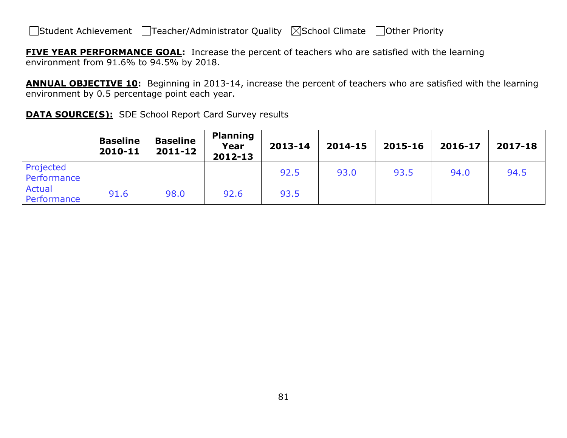**FIVE YEAR PERFORMANCE GOAL:** Increase the percent of teachers who are satisfied with the learning environment from 91.6% to 94.5% by 2018.

**ANNUAL OBJECTIVE 10:** Beginning in 2013-14, increase the percent of teachers who are satisfied with the learning environment by 0.5 percentage point each year.

**DATA SOURCE(S):** SDE School Report Card Survey results

|                              | <b>Baseline</b><br>2010-11 | <b>Baseline</b><br>2011-12 | <b>Planning</b><br>Year<br>2012-13 | 2013-14 | 2014-15 | 2015-16 | 2016-17 | 2017-18 |
|------------------------------|----------------------------|----------------------------|------------------------------------|---------|---------|---------|---------|---------|
| Projected<br>Performance     |                            |                            |                                    | 92.5    | 93.0    | 93.5    | 94.0    | 94.5    |
| <b>Actual</b><br>Performance | 91.6                       | 98.0                       | 92.6                               | 93.5    |         |         |         |         |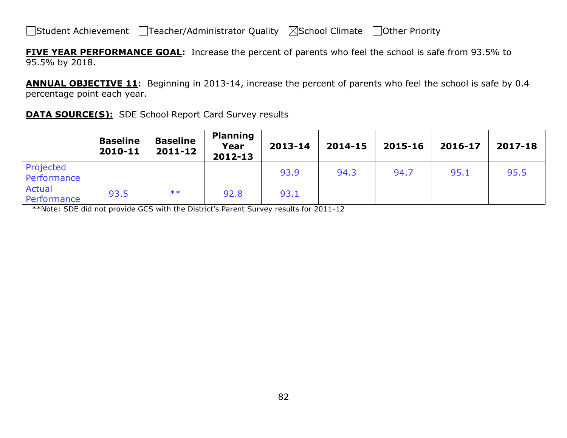**FIVE YEAR PERFORMANCE GOAL:** Increase the percent of parents who feel the school is safe from 93.5% to 95.5% by 2018.

**ANNUAL OBJECTIVE 11:** Beginning in 2013-14, increase the percent of parents who feel the school is safe by 0.4 percentage point each year.

| <b>DATA SOURCE(S):</b> SDE School Report Card Survey results |  |  |  |
|--------------------------------------------------------------|--|--|--|
|                                                              |  |  |  |

|                              | <b>Baseline</b><br>2010-11 | <b>Baseline</b><br>$2011 - 12$ | <b>Planning</b><br>Year<br>2012-13 | 2013-14 | 2014-15 | 2015-16 | 2016-17 | 2017-18 |
|------------------------------|----------------------------|--------------------------------|------------------------------------|---------|---------|---------|---------|---------|
| Projected<br>Performance     |                            |                                |                                    | 93.9    | 94.3    | 94.7    | 95.1    | 95.5    |
| <b>Actual</b><br>Performance | 93.5                       | $***$                          | 92.8                               | 93.1    |         |         |         |         |

\*\*Note: SDE did not provide GCS with the District's Parent Survey results for 2011-12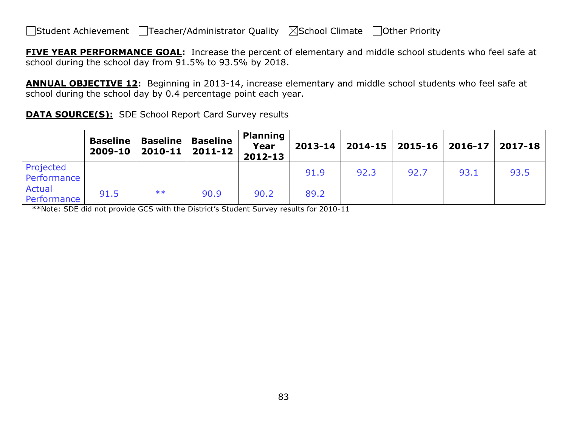**FIVE YEAR PERFORMANCE GOAL:** Increase the percent of elementary and middle school students who feel safe at school during the school day from 91.5% to 93.5% by 2018.

**ANNUAL OBJECTIVE 12:** Beginning in 2013-14, increase elementary and middle school students who feel safe at school during the school day by 0.4 percentage point each year.

|  | <b>DATA SOURCE(S):</b> SDE School Report Card Survey results |
|--|--------------------------------------------------------------|
|  |                                                              |

|                          | <b>Baseline</b><br>2009-10 | <b>Baseline</b><br>2010-11 | <b>Baseline</b><br>2011-12 | <b>Planning</b><br>Year<br>2012-13 |      |      | $2013 - 14$   2014-15   2015-16 | $ 2016-17 $ | 2017-18 |
|--------------------------|----------------------------|----------------------------|----------------------------|------------------------------------|------|------|---------------------------------|-------------|---------|
| Projected<br>Performance |                            |                            |                            |                                    | 91.9 | 92.3 | 92.7                            | 93.1        | 93.5    |
| Actual<br>Performance    | 91.5                       | $***$                      | 90.9                       | 90.2                               | 89.2 |      |                                 |             |         |

\*\*Note: SDE did not provide GCS with the District's Student Survey results for 2010-11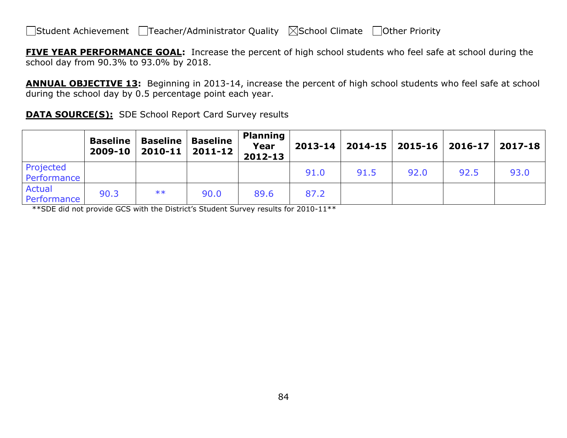**FIVE YEAR PERFORMANCE GOAL:** Increase the percent of high school students who feel safe at school during the school day from 90.3% to 93.0% by 2018.

**ANNUAL OBJECTIVE 13:** Beginning in 2013-14, increase the percent of high school students who feel safe at school during the school day by 0.5 percentage point each year.

|  | <b>DATA SOURCE(S):</b> SDE School Report Card Survey results |
|--|--------------------------------------------------------------|
|  |                                                              |

|                          | <b>Baseline</b><br>2009-10 | <b>Baseline</b><br>2010-11 | <b>Baseline</b><br>2011-12 | <b>Planning</b><br>Year<br>2012-13 |      |      |      | $2013 - 14$   2014-15   2015-16   2016-17   2017-18 |      |
|--------------------------|----------------------------|----------------------------|----------------------------|------------------------------------|------|------|------|-----------------------------------------------------|------|
| Projected<br>Performance |                            |                            |                            |                                    | 91.0 | 91.5 | 92.0 | 92.5                                                | 93.0 |
| Actual<br>Performance    | 90.3                       | $***$                      | 90.0                       | 89.6                               | 87.2 |      |      |                                                     |      |

\*\*SDE did not provide GCS with the District's Student Survey results for 2010-11\*\*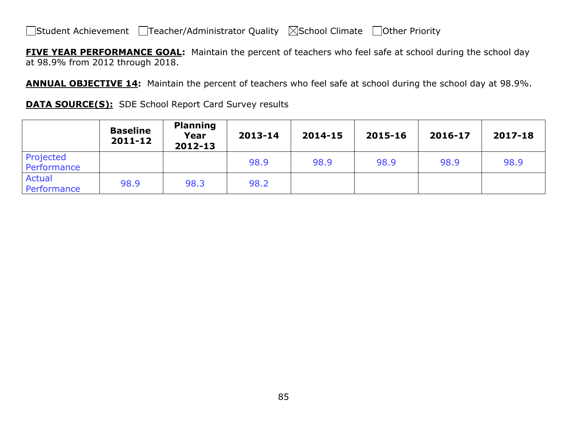**FIVE YEAR PERFORMANCE GOAL:** Maintain the percent of teachers who feel safe at school during the school day at 98.9% from 2012 through 2018.

**ANNUAL OBJECTIVE 14:** Maintain the percent of teachers who feel safe at school during the school day at 98.9%.

|  |  |  | <b>DATA SOURCE(S):</b> SDE School Report Card Survey results |
|--|--|--|--------------------------------------------------------------|
|--|--|--|--------------------------------------------------------------|

|                              | <b>Baseline</b><br>2011-12 | <b>Planning</b><br>Year<br>2012-13 | 2013-14 | 2014-15 | 2015-16 | 2016-17 | 2017-18 |
|------------------------------|----------------------------|------------------------------------|---------|---------|---------|---------|---------|
| Projected<br>Performance     |                            |                                    | 98.9    | 98.9    | 98.9    | 98.9    | 98.9    |
| <b>Actual</b><br>Performance | 98.9                       | 98.3                               | 98.2    |         |         |         |         |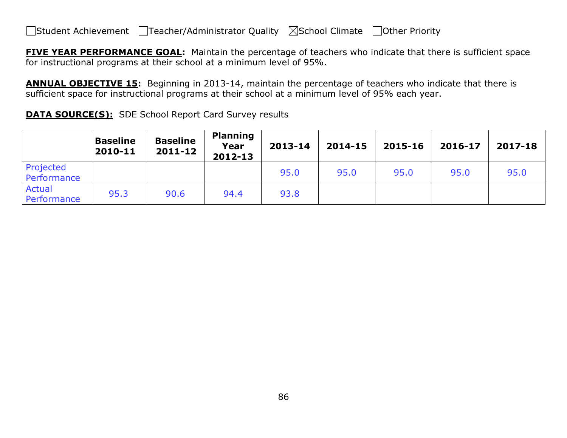**FIVE YEAR PERFORMANCE GOAL:** Maintain the percentage of teachers who indicate that there is sufficient space for instructional programs at their school at a minimum level of 95%.

**ANNUAL OBJECTIVE 15:** Beginning in 2013-14, maintain the percentage of teachers who indicate that there is sufficient space for instructional programs at their school at a minimum level of 95% each year.

**DATA SOURCE(S):** SDE School Report Card Survey results

|                              | <b>Baseline</b><br>2010-11 | <b>Baseline</b><br>2011-12 | <b>Planning</b><br>Year<br>2012-13 | 2013-14 | 2014-15 | 2015-16 | 2016-17 | 2017-18 |
|------------------------------|----------------------------|----------------------------|------------------------------------|---------|---------|---------|---------|---------|
| Projected<br>Performance     |                            |                            |                                    | 95.0    | 95.0    | 95.0    | 95.0    | 95.0    |
| <b>Actual</b><br>Performance | 95.3                       | 90.6                       | 94.4                               | 93.8    |         |         |         |         |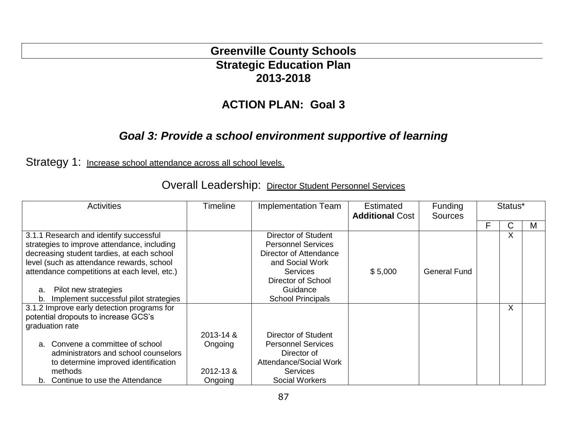### **Greenville County Schools Strategic Education Plan 2013-2018**

### **ACTION PLAN: Goal 3**

### *Goal 3: Provide a school environment supportive of learning*

Strategy 1: Increase school attendance across all school levels.

| <b>Activities</b> |                                                                                                                                                                                                                                                                                                   | Timeline             | <b>Implementation Team</b>                                                                                                                                                     | Estimated<br><b>Additional Cost</b> | <b>Funding</b><br><b>Sources</b> |   | Status* |   |
|-------------------|---------------------------------------------------------------------------------------------------------------------------------------------------------------------------------------------------------------------------------------------------------------------------------------------------|----------------------|--------------------------------------------------------------------------------------------------------------------------------------------------------------------------------|-------------------------------------|----------------------------------|---|---------|---|
|                   |                                                                                                                                                                                                                                                                                                   |                      |                                                                                                                                                                                |                                     |                                  | F | С       | M |
| a.<br>b.          | 3.1.1 Research and identify successful<br>strategies to improve attendance, including<br>decreasing student tardies, at each school<br>level (such as attendance rewards, school<br>attendance competitions at each level, etc.)<br>Pilot new strategies<br>Implement successful pilot strategies |                      | Director of Student<br><b>Personnel Services</b><br>Director of Attendance<br>and Social Work<br><b>Services</b><br>Director of School<br>Guidance<br><b>School Principals</b> | \$5,000                             | <b>General Fund</b>              |   | $\sf X$ |   |
|                   | 3.1.2 Improve early detection programs for                                                                                                                                                                                                                                                        |                      |                                                                                                                                                                                |                                     |                                  |   | $\sf X$ |   |
|                   | potential dropouts to increase GCS's                                                                                                                                                                                                                                                              |                      |                                                                                                                                                                                |                                     |                                  |   |         |   |
|                   | graduation rate                                                                                                                                                                                                                                                                                   | 2013-14 &            | Director of Student                                                                                                                                                            |                                     |                                  |   |         |   |
|                   | a. Convene a committee of school<br>administrators and school counselors<br>to determine improved identification<br>methods                                                                                                                                                                       | Ongoing<br>2012-13 & | <b>Personnel Services</b><br>Director of<br><b>Attendance/Social Work</b><br><b>Services</b>                                                                                   |                                     |                                  |   |         |   |
|                   | b. Continue to use the Attendance                                                                                                                                                                                                                                                                 | Ongoing              | <b>Social Workers</b>                                                                                                                                                          |                                     |                                  |   |         |   |

Overall Leadership: Director Student Personnel Services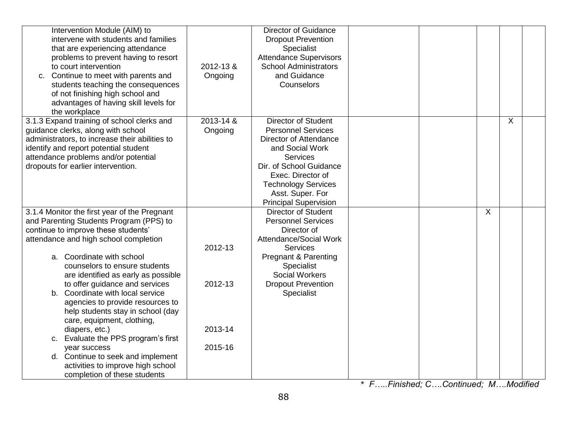| Intervention Module (AIM) to<br>intervene with students and families<br>that are experiencing attendance<br>problems to prevent having to resort<br>to court intervention<br>c. Continue to meet with parents and<br>students teaching the consequences<br>of not finishing high school and<br>advantages of having skill levels for<br>the workplace | 2012-13 &<br>Ongoing | <b>Director of Guidance</b><br><b>Dropout Prevention</b><br>Specialist<br><b>Attendance Supervisors</b><br><b>School Administrators</b><br>and Guidance<br>Counselors                                                                                     |  |   |                           |  |
|-------------------------------------------------------------------------------------------------------------------------------------------------------------------------------------------------------------------------------------------------------------------------------------------------------------------------------------------------------|----------------------|-----------------------------------------------------------------------------------------------------------------------------------------------------------------------------------------------------------------------------------------------------------|--|---|---------------------------|--|
| 3.1.3 Expand training of school clerks and<br>guidance clerks, along with school<br>administrators, to increase their abilities to<br>identify and report potential student<br>attendance problems and/or potential<br>dropouts for earlier intervention.                                                                                             | 2013-14 &<br>Ongoing | <b>Director of Student</b><br><b>Personnel Services</b><br>Director of Attendance<br>and Social Work<br><b>Services</b><br>Dir. of School Guidance<br>Exec. Director of<br><b>Technology Services</b><br>Asst. Super. For<br><b>Principal Supervision</b> |  |   | $\boldsymbol{\mathsf{X}}$ |  |
| 3.1.4 Monitor the first year of the Pregnant<br>and Parenting Students Program (PPS) to<br>continue to improve these students'<br>attendance and high school completion                                                                                                                                                                               | 2012-13              | <b>Director of Student</b><br><b>Personnel Services</b><br>Director of<br><b>Attendance/Social Work</b><br><b>Services</b>                                                                                                                                |  | X |                           |  |
| a. Coordinate with school<br>counselors to ensure students<br>are identified as early as possible<br>to offer guidance and services                                                                                                                                                                                                                   | 2012-13              | <b>Pregnant &amp; Parenting</b><br>Specialist<br><b>Social Workers</b><br><b>Dropout Prevention</b>                                                                                                                                                       |  |   |                           |  |
| b. Coordinate with local service<br>agencies to provide resources to<br>help students stay in school (day<br>care, equipment, clothing,<br>diapers, etc.)                                                                                                                                                                                             | 2013-14              | Specialist                                                                                                                                                                                                                                                |  |   |                           |  |
| c. Evaluate the PPS program's first<br>year success                                                                                                                                                                                                                                                                                                   | 2015-16              |                                                                                                                                                                                                                                                           |  |   |                           |  |
| d. Continue to seek and implement<br>activities to improve high school<br>completion of these students                                                                                                                                                                                                                                                |                      |                                                                                                                                                                                                                                                           |  |   |                           |  |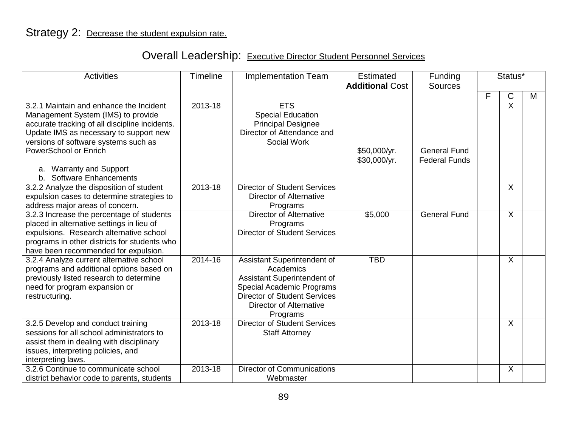# Overall Leadership: Executive Director Student Personnel Services

| <b>Activities</b>                                                                                                                                                                                                                                                                                           | <b>Timeline</b> | <b>Implementation Team</b>                                                                                                                                                         | Estimated<br>Funding<br><b>Additional Cost</b><br><b>Sources</b> |                                             | Status* |                |   |
|-------------------------------------------------------------------------------------------------------------------------------------------------------------------------------------------------------------------------------------------------------------------------------------------------------------|-----------------|------------------------------------------------------------------------------------------------------------------------------------------------------------------------------------|------------------------------------------------------------------|---------------------------------------------|---------|----------------|---|
|                                                                                                                                                                                                                                                                                                             |                 |                                                                                                                                                                                    |                                                                  |                                             | F       | $\mathsf C$    | M |
| 3.2.1 Maintain and enhance the Incident<br>Management System (IMS) to provide<br>accurate tracking of all discipline incidents.<br>Update IMS as necessary to support new<br>versions of software systems such as<br>PowerSchool or Enrich<br>a. Warranty and Support<br><b>Software Enhancements</b><br>b. | 2013-18         | <b>ETS</b><br><b>Special Education</b><br><b>Principal Designee</b><br>Director of Attendance and<br>Social Work                                                                   | \$50,000/yr.<br>\$30,000/yr.                                     | <b>General Fund</b><br><b>Federal Funds</b> |         | $\overline{X}$ |   |
| 3.2.2 Analyze the disposition of student<br>expulsion cases to determine strategies to<br>address major areas of concern.                                                                                                                                                                                   | 2013-18         | <b>Director of Student Services</b><br>Director of Alternative<br>Programs                                                                                                         |                                                                  |                                             |         | $\sf X$        |   |
| 3.2.3 Increase the percentage of students<br>placed in alternative settings in lieu of<br>expulsions. Research alternative school<br>programs in other districts for students who<br>have been recommended for expulsion.                                                                                   |                 | Director of Alternative<br>Programs<br><b>Director of Student Services</b>                                                                                                         | \$5,000                                                          | <b>General Fund</b>                         |         | $\sf X$        |   |
| 3.2.4 Analyze current alternative school<br>programs and additional options based on<br>previously listed research to determine<br>need for program expansion or<br>restructuring.                                                                                                                          | 2014-16         | Assistant Superintendent of<br>Academics<br>Assistant Superintendent of<br>Special Academic Programs<br><b>Director of Student Services</b><br>Director of Alternative<br>Programs | <b>TBD</b>                                                       |                                             |         | X              |   |
| 3.2.5 Develop and conduct training<br>sessions for all school administrators to<br>assist them in dealing with disciplinary<br>issues, interpreting policies, and<br>interpreting laws.                                                                                                                     | 2013-18         | <b>Director of Student Services</b><br><b>Staff Attorney</b>                                                                                                                       |                                                                  |                                             |         | $\sf X$        |   |
| 3.2.6 Continue to communicate school<br>district behavior code to parents, students                                                                                                                                                                                                                         | 2013-18         | <b>Director of Communications</b><br>Webmaster                                                                                                                                     |                                                                  |                                             |         | $\sf X$        |   |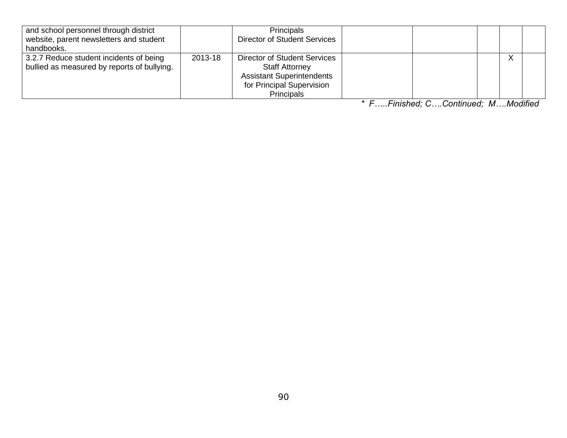| and school personnel through district<br>website, parent newsletters and student<br>handbooks. |         | Principals<br><b>Director of Student Services</b>                                                                                    |   |
|------------------------------------------------------------------------------------------------|---------|--------------------------------------------------------------------------------------------------------------------------------------|---|
| 3.2.7 Reduce student incidents of being<br>bullied as measured by reports of bullying.         | 2013-18 | Director of Student Services<br><b>Staff Attorney</b><br><b>Assistant Superintendents</b><br>for Principal Supervision<br>Principals | v |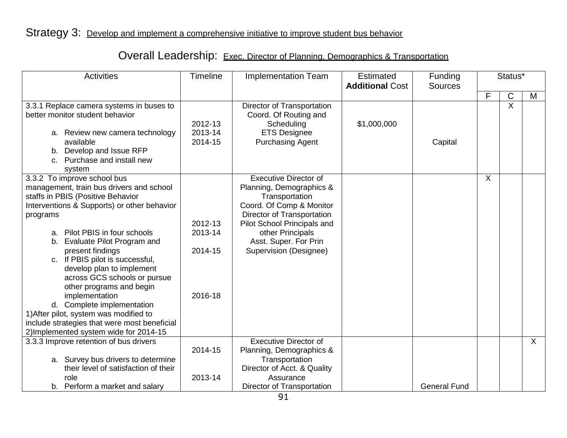| <b>Overall Leadership:</b> Exec. Director of Planning, Demographics & Transportation |  |  |
|--------------------------------------------------------------------------------------|--|--|
|                                                                                      |  |  |

| <b>Activities</b>                                                                                                                                                                                                                                                                                                                                                                                                                                                                                                                                                                       | Timeline                                 | <b>Implementation Team</b>                                                                                                                                                                                                                 | <b>Estimated</b><br><b>Additional Cost</b> | Funding<br><b>Sources</b> | Status* |             |         |
|-----------------------------------------------------------------------------------------------------------------------------------------------------------------------------------------------------------------------------------------------------------------------------------------------------------------------------------------------------------------------------------------------------------------------------------------------------------------------------------------------------------------------------------------------------------------------------------------|------------------------------------------|--------------------------------------------------------------------------------------------------------------------------------------------------------------------------------------------------------------------------------------------|--------------------------------------------|---------------------------|---------|-------------|---------|
|                                                                                                                                                                                                                                                                                                                                                                                                                                                                                                                                                                                         |                                          |                                                                                                                                                                                                                                            |                                            |                           | F       | $\mathsf C$ | M       |
| 3.3.1 Replace camera systems in buses to<br>better monitor student behavior<br>a. Review new camera technology<br>available<br>b. Develop and Issue RFP<br>c. Purchase and install new                                                                                                                                                                                                                                                                                                                                                                                                  | 2012-13<br>2013-14<br>2014-15            | Director of Transportation<br>Coord. Of Routing and<br>Scheduling<br><b>ETS Designee</b><br><b>Purchasing Agent</b>                                                                                                                        | \$1,000,000                                | Capital                   |         | $\sf X$     |         |
| system<br>3.3.2 To improve school bus<br>management, train bus drivers and school<br>staffs in PBIS (Positive Behavior<br>Interventions & Supports) or other behavior<br>programs<br>a. Pilot PBIS in four schools<br>b. Evaluate Pilot Program and<br>present findings<br>c. If PBIS pilot is successful,<br>develop plan to implement<br>across GCS schools or pursue<br>other programs and begin<br>implementation<br>d. Complete implementation<br>1) After pilot, system was modified to<br>include strategies that were most beneficial<br>2) Implemented system wide for 2014-15 | 2012-13<br>2013-14<br>2014-15<br>2016-18 | <b>Executive Director of</b><br>Planning, Demographics &<br>Transportation<br>Coord. Of Comp & Monitor<br>Director of Transportation<br>Pilot School Principals and<br>other Principals<br>Asst. Super. For Prin<br>Supervision (Designee) |                                            |                           | X       |             |         |
| 3.3.3 Improve retention of bus drivers                                                                                                                                                                                                                                                                                                                                                                                                                                                                                                                                                  | 2014-15                                  | <b>Executive Director of</b><br>Planning, Demographics &                                                                                                                                                                                   |                                            |                           |         |             | $\sf X$ |
| a. Survey bus drivers to determine<br>their level of satisfaction of their<br>role                                                                                                                                                                                                                                                                                                                                                                                                                                                                                                      | 2013-14                                  | Transportation<br>Director of Acct. & Quality<br>Assurance                                                                                                                                                                                 |                                            |                           |         |             |         |
| b. Perform a market and salary                                                                                                                                                                                                                                                                                                                                                                                                                                                                                                                                                          |                                          | Director of Transportation                                                                                                                                                                                                                 |                                            | <b>General Fund</b>       |         |             |         |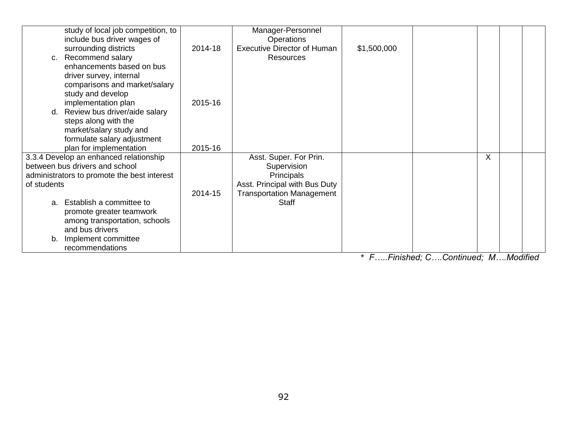| study of local job competition, to<br>include bus driver wages of        |         | Manager-Personnel<br><b>Operations</b> |                |             |       |                                                                  |
|--------------------------------------------------------------------------|---------|----------------------------------------|----------------|-------------|-------|------------------------------------------------------------------|
| surrounding districts                                                    | 2014-18 | <b>Executive Director of Human</b>     | \$1,500,000    |             |       |                                                                  |
| c. Recommend salary                                                      |         | Resources                              |                |             |       |                                                                  |
| enhancements based on bus                                                |         |                                        |                |             |       |                                                                  |
| driver survey, internal<br>comparisons and market/salary                 |         |                                        |                |             |       |                                                                  |
| study and develop                                                        |         |                                        |                |             |       |                                                                  |
| implementation plan                                                      | 2015-16 |                                        |                |             |       |                                                                  |
| Review bus driver/aide salary<br>d.<br>steps along with the              |         |                                        |                |             |       |                                                                  |
| market/salary study and                                                  |         |                                        |                |             |       |                                                                  |
| formulate salary adjustment                                              |         |                                        |                |             |       |                                                                  |
| plan for implementation                                                  | 2015-16 |                                        |                |             |       |                                                                  |
| 3.3.4 Develop an enhanced relationship<br>between bus drivers and school |         | Asst. Super. For Prin.                 |                |             | X     |                                                                  |
| administrators to promote the best interest                              |         | Supervision<br>Principals              |                |             |       |                                                                  |
| of students                                                              |         | Asst. Principal with Bus Duty          |                |             |       |                                                                  |
|                                                                          | 2014-15 | <b>Transportation Management</b>       |                |             |       |                                                                  |
| a. Establish a committee to                                              |         | <b>Staff</b>                           |                |             |       |                                                                  |
| promote greater teamwork<br>among transportation, schools                |         |                                        |                |             |       |                                                                  |
| and bus drivers                                                          |         |                                        |                |             |       |                                                                  |
| Implement committee<br>b.                                                |         |                                        |                |             |       |                                                                  |
| recommendations                                                          |         |                                        | $\cdot$ $\sim$ | Fisick of O | 0.444 | $\mathbf{A}$ $\mathbf{A}$ $\mathbf{A}$ $\mathbf{B}$ $\mathbf{A}$ |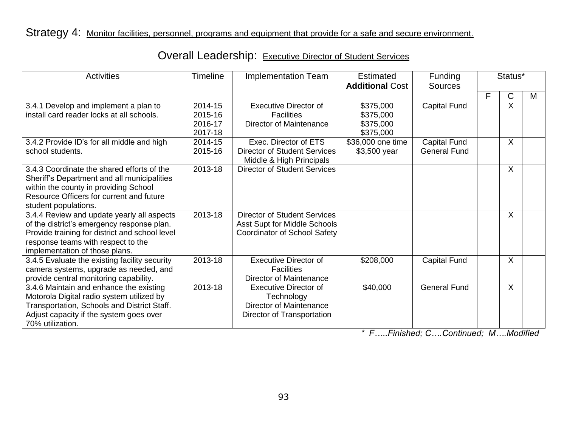| <b>Activities</b>                                                                                                                                                                                                  | <b>Timeline</b>                          | <b>Implementation Team</b>                                                                                        | <b>Estimated</b><br><b>Additional Cost</b>       | <b>Funding</b><br><b>Sources</b>           |   | Status*                   |   |
|--------------------------------------------------------------------------------------------------------------------------------------------------------------------------------------------------------------------|------------------------------------------|-------------------------------------------------------------------------------------------------------------------|--------------------------------------------------|--------------------------------------------|---|---------------------------|---|
|                                                                                                                                                                                                                    |                                          |                                                                                                                   |                                                  |                                            | F | $\mathsf C$               | М |
| 3.4.1 Develop and implement a plan to<br>install card reader locks at all schools.                                                                                                                                 | 2014-15<br>2015-16<br>2016-17<br>2017-18 | <b>Executive Director of</b><br><b>Facilities</b><br>Director of Maintenance                                      | \$375,000<br>\$375,000<br>\$375,000<br>\$375,000 | Capital Fund                               |   | X                         |   |
| 3.4.2 Provide ID's for all middle and high<br>school students.                                                                                                                                                     | 2014-15<br>2015-16                       | Exec. Director of ETS<br><b>Director of Student Services</b><br>Middle & High Principals                          | \$36,000 one time<br>\$3,500 year                | <b>Capital Fund</b><br><b>General Fund</b> |   | $\boldsymbol{\mathsf{X}}$ |   |
| 3.4.3 Coordinate the shared efforts of the<br>Sheriff's Department and all municipalities<br>within the county in providing School<br>Resource Officers for current and future<br>student populations.             | 2013-18                                  | <b>Director of Student Services</b>                                                                               |                                                  |                                            |   | $\boldsymbol{\mathsf{X}}$ |   |
| 3.4.4 Review and update yearly all aspects<br>of the district's emergency response plan.<br>Provide training for district and school level<br>response teams with respect to the<br>implementation of those plans. | 2013-18                                  | <b>Director of Student Services</b><br><b>Asst Supt for Middle Schools</b><br><b>Coordinator of School Safety</b> |                                                  |                                            |   | $\sf X$                   |   |
| 3.4.5 Evaluate the existing facility security<br>camera systems, upgrade as needed, and<br>provide central monitoring capability.                                                                                  | 2013-18                                  | <b>Executive Director of</b><br><b>Facilities</b><br>Director of Maintenance                                      | \$208,000                                        | <b>Capital Fund</b>                        |   | $\sf X$                   |   |
| 3.4.6 Maintain and enhance the existing<br>Motorola Digital radio system utilized by<br>Transportation, Schools and District Staff.<br>Adjust capacity if the system goes over<br>70% utilization.                 | 2013-18                                  | <b>Executive Director of</b><br>Technology<br><b>Director of Maintenance</b><br>Director of Transportation        | \$40,000                                         | <b>General Fund</b>                        |   | $\boldsymbol{\mathsf{X}}$ |   |

# Overall Leadership: Executive Director of Student Services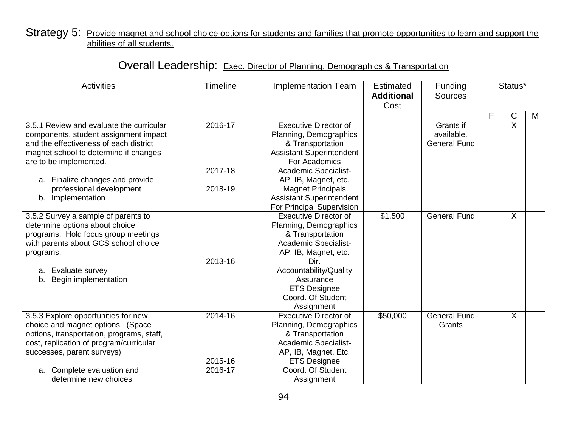#### Strategy 5: Provide magnet and school choice options for students and families that promote opportunities to learn and support the abilities of all students.

|  | Overall Leadership: Exec. Director of Planning, Demographics & Transportation |  |  |
|--|-------------------------------------------------------------------------------|--|--|
|--|-------------------------------------------------------------------------------|--|--|

| <b>Activities</b>                                                                                                                                                                                                                                                                  | <b>Timeline</b>               | <b>Implementation Team</b>                                                                                                                                                                                                                                       | Estimated<br><b>Additional</b><br>Cost | Funding<br><b>Sources</b>                      |   | Status*     |   |
|------------------------------------------------------------------------------------------------------------------------------------------------------------------------------------------------------------------------------------------------------------------------------------|-------------------------------|------------------------------------------------------------------------------------------------------------------------------------------------------------------------------------------------------------------------------------------------------------------|----------------------------------------|------------------------------------------------|---|-------------|---|
|                                                                                                                                                                                                                                                                                    |                               |                                                                                                                                                                                                                                                                  |                                        |                                                | F | $\mathsf C$ | M |
| 3.5.1 Review and evaluate the curricular<br>components, student assignment impact<br>and the effectiveness of each district<br>magnet school to determine if changes<br>are to be implemented.<br>a. Finalize changes and provide<br>professional development<br>b. Implementation | 2016-17<br>2017-18<br>2018-19 | <b>Executive Director of</b><br>Planning, Demographics<br>& Transportation<br><b>Assistant Superintendent</b><br>For Academics<br><b>Academic Specialist-</b><br>AP, IB, Magnet, etc.<br><b>Magnet Principals</b><br><b>Assistant Superintendent</b>             |                                        | Grants if<br>available.<br><b>General Fund</b> |   | X           |   |
| 3.5.2 Survey a sample of parents to<br>determine options about choice<br>programs. Hold focus group meetings<br>with parents about GCS school choice<br>programs.<br>Evaluate survey<br>а.<br>Begin implementation<br>b.                                                           | 2013-16                       | For Principal Supervision<br><b>Executive Director of</b><br>Planning, Demographics<br>& Transportation<br>Academic Specialist-<br>AP, IB, Magnet, etc.<br>Dir.<br>Accountability/Quality<br>Assurance<br><b>ETS Designee</b><br>Coord. Of Student<br>Assignment | \$1,500                                | <b>General Fund</b>                            |   | X           |   |
| 3.5.3 Explore opportunities for new<br>choice and magnet options. (Space<br>options, transportation, programs, staff,<br>cost, replication of program/curricular<br>successes, parent surveys)<br>a. Complete evaluation and<br>determine new choices                              | 2014-16<br>2015-16<br>2016-17 | <b>Executive Director of</b><br>Planning, Demographics<br>& Transportation<br>Academic Specialist-<br>AP, IB, Magnet, Etc.<br><b>ETS Designee</b><br>Coord. Of Student<br>Assignment                                                                             | \$50,000                               | <b>General Fund</b><br>Grants                  |   | X           |   |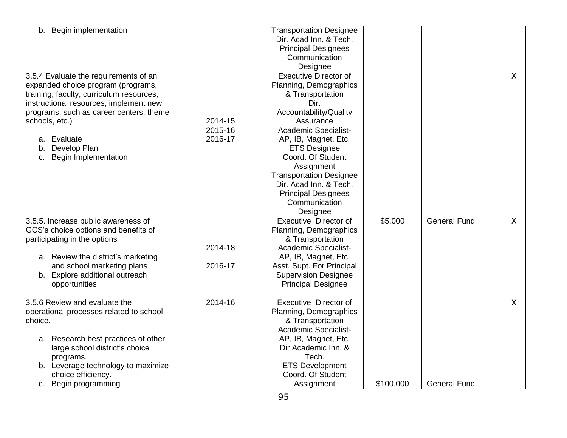| b. Begin implementation                                                                                                                                                                                                                                                                                  |                               | <b>Transportation Designee</b><br>Dir. Acad Inn. & Tech.<br><b>Principal Designees</b><br>Communication<br>Designee                                                                                                                                                                                                                                        |           |                     |   |  |
|----------------------------------------------------------------------------------------------------------------------------------------------------------------------------------------------------------------------------------------------------------------------------------------------------------|-------------------------------|------------------------------------------------------------------------------------------------------------------------------------------------------------------------------------------------------------------------------------------------------------------------------------------------------------------------------------------------------------|-----------|---------------------|---|--|
| 3.5.4 Evaluate the requirements of an<br>expanded choice program (programs,<br>training, faculty, curriculum resources,<br>instructional resources, implement new<br>programs, such as career centers, theme<br>schools, etc.)<br>a. Evaluate<br>Develop Plan<br>b.<br><b>Begin Implementation</b><br>c. | 2014-15<br>2015-16<br>2016-17 | <b>Executive Director of</b><br>Planning, Demographics<br>& Transportation<br>Dir.<br>Accountability/Quality<br>Assurance<br>Academic Specialist-<br>AP, IB, Magnet, Etc.<br><b>ETS Designee</b><br>Coord. Of Student<br>Assignment<br><b>Transportation Designee</b><br>Dir. Acad Inn. & Tech.<br><b>Principal Designees</b><br>Communication<br>Designee |           |                     | X |  |
| 3.5.5. Increase public awareness of<br>GCS's choice options and benefits of<br>participating in the options<br>a. Review the district's marketing<br>and school marketing plans<br>b. Explore additional outreach<br>opportunities                                                                       | 2014-18<br>2016-17            | Executive Director of<br>Planning, Demographics<br>& Transportation<br>Academic Specialist-<br>AP, IB, Magnet, Etc.<br>Asst. Supt. For Principal<br><b>Supervision Designee</b><br><b>Principal Designee</b>                                                                                                                                               | \$5,000   | <b>General Fund</b> | X |  |
| 3.5.6 Review and evaluate the<br>operational processes related to school<br>choice.<br>a. Research best practices of other<br>large school district's choice<br>programs.<br>b. Leverage technology to maximize<br>choice efficiency.<br>c. Begin programming                                            | 2014-16                       | Executive Director of<br>Planning, Demographics<br>& Transportation<br><b>Academic Specialist-</b><br>AP, IB, Magnet, Etc.<br>Dir Academic Inn. &<br>Tech.<br><b>ETS Development</b><br>Coord. Of Student<br>Assignment                                                                                                                                    | \$100,000 | <b>General Fund</b> | X |  |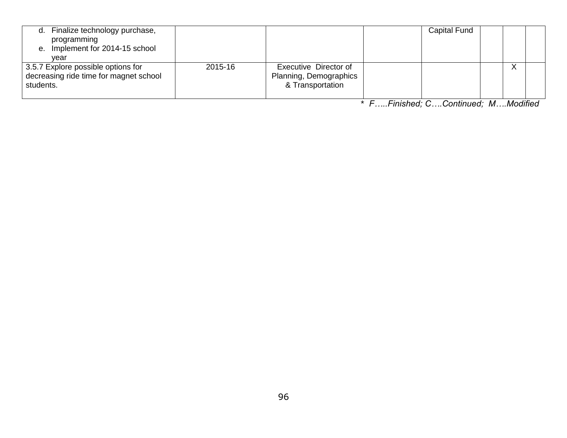| Finalize technology purchase,<br>d.<br>programming<br>e. Implement for 2014-15 school<br>vear |         |                                                                     | <b>Capital Fund</b> |                   |
|-----------------------------------------------------------------------------------------------|---------|---------------------------------------------------------------------|---------------------|-------------------|
| 3.5.7 Explore possible options for<br>decreasing ride time for magnet school<br>students.     | 2015-16 | Executive Director of<br>Planning, Demographics<br>& Transportation |                     | $\checkmark$<br>⌒ |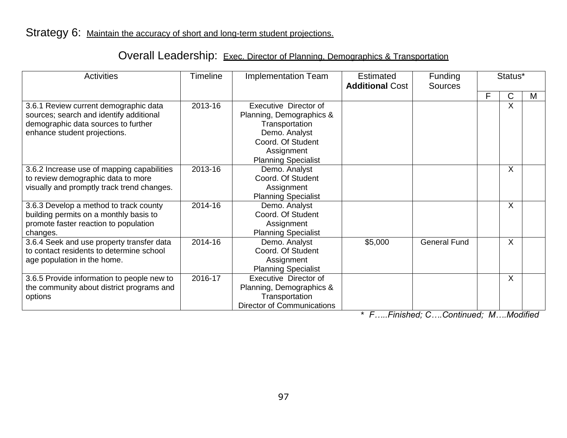# Overall Leadership: Exec. Director of Planning, Demographics & Transportation

| <b>Activities</b>                                                                                                                                       | <b>Timeline</b> | <b>Implementation Team</b>                                                                                                                            | Estimated<br><b>Additional Cost</b> | Funding<br><b>Sources</b> | Status* |         |   |
|---------------------------------------------------------------------------------------------------------------------------------------------------------|-----------------|-------------------------------------------------------------------------------------------------------------------------------------------------------|-------------------------------------|---------------------------|---------|---------|---|
|                                                                                                                                                         |                 |                                                                                                                                                       |                                     |                           | F       | С       | M |
| 3.6.1 Review current demographic data<br>sources; search and identify additional<br>demographic data sources to further<br>enhance student projections. | 2013-16         | Executive Director of<br>Planning, Demographics &<br>Transportation<br>Demo. Analyst<br>Coord. Of Student<br>Assignment<br><b>Planning Specialist</b> |                                     |                           |         | X       |   |
| 3.6.2 Increase use of mapping capabilities<br>to review demographic data to more<br>visually and promptly track trend changes.                          | 2013-16         | Demo. Analyst<br>Coord. Of Student<br>Assignment<br><b>Planning Specialist</b>                                                                        |                                     |                           |         | X       |   |
| 3.6.3 Develop a method to track county<br>building permits on a monthly basis to<br>promote faster reaction to population<br>changes.                   | 2014-16         | Demo. Analyst<br>Coord. Of Student<br>Assignment<br><b>Planning Specialist</b>                                                                        |                                     |                           |         | X       |   |
| 3.6.4 Seek and use property transfer data<br>to contact residents to determine school<br>age population in the home.                                    | 2014-16         | Demo. Analyst<br>Coord. Of Student<br>Assignment<br><b>Planning Specialist</b>                                                                        | \$5,000                             | <b>General Fund</b>       |         | $\sf X$ |   |
| 3.6.5 Provide information to people new to<br>the community about district programs and<br>options                                                      | 2016-17         | Executive Director of<br>Planning, Demographics &<br>Transportation<br><b>Director of Communications</b>                                              |                                     |                           |         | X       |   |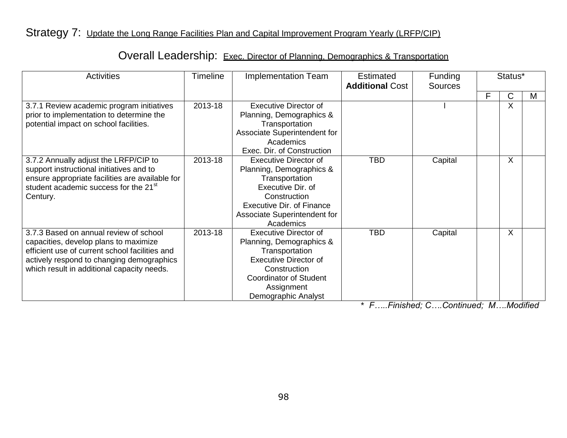# Strategy 7: Update the Long Range Facilities Plan and Capital Improvement Program Yearly (LRFP/CIP)

### Overall Leadership: Exec. Director of Planning, Demographics & Transportation

| <b>Activities</b>                                                                                                                                                                                                            | <b>Timeline</b> | <b>Implementation Team</b>                                                                                                                                                                       | <b>Estimated</b><br><b>Additional Cost</b> | Funding<br>Sources | Status* |         |   |
|------------------------------------------------------------------------------------------------------------------------------------------------------------------------------------------------------------------------------|-----------------|--------------------------------------------------------------------------------------------------------------------------------------------------------------------------------------------------|--------------------------------------------|--------------------|---------|---------|---|
|                                                                                                                                                                                                                              |                 |                                                                                                                                                                                                  |                                            |                    | F       | C       | M |
| 3.7.1 Review academic program initiatives<br>prior to implementation to determine the<br>potential impact on school facilities.                                                                                              | 2013-18         | <b>Executive Director of</b><br>Planning, Demographics &<br>Transportation<br>Associate Superintendent for<br>Academics<br>Exec. Dir. of Construction                                            |                                            |                    |         | X       |   |
| 3.7.2 Annually adjust the LRFP/CIP to<br>support instructional initiatives and to<br>ensure appropriate facilities are available for<br>student academic success for the 21 <sup>st</sup><br>Century.                        | 2013-18         | <b>Executive Director of</b><br>Planning, Demographics &<br>Transportation<br>Executive Dir. of<br>Construction<br><b>Executive Dir. of Finance</b><br>Associate Superintendent for<br>Academics | <b>TBD</b>                                 | Capital            |         | $\sf X$ |   |
| 3.7.3 Based on annual review of school<br>capacities, develop plans to maximize<br>efficient use of current school facilities and<br>actively respond to changing demographics<br>which result in additional capacity needs. | 2013-18         | <b>Executive Director of</b><br>Planning, Demographics &<br>Transportation<br><b>Executive Director of</b><br>Construction<br><b>Coordinator of Student</b><br>Assignment<br>Demographic Analyst | <b>TBD</b>                                 | Capital            |         | X       |   |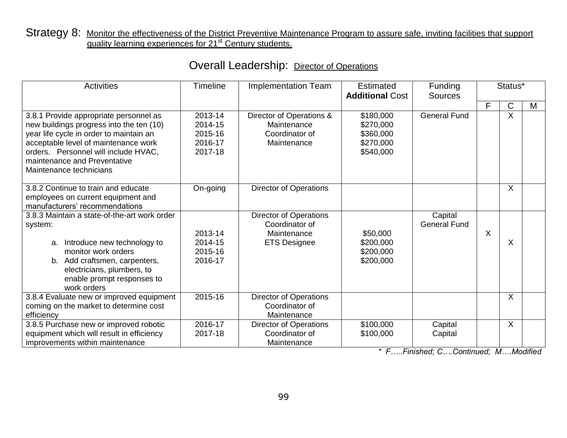#### Strategy 8: Monitor the effectiveness of the District Preventive Maintenance Program to assure safe, inviting facilities that support quality learning experiences for 21<sup>st</sup> Century students.

| <b>Activities</b>                                                                                                                                                                                                                                                        | <b>Timeline</b><br><b>Implementation Team</b>       |                                                                                       | <b>Estimated</b><br><b>Additional Cost</b>                    | Funding<br><b>Sources</b>      | Status* |                                |   |
|--------------------------------------------------------------------------------------------------------------------------------------------------------------------------------------------------------------------------------------------------------------------------|-----------------------------------------------------|---------------------------------------------------------------------------------------|---------------------------------------------------------------|--------------------------------|---------|--------------------------------|---|
| 3.8.1 Provide appropriate personnel as<br>new buildings progress into the ten (10)<br>year life cycle in order to maintain an<br>acceptable level of maintenance work<br>orders. Personnel will include HVAC,<br>maintenance and Preventative<br>Maintenance technicians | 2013-14<br>2014-15<br>2015-16<br>2016-17<br>2017-18 | Director of Operations &<br>Maintenance<br>Coordinator of<br>Maintenance              | \$180,000<br>\$270,000<br>\$360,000<br>\$270,000<br>\$540,000 | <b>General Fund</b>            | F       | C<br>$\boldsymbol{\mathsf{X}}$ | M |
| 3.8.2 Continue to train and educate<br>employees on current equipment and<br>manufacturers' recommendations                                                                                                                                                              | On-going                                            | <b>Director of Operations</b>                                                         |                                                               |                                |         | X                              |   |
| 3.8.3 Maintain a state-of-the-art work order<br>system:<br>Introduce new technology to<br>a.<br>monitor work orders<br>b. Add craftsmen, carpenters,<br>electricians, plumbers, to<br>enable prompt responses to<br>work orders                                          | 2013-14<br>2014-15<br>2015-16<br>2016-17            | <b>Director of Operations</b><br>Coordinator of<br>Maintenance<br><b>ETS Designee</b> | \$50,000<br>\$200,000<br>\$200,000<br>\$200,000               | Capital<br><b>General Fund</b> | X       | X                              |   |
| 3.8.4 Evaluate new or improved equipment<br>coming on the market to determine cost<br>efficiency                                                                                                                                                                         | 2015-16                                             | <b>Director of Operations</b><br>Coordinator of<br>Maintenance                        |                                                               |                                |         | X                              |   |
| 3.8.5 Purchase new or improved robotic<br>equipment which will result in efficiency<br>improvements within maintenance                                                                                                                                                   | 2016-17<br>2017-18                                  | <b>Director of Operations</b><br>Coordinator of<br>Maintenance                        | \$100,000<br>\$100,000                                        | Capital<br>Capital             |         | X                              |   |

# Overall Leadership: Director of Operations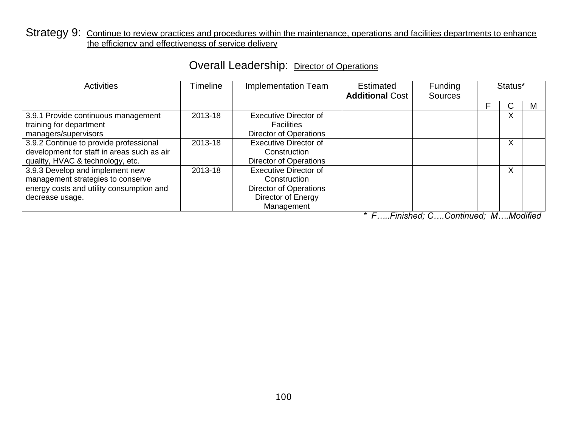#### Strategy 9: Continue to review practices and procedures within the maintenance, operations and facilities departments to enhance the efficiency and effectiveness of service delivery

| <b>Activities</b>                          | Timeline | <b>Implementation Team</b>    | Estimated<br><b>Additional Cost</b> | <b>Funding</b><br><b>Sources</b> | Status*      |   |
|--------------------------------------------|----------|-------------------------------|-------------------------------------|----------------------------------|--------------|---|
|                                            |          |                               |                                     |                                  | ں            | м |
| 3.9.1 Provide continuous management        | 2013-18  | <b>Executive Director of</b>  |                                     |                                  | X            |   |
| training for department                    |          | <b>Facilities</b>             |                                     |                                  |              |   |
| managers/supervisors                       |          | <b>Director of Operations</b> |                                     |                                  |              |   |
| 3.9.2 Continue to provide professional     | 2013-18  | <b>Executive Director of</b>  |                                     |                                  | X            |   |
| development for staff in areas such as air |          | Construction                  |                                     |                                  |              |   |
| quality, HVAC & technology, etc.           |          | <b>Director of Operations</b> |                                     |                                  |              |   |
| 3.9.3 Develop and implement new            | 2013-18  | <b>Executive Director of</b>  |                                     |                                  | $\mathsf{X}$ |   |
| management strategies to conserve          |          | Construction                  |                                     |                                  |              |   |
| energy costs and utility consumption and   |          | <b>Director of Operations</b> |                                     |                                  |              |   |
| decrease usage.                            |          | Director of Energy            |                                     |                                  |              |   |
|                                            |          | Management                    |                                     |                                  |              |   |

### Overall Leadership: Director of Operations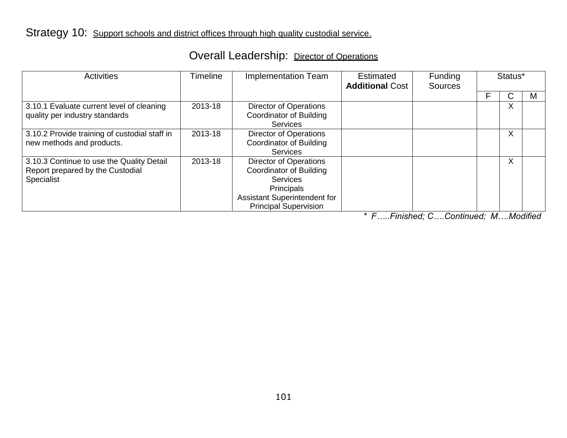### Overall Leadership: Director of Operations

| <b>Activities</b>                                                                           | Timeline<br>Implementation Team |                                                                                                                                                    | Estimated<br><b>Additional Cost</b> | Funding<br>Sources | Status* |   |
|---------------------------------------------------------------------------------------------|---------------------------------|----------------------------------------------------------------------------------------------------------------------------------------------------|-------------------------------------|--------------------|---------|---|
|                                                                                             |                                 |                                                                                                                                                    |                                     |                    | С       | M |
| 3.10.1 Evaluate current level of cleaning<br>quality per industry standards                 | 2013-18                         | Director of Operations<br><b>Coordinator of Building</b><br><b>Services</b>                                                                        |                                     |                    | X       |   |
| 3.10.2 Provide training of custodial staff in<br>new methods and products.                  | 2013-18                         | Director of Operations<br>Coordinator of Building<br><b>Services</b>                                                                               |                                     |                    | X       |   |
| 3.10.3 Continue to use the Quality Detail<br>Report prepared by the Custodial<br>Specialist | 2013-18                         | Director of Operations<br>Coordinator of Building<br><b>Services</b><br>Principals<br>Assistant Superintendent for<br><b>Principal Supervision</b> |                                     |                    | X       |   |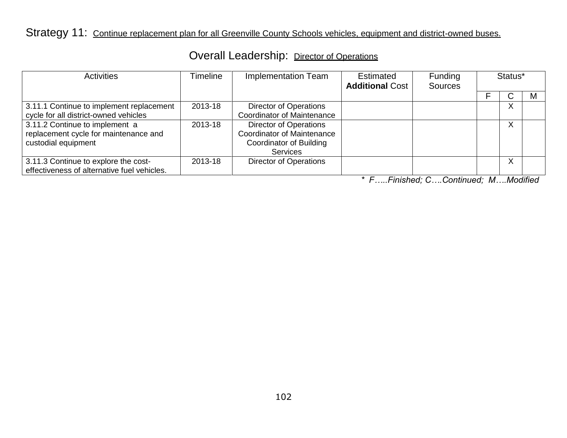# Strategy 11: Continue replacement plan for all Greenville County Schools vehicles, equipment and district-owned buses.

| Overall Leadership: Director of Operations |  |
|--------------------------------------------|--|
|--------------------------------------------|--|

| <b>Activities</b>                           | Timeline | Implementation Team               | Estimated<br><b>Additional Cost</b> | Funding<br><b>Sources</b> | Status* |              |   |
|---------------------------------------------|----------|-----------------------------------|-------------------------------------|---------------------------|---------|--------------|---|
|                                             |          |                                   |                                     |                           |         |              | м |
| 3.11.1 Continue to implement replacement    | 2013-18  | <b>Director of Operations</b>     |                                     |                           |         | $\mathsf{X}$ |   |
| cycle for all district-owned vehicles       |          | Coordinator of Maintenance        |                                     |                           |         |              |   |
| 3.11.2 Continue to implement a              | 2013-18  | <b>Director of Operations</b>     |                                     |                           |         | X            |   |
| replacement cycle for maintenance and       |          | <b>Coordinator of Maintenance</b> |                                     |                           |         |              |   |
| custodial equipment                         |          | Coordinator of Building           |                                     |                           |         |              |   |
|                                             |          | <b>Services</b>                   |                                     |                           |         |              |   |
| 3.11.3 Continue to explore the cost-        | 2013-18  | <b>Director of Operations</b>     |                                     |                           |         | X            |   |
| effectiveness of alternative fuel vehicles. |          |                                   |                                     |                           |         |              |   |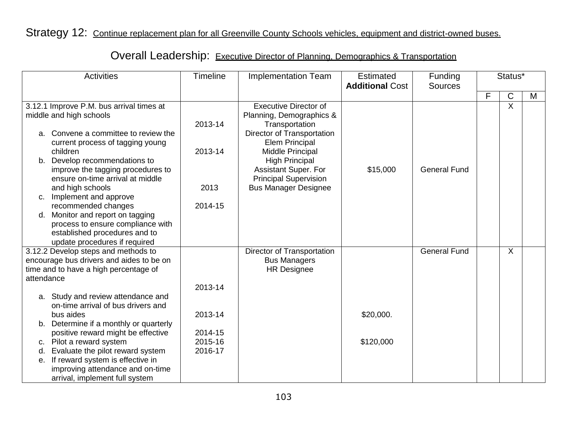### Strategy 12: Continue replacement plan for all Greenville County Schools vehicles, equipment and district-owned buses.

| <b>Activities</b> |                                          | <b>Timeline</b> | <b>Implementation Team</b>   | <b>Estimated</b><br><b>Additional Cost</b> | Funding<br><b>Sources</b> | Status* |                |   |
|-------------------|------------------------------------------|-----------------|------------------------------|--------------------------------------------|---------------------------|---------|----------------|---|
|                   |                                          |                 |                              |                                            |                           | F       | $\mathsf C$    | M |
|                   | 3.12.1 Improve P.M. bus arrival times at |                 | <b>Executive Director of</b> |                                            |                           |         | $\overline{X}$ |   |
|                   | middle and high schools                  |                 | Planning, Demographics &     |                                            |                           |         |                |   |
|                   |                                          | 2013-14         | Transportation               |                                            |                           |         |                |   |
| a.                | Convene a committee to review the        |                 | Director of Transportation   |                                            |                           |         |                |   |
|                   | current process of tagging young         |                 | <b>Elem Principal</b>        |                                            |                           |         |                |   |
|                   | children                                 | 2013-14         | Middle Principal             |                                            |                           |         |                |   |
|                   | b. Develop recommendations to            |                 | <b>High Principal</b>        |                                            |                           |         |                |   |
|                   | improve the tagging procedures to        |                 | Assistant Super. For         | \$15,000                                   | <b>General Fund</b>       |         |                |   |
|                   | ensure on-time arrival at middle         |                 | <b>Principal Supervision</b> |                                            |                           |         |                |   |
|                   | and high schools                         | 2013            | <b>Bus Manager Designee</b>  |                                            |                           |         |                |   |
| c.                | Implement and approve                    |                 |                              |                                            |                           |         |                |   |
|                   | recommended changes                      | 2014-15         |                              |                                            |                           |         |                |   |
| d.                | Monitor and report on tagging            |                 |                              |                                            |                           |         |                |   |
|                   | process to ensure compliance with        |                 |                              |                                            |                           |         |                |   |
|                   | established procedures and to            |                 |                              |                                            |                           |         |                |   |
|                   | update procedures if required            |                 |                              |                                            |                           |         |                |   |
|                   | 3.12.2 Develop steps and methods to      |                 | Director of Transportation   |                                            | <b>General Fund</b>       |         | X              |   |
|                   | encourage bus drivers and aides to be on |                 | <b>Bus Managers</b>          |                                            |                           |         |                |   |
|                   | time and to have a high percentage of    |                 | <b>HR Designee</b>           |                                            |                           |         |                |   |
| attendance        |                                          |                 |                              |                                            |                           |         |                |   |
|                   |                                          | 2013-14         |                              |                                            |                           |         |                |   |
|                   | a. Study and review attendance and       |                 |                              |                                            |                           |         |                |   |
|                   | on-time arrival of bus drivers and       |                 |                              |                                            |                           |         |                |   |
|                   | bus aides                                | 2013-14         |                              | \$20,000.                                  |                           |         |                |   |
| b.                | Determine if a monthly or quarterly      |                 |                              |                                            |                           |         |                |   |
|                   | positive reward might be effective       | 2014-15         |                              |                                            |                           |         |                |   |
|                   | c. Pilot a reward system                 | 2015-16         |                              | \$120,000                                  |                           |         |                |   |
| d.                | Evaluate the pilot reward system         | 2016-17         |                              |                                            |                           |         |                |   |
| е.                | If reward system is effective in         |                 |                              |                                            |                           |         |                |   |
|                   | improving attendance and on-time         |                 |                              |                                            |                           |         |                |   |
|                   | arrival, implement full system           |                 |                              |                                            |                           |         |                |   |

# Overall Leadership: Executive Director of Planning, Demographics & Transportation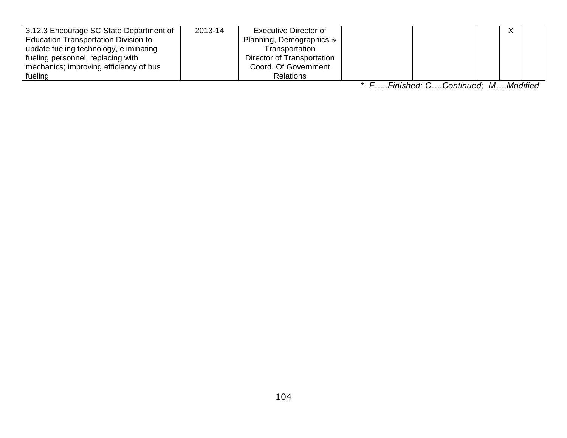| 3.12.3 Encourage SC State Department of     | 2013-14 | <b>Executive Director of</b> |  |  |  |
|---------------------------------------------|---------|------------------------------|--|--|--|
| <b>Education Transportation Division to</b> |         | Planning, Demographics &     |  |  |  |
| update fueling technology, eliminating      |         | Transportation               |  |  |  |
| fueling personnel, replacing with           |         | Director of Transportation   |  |  |  |
| mechanics; improving efficiency of bus      |         | Coord. Of Government         |  |  |  |
| fueling                                     |         | <b>Relations</b>             |  |  |  |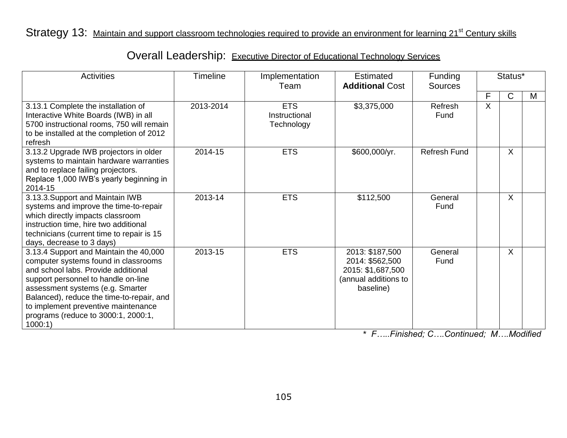### Strategy 13: Maintain and support classroom technologies required to provide an environment for learning 21<sup>st</sup> Century skills

| <b>Activities</b>                                                                                                                                                                                                                                                                                                                      | <b>Timeline</b> | Implementation<br>Team                    | Estimated<br><b>Additional Cost</b>                                                          | Funding<br><b>Sources</b> | Status* |   |   |
|----------------------------------------------------------------------------------------------------------------------------------------------------------------------------------------------------------------------------------------------------------------------------------------------------------------------------------------|-----------------|-------------------------------------------|----------------------------------------------------------------------------------------------|---------------------------|---------|---|---|
|                                                                                                                                                                                                                                                                                                                                        |                 |                                           |                                                                                              |                           | F       | C | M |
| 3.13.1 Complete the installation of<br>Interactive White Boards (IWB) in all<br>5700 instructional rooms, 750 will remain<br>to be installed at the completion of 2012<br>refresh                                                                                                                                                      | 2013-2014       | <b>ETS</b><br>Instructional<br>Technology | \$3,375,000                                                                                  | Refresh<br>Fund           | X       |   |   |
| 3.13.2 Upgrade IWB projectors in older<br>systems to maintain hardware warranties<br>and to replace failing projectors.<br>Replace 1,000 IWB's yearly beginning in<br>2014-15                                                                                                                                                          | 2014-15         | <b>ETS</b>                                | \$600,000/yr.                                                                                | <b>Refresh Fund</b>       |         | X |   |
| 3.13.3. Support and Maintain IWB<br>systems and improve the time-to-repair<br>which directly impacts classroom<br>instruction time, hire two additional<br>technicians (current time to repair is 15<br>days, decrease to 3 days)                                                                                                      | 2013-14         | <b>ETS</b>                                | \$112,500                                                                                    | General<br>Fund           |         | X |   |
| 3.13.4 Support and Maintain the 40,000<br>computer systems found in classrooms<br>and school labs. Provide additional<br>support personnel to handle on-line<br>assessment systems (e.g. Smarter<br>Balanced), reduce the time-to-repair, and<br>to implement preventive maintenance<br>programs (reduce to 3000:1, 2000:1,<br>1000:1) | 2013-15         | <b>ETS</b>                                | 2013: \$187,500<br>2014: \$562,500<br>2015: \$1,687,500<br>(annual additions to<br>baseline) | General<br>Fund           |         | X |   |

Overall Leadership: Executive Director of Educational Technology Services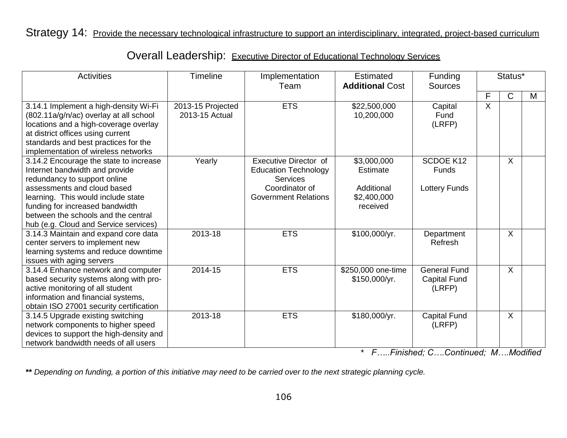#### Strategy 14: Provide the necessary technological infrastructure to support an interdisciplinary, integrated, project-based curriculum

| <b>Activities</b>                                                                                                                                                                                                                                                                                | <b>Timeline</b>                     | Implementation<br>Team                                                                                            | Estimated<br><b>Additional Cost</b>                                     | Funding<br><b>Sources</b>                            | Status*                   |         |   |
|--------------------------------------------------------------------------------------------------------------------------------------------------------------------------------------------------------------------------------------------------------------------------------------------------|-------------------------------------|-------------------------------------------------------------------------------------------------------------------|-------------------------------------------------------------------------|------------------------------------------------------|---------------------------|---------|---|
|                                                                                                                                                                                                                                                                                                  |                                     |                                                                                                                   |                                                                         |                                                      | F                         | C       | M |
| 3.14.1 Implement a high-density Wi-Fi<br>(802.11a/g/n/ac) overlay at all school<br>locations and a high-coverage overlay<br>at district offices using current<br>standards and best practices for the<br>implementation of wireless networks                                                     | 2013-15 Projected<br>2013-15 Actual | <b>ETS</b>                                                                                                        | \$22,500,000<br>10,200,000                                              | Capital<br>Fund<br>(LRFP)                            | $\boldsymbol{\mathsf{X}}$ |         |   |
| 3.14.2 Encourage the state to increase<br>Internet bandwidth and provide<br>redundancy to support online<br>assessments and cloud based<br>learning. This would include state<br>funding for increased bandwidth<br>between the schools and the central<br>hub (e.g. Cloud and Service services) | Yearly                              | Executive Director of<br><b>Education Technology</b><br>Services<br>Coordinator of<br><b>Government Relations</b> | \$3,000,000<br><b>Estimate</b><br>Additional<br>\$2,400,000<br>received | <b>SCDOE K12</b><br>Funds<br><b>Lottery Funds</b>    |                           | $\sf X$ |   |
| 3.14.3 Maintain and expand core data<br>center servers to implement new<br>learning systems and reduce downtime<br>issues with aging servers                                                                                                                                                     | 2013-18                             | <b>ETS</b>                                                                                                        | \$100,000/yr.                                                           | Department<br>Refresh                                |                           | $\sf X$ |   |
| 3.14.4 Enhance network and computer<br>based security systems along with pro-<br>active monitoring of all student<br>information and financial systems,<br>obtain ISO 27001 security certification                                                                                               | 2014-15                             | <b>ETS</b>                                                                                                        | \$250,000 one-time<br>\$150,000/yr.                                     | <b>General Fund</b><br><b>Capital Fund</b><br>(LRFP) |                           | X       |   |
| 3.14.5 Upgrade existing switching<br>network components to higher speed<br>devices to support the high-density and<br>network bandwidth needs of all users                                                                                                                                       | 2013-18                             | <b>ETS</b>                                                                                                        | \$180,000/yr.                                                           | <b>Capital Fund</b><br>(LRFP)                        |                           | $\sf X$ |   |

Overall Leadership: Executive Director of Educational Technology Services

\* *F…..Finished; C….Continued; M….Modified*

**\*\*** *Depending on funding, a portion of this initiative may need to be carried over to the next strategic planning cycle.*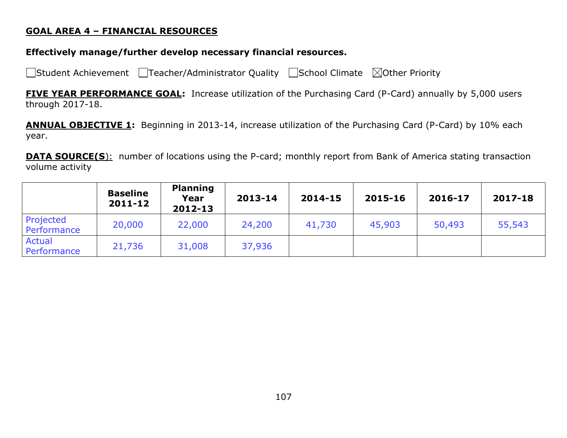#### **GOAL AREA 4 – FINANCIAL RESOURCES**

#### **Effectively manage/further develop necessary financial resources.**

□Student Achievement □Teacher/Administrator Quality □School Climate ⊠Other Priority

**FIVE YEAR PERFORMANCE GOAL:** Increase utilization of the Purchasing Card (P-Card) annually by 5,000 users through 2017-18.

**ANNUAL OBJECTIVE 1:** Beginning in 2013-14, increase utilization of the Purchasing Card (P-Card) by 10% each year.

**DATA SOURCE(S):** number of locations using the P-card; monthly report from Bank of America stating transaction volume activity

|                          | <b>Baseline</b><br>2011-12 | <b>Planning</b><br>Year<br>2012-13 | 2013-14 | 2014-15 | 2015-16 | 2016-17 | 2017-18 |
|--------------------------|----------------------------|------------------------------------|---------|---------|---------|---------|---------|
| Projected<br>Performance | 20,000                     | 22,000                             | 24,200  | 41,730  | 45,903  | 50,493  | 55,543  |
| Actual<br>Performance    | 21,736                     | 31,008                             | 37,936  |         |         |         |         |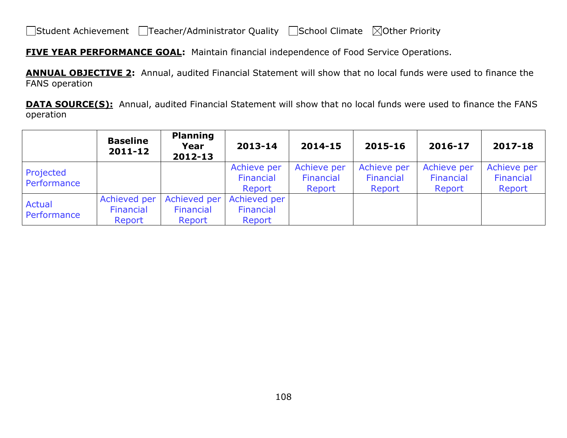**FIVE YEAR PERFORMANCE GOAL:** Maintain financial independence of Food Service Operations.

**ANNUAL OBJECTIVE 2:** Annual, audited Financial Statement will show that no local funds were used to finance the FANS operation

**DATA SOURCE(S):** Annual, audited Financial Statement will show that no local funds were used to finance the FANS operation

|                          | <b>Baseline</b><br>2011-12          | <b>Planning</b><br>Year<br>2012-13  | 2013-14                             | 2014-15                            | 2015-16                            | 2016-17                            | 2017-18                            |
|--------------------------|-------------------------------------|-------------------------------------|-------------------------------------|------------------------------------|------------------------------------|------------------------------------|------------------------------------|
| Projected<br>Performance |                                     |                                     | Achieve per<br>Financial<br>Report  | Achieve per<br>Financial<br>Report | Achieve per<br>Financial<br>Report | Achieve per<br>Financial<br>Report | Achieve per<br>Financial<br>Report |
| Actual<br>Performance    | Achieved per<br>Financial<br>Report | Achieved per<br>Financial<br>Report | Achieved per<br>Financial<br>Report |                                    |                                    |                                    |                                    |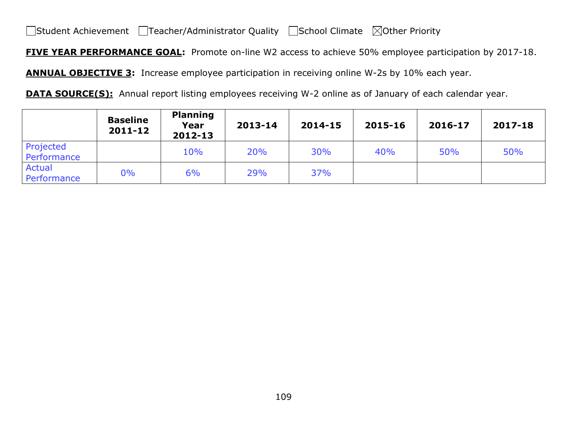**FIVE YEAR PERFORMANCE GOAL:** Promote on-line W2 access to achieve 50% employee participation by 2017-18.

**ANNUAL OBJECTIVE 3:** Increase employee participation in receiving online W-2s by 10% each year.

**DATA SOURCE(S):** Annual report listing employees receiving W-2 online as of January of each calendar year.

|                          | <b>Baseline</b><br>2011-12 | <b>Planning</b><br>Year<br>2012-13 | 2013-14    | 2014-15 | 2015-16 | 2016-17 | 2017-18 |
|--------------------------|----------------------------|------------------------------------|------------|---------|---------|---------|---------|
| Projected<br>Performance |                            | 10%                                | <b>20%</b> | 30%     | 40%     | 50%     | 50%     |
| Actual<br>Performance    | 0%                         | 6%                                 | 29%        | 37%     |         |         |         |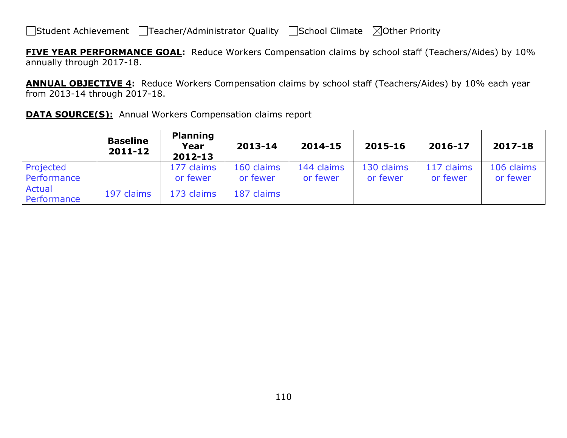**FIVE YEAR PERFORMANCE GOAL:** Reduce Workers Compensation claims by school staff (Teachers/Aides) by 10% annually through 2017-18.

**ANNUAL OBJECTIVE 4:** Reduce Workers Compensation claims by school staff (Teachers/Aides) by 10% each year from 2013-14 through 2017-18.

|  |  | <b>DATA SOURCE(S):</b> Annual Workers Compensation claims report |  |
|--|--|------------------------------------------------------------------|--|
|  |  |                                                                  |  |

|                          | <b>Baseline</b><br>2011-12 | <b>Planning</b><br>Year<br>2012-13 | 2013-14                | 2014-15                | 2015-16                | 2016-17                | 2017-18                |
|--------------------------|----------------------------|------------------------------------|------------------------|------------------------|------------------------|------------------------|------------------------|
| Projected<br>Performance |                            | 177 claims<br>or fewer             | 160 claims<br>or fewer | 144 claims<br>or fewer | 130 claims<br>or fewer | 117 claims<br>or fewer | 106 claims<br>or fewer |
| Actual<br>Performance    | 197 claims                 | 173 claims                         | 187 claims             |                        |                        |                        |                        |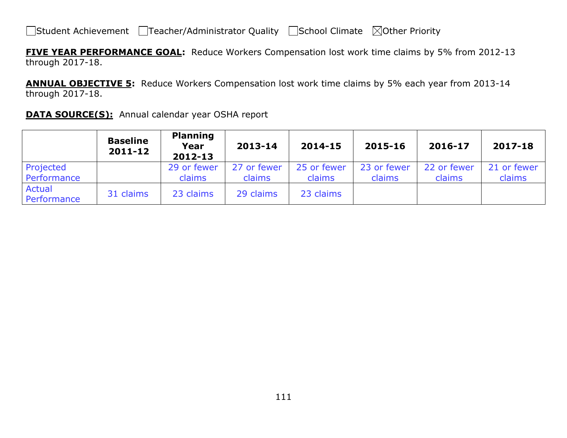**FIVE YEAR PERFORMANCE GOAL:** Reduce Workers Compensation lost work time claims by 5% from 2012-13 through 2017-18.

**ANNUAL OBJECTIVE 5:** Reduce Workers Compensation lost work time claims by 5% each year from 2013-14 through 2017-18.

| <b>DATA SOURCE(S):</b> Annual calendar year OSHA report |  |  |
|---------------------------------------------------------|--|--|
|---------------------------------------------------------|--|--|

|                              | <b>Baseline</b><br>$2011 - 12$ | <b>Planning</b><br>Year<br>$2012 - 13$ | 2013-14     | 2014-15     | 2015-16     | 2016-17     | 2017-18     |
|------------------------------|--------------------------------|----------------------------------------|-------------|-------------|-------------|-------------|-------------|
| Projected                    |                                | 29 or fewer                            | 27 or fewer | 25 or fewer | 23 or fewer | 22 or fewer | 21 or fewer |
| Performance                  |                                | claims                                 | claims      | claims      | claims      | claims      | claims      |
| <b>Actual</b><br>Performance | 31 claims                      | 23 claims                              | 29 claims   | 23 claims   |             |             |             |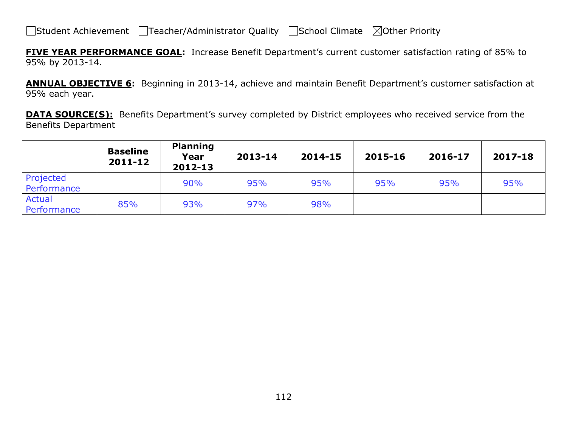**FIVE YEAR PERFORMANCE GOAL:** Increase Benefit Department's current customer satisfaction rating of 85% to 95% by 2013-14.

**ANNUAL OBJECTIVE 6:** Beginning in 2013-14, achieve and maintain Benefit Department's customer satisfaction at 95% each year.

**DATA SOURCE(S):** Benefits Department's survey completed by District employees who received service from the Benefits Department

|                          | <b>Baseline</b><br>2011-12 | <b>Planning</b><br>Year<br>2012-13 | 2013-14 | 2014-15 | 2015-16 | 2016-17 | 2017-18 |
|--------------------------|----------------------------|------------------------------------|---------|---------|---------|---------|---------|
| Projected<br>Performance |                            | 90%                                | 95%     | 95%     | 95%     | 95%     | 95%     |
| Actual<br>Performance    | 85%                        | 93%                                | 97%     | 98%     |         |         |         |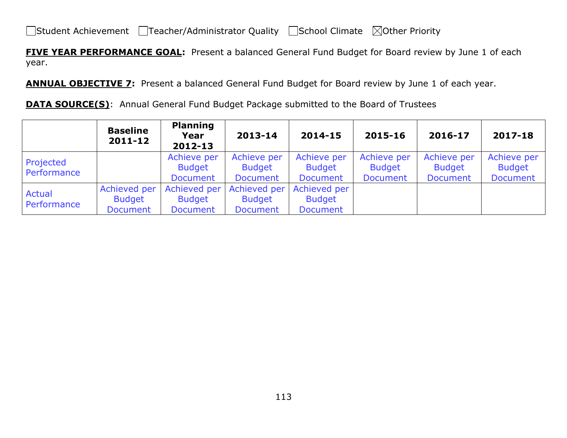**FIVE YEAR PERFORMANCE GOAL:** Present a balanced General Fund Budget for Board review by June 1 of each year.

**ANNUAL OBJECTIVE 7:** Present a balanced General Fund Budget for Board review by June 1 of each year.

**DATA SOURCE(S):** Annual General Fund Budget Package submitted to the Board of Trustees

|                          | <b>Baseline</b><br>$2011 - 12$                   | <b>Planning</b><br>Year<br>2012-13               | 2013-14                                          | 2014-15                                          | 2015-16                                         | 2016-17                                         | 2017-18                                         |
|--------------------------|--------------------------------------------------|--------------------------------------------------|--------------------------------------------------|--------------------------------------------------|-------------------------------------------------|-------------------------------------------------|-------------------------------------------------|
| Projected<br>Performance |                                                  | Achieve per<br><b>Budget</b><br><b>Document</b>  | Achieve per<br><b>Budget</b><br><b>Document</b>  | Achieve per<br><b>Budget</b><br><b>Document</b>  | Achieve per<br><b>Budget</b><br><b>Document</b> | Achieve per<br><b>Budget</b><br><b>Document</b> | Achieve per<br><b>Budget</b><br><b>Document</b> |
| Actual<br>Performance    | Achieved per<br><b>Budget</b><br><b>Document</b> | Achieved per<br><b>Budget</b><br><b>Document</b> | Achieved per<br><b>Budget</b><br><b>Document</b> | Achieved per<br><b>Budget</b><br><b>Document</b> |                                                 |                                                 |                                                 |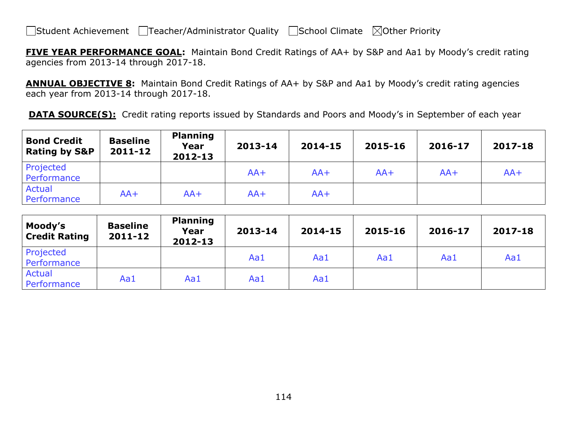**FIVE YEAR PERFORMANCE GOAL:** Maintain Bond Credit Ratings of AA+ by S&P and Aa1 by Moody's credit rating agencies from 2013-14 through 2017-18.

**ANNUAL OBJECTIVE 8:** Maintain Bond Credit Ratings of AA+ by S&P and Aa1 by Moody's credit rating agencies each year from 2013-14 through 2017-18.

**DATA SOURCE(S):** Credit rating reports issued by Standards and Poors and Moody's in September of each year

| <b>Bond Credit</b><br><b>Rating by S&amp;P</b> | <b>Baseline</b><br>2011-12 | <b>Planning</b><br>Year<br>2012-13 | 2013-14 | 2014-15 | 2015-16 | 2016-17 | 2017-18 |
|------------------------------------------------|----------------------------|------------------------------------|---------|---------|---------|---------|---------|
| Projected<br>Performance                       |                            |                                    | $AA+$   | $AA+$   | $AA+$   | $AA+$   | $AA+$   |
| Actual<br>Performance                          | $AA+$                      | $AA+$                              | $AA+$   | $AA+$   |         |         |         |

| Moody's<br><b>Credit Rating</b> | <b>Baseline</b><br>$2011 - 12$ | <b>Planning</b><br>Year<br>2012-13 | 2013-14 | 2014-15 | 2015-16 | 2016-17 | 2017-18 |
|---------------------------------|--------------------------------|------------------------------------|---------|---------|---------|---------|---------|
| Projected<br>Performance        |                                |                                    | Aa1     | Aa1     | Aa1     | Aa1     | Aa1     |
| Actual<br>Performance           | Aa1                            | Aa1                                | Aa1     | Aa1     |         |         |         |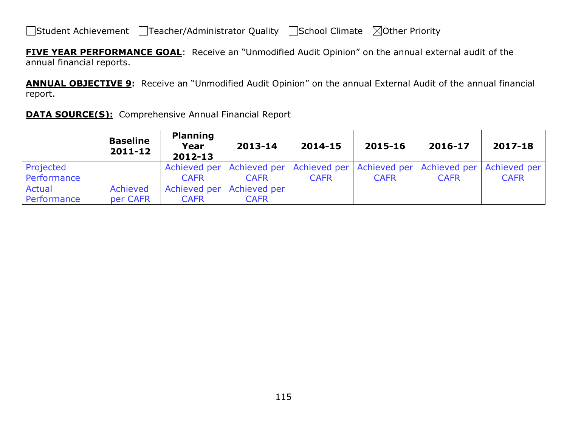**FIVE YEAR PERFORMANCE GOAL**: Receive an "Unmodified Audit Opinion" on the annual external audit of the annual financial reports.

**ANNUAL OBJECTIVE 9:** Receive an "Unmodified Audit Opinion" on the annual External Audit of the annual financial report.

|  | <b>DATA SOURCE(S):</b> Comprehensive Annual Financial Report |  |
|--|--------------------------------------------------------------|--|
|  |                                                              |  |

|             | <b>Baseline</b><br>2011-12 | <b>Planning</b><br>Year<br>2012-13 | 2013-14                   | 2014-15                                                                                 | 2015-16     | 2016-17     | 2017-18     |
|-------------|----------------------------|------------------------------------|---------------------------|-----------------------------------------------------------------------------------------|-------------|-------------|-------------|
| Projected   |                            |                                    |                           | Achieved per   Achieved per   Achieved per   Achieved per   Achieved per   Achieved per |             |             |             |
| Performance |                            | <b>CAFR</b>                        | <b>CAFR</b>               | <b>CAFR</b>                                                                             | <b>CAFR</b> | <b>CAFR</b> | <b>CAFR</b> |
| Actual      | Achieved                   |                                    | Achieved per Achieved per |                                                                                         |             |             |             |
| Performance | per CAFR                   | <b>CAFR</b>                        | <b>CAFR</b>               |                                                                                         |             |             |             |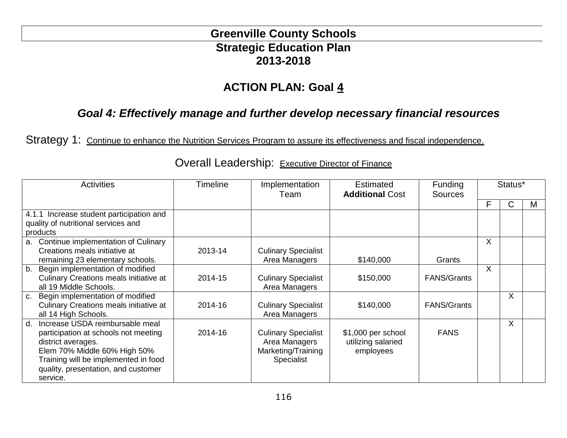## **Greenville County Schools Strategic Education Plan 2013-2018**

# **ACTION PLAN: Goal 4**

## *Goal 4: Effectively manage and further develop necessary financial resources*

Strategy 1: Continue to enhance the Nutrition Services Program to assure its effectiveness and fiscal independence.

| <b>Activities</b>                                                                                                                                                                                                                   | <b>Timeline</b> | Implementation<br>Team                                                          | <b>Estimated</b><br><b>Additional Cost</b>            | <b>Funding</b><br><b>Sources</b> |         | Status*      |   |
|-------------------------------------------------------------------------------------------------------------------------------------------------------------------------------------------------------------------------------------|-----------------|---------------------------------------------------------------------------------|-------------------------------------------------------|----------------------------------|---------|--------------|---|
|                                                                                                                                                                                                                                     |                 |                                                                                 |                                                       |                                  | F       | $\mathsf{C}$ | M |
| 4.1.1 Increase student participation and<br>quality of nutritional services and<br>products                                                                                                                                         |                 |                                                                                 |                                                       |                                  |         |              |   |
| a. Continue implementation of Culinary<br>Creations meals initiative at<br>remaining 23 elementary schools.                                                                                                                         | 2013-14         | <b>Culinary Specialist</b><br>Area Managers                                     | \$140,000                                             | Grants                           | X       |              |   |
| b. Begin implementation of modified<br>Culinary Creations meals initiative at<br>all 19 Middle Schools.                                                                                                                             | 2014-15         | <b>Culinary Specialist</b><br>Area Managers                                     | \$150,000                                             | <b>FANS/Grants</b>               | $\sf X$ |              |   |
| c. Begin implementation of modified<br>Culinary Creations meals initiative at<br>all 14 High Schools.                                                                                                                               | 2014-16         | <b>Culinary Specialist</b><br>Area Managers                                     | \$140,000                                             | <b>FANS/Grants</b>               |         | X            |   |
| Increase USDA reimbursable meal<br>$d_{-}$<br>participation at schools not meeting<br>district averages.<br>Elem 70% Middle 60% High 50%<br>Training will be implemented in food<br>quality, presentation, and customer<br>service. | 2014-16         | <b>Culinary Specialist</b><br>Area Managers<br>Marketing/Training<br>Specialist | \$1,000 per school<br>utilizing salaried<br>employees | <b>FANS</b>                      |         | X            |   |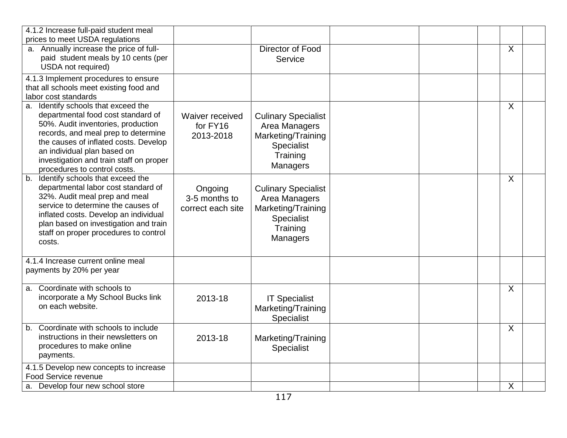| 4.1.2 Increase full-paid student meal<br>prices to meet USDA regulations                                                                                                                                                                                                                                  |                                               |                                                                                                                |         |  |
|-----------------------------------------------------------------------------------------------------------------------------------------------------------------------------------------------------------------------------------------------------------------------------------------------------------|-----------------------------------------------|----------------------------------------------------------------------------------------------------------------|---------|--|
| a. Annually increase the price of full-<br>paid student meals by 10 cents (per<br>USDA not required)                                                                                                                                                                                                      |                                               | Director of Food<br>Service                                                                                    | $\sf X$ |  |
| 4.1.3 Implement procedures to ensure<br>that all schools meet existing food and<br>labor cost standards                                                                                                                                                                                                   |                                               |                                                                                                                |         |  |
| a. Identify schools that exceed the<br>departmental food cost standard of<br>50%. Audit inventories, production<br>records, and meal prep to determine<br>the causes of inflated costs. Develop<br>an individual plan based on<br>investigation and train staff on proper<br>procedures to control costs. | Waiver received<br>for FY16<br>2013-2018      | <b>Culinary Specialist</b><br>Area Managers<br>Marketing/Training<br>Specialist<br>Training<br><b>Managers</b> | $\sf X$ |  |
| b. Identify schools that exceed the<br>departmental labor cost standard of<br>32%. Audit meal prep and meal<br>service to determine the causes of<br>inflated costs. Develop an individual<br>plan based on investigation and train<br>staff on proper procedures to control<br>costs.                    | Ongoing<br>3-5 months to<br>correct each site | <b>Culinary Specialist</b><br>Area Managers<br>Marketing/Training<br>Specialist<br>Training<br>Managers        | X       |  |
| 4.1.4 Increase current online meal<br>payments by 20% per year                                                                                                                                                                                                                                            |                                               |                                                                                                                |         |  |
| a. Coordinate with schools to<br>incorporate a My School Bucks link<br>on each website.                                                                                                                                                                                                                   | 2013-18                                       | <b>IT Specialist</b><br>Marketing/Training<br><b>Specialist</b>                                                | $\sf X$ |  |
| b. Coordinate with schools to include<br>instructions in their newsletters on<br>procedures to make online<br>payments.                                                                                                                                                                                   | 2013-18                                       | Marketing/Training<br>Specialist                                                                               | $\sf X$ |  |
| 4.1.5 Develop new concepts to increase<br>Food Service revenue                                                                                                                                                                                                                                            |                                               |                                                                                                                |         |  |
| a. Develop four new school store                                                                                                                                                                                                                                                                          |                                               |                                                                                                                | X       |  |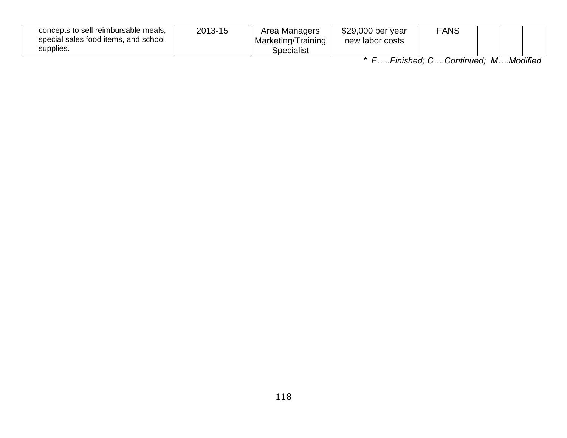| concepts to sell reimbursable meals,<br>special sales food items, and school<br>supplies. | 2013-15 | Area Managers<br>Marketing/Training<br>Specialist | \$29,000 per year<br>new labor costs | FANS |            |  |
|-------------------------------------------------------------------------------------------|---------|---------------------------------------------------|--------------------------------------|------|------------|--|
|                                                                                           |         |                                                   | _ _ _ _                              |      | .<br>- - - |  |

*\* F…..Finished; C….Continued; M….Modified*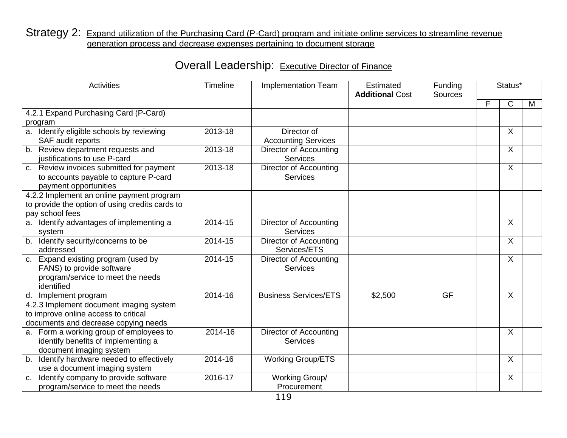### Strategy 2: Expand utilization of the Purchasing Card (P-Card) program and initiate online services to streamline revenue generation process and decrease expenses pertaining to document storage

| <b>Activities</b>                               | Timeline | <b>Implementation Team</b>    | <b>Estimated</b><br><b>Additional Cost</b> | Funding<br><b>Sources</b> |   | Status*                   |   |
|-------------------------------------------------|----------|-------------------------------|--------------------------------------------|---------------------------|---|---------------------------|---|
|                                                 |          |                               |                                            |                           | F | C                         | M |
| 4.2.1 Expand Purchasing Card (P-Card)           |          |                               |                                            |                           |   |                           |   |
| program                                         |          |                               |                                            |                           |   |                           |   |
| Identify eligible schools by reviewing<br>a.    | 2013-18  | Director of                   |                                            |                           |   | X                         |   |
| SAF audit reports                               |          | <b>Accounting Services</b>    |                                            |                           |   |                           |   |
| Review department requests and<br>b.            | 2013-18  | <b>Director of Accounting</b> |                                            |                           |   | $\boldsymbol{\mathsf{X}}$ |   |
| justifications to use P-card                    |          | <b>Services</b>               |                                            |                           |   |                           |   |
| Review invoices submitted for payment<br>C.     | 2013-18  | <b>Director of Accounting</b> |                                            |                           |   | $\boldsymbol{\mathsf{X}}$ |   |
| to accounts payable to capture P-card           |          | Services                      |                                            |                           |   |                           |   |
| payment opportunities                           |          |                               |                                            |                           |   |                           |   |
| 4.2.2 Implement an online payment program       |          |                               |                                            |                           |   |                           |   |
| to provide the option of using credits cards to |          |                               |                                            |                           |   |                           |   |
| pay school fees                                 |          |                               |                                            |                           |   |                           |   |
| Identify advantages of implementing a<br>а.     | 2014-15  | <b>Director of Accounting</b> |                                            |                           |   | X                         |   |
| system                                          |          | <b>Services</b>               |                                            |                           |   |                           |   |
| b. Identify security/concerns to be             | 2014-15  | Director of Accounting        |                                            |                           |   | $\sf X$                   |   |
| addressed                                       |          | Services/ETS                  |                                            |                           |   |                           |   |
| c. Expand existing program (used by             | 2014-15  | Director of Accounting        |                                            |                           |   | $\sf X$                   |   |
| FANS) to provide software                       |          | Services                      |                                            |                           |   |                           |   |
| program/service to meet the needs               |          |                               |                                            |                           |   |                           |   |
| identified                                      |          |                               |                                            |                           |   |                           |   |
| d. Implement program                            | 2014-16  | <b>Business Services/ETS</b>  | \$2,500                                    | <b>GF</b>                 |   | $\boldsymbol{\mathsf{X}}$ |   |
| 4.2.3 Implement document imaging system         |          |                               |                                            |                           |   |                           |   |
| to improve online access to critical            |          |                               |                                            |                           |   |                           |   |
| documents and decrease copying needs            |          |                               |                                            |                           |   |                           |   |
| a. Form a working group of employees to         | 2014-16  | Director of Accounting        |                                            |                           |   | X                         |   |
| identify benefits of implementing a             |          | <b>Services</b>               |                                            |                           |   |                           |   |
| document imaging system                         |          |                               |                                            |                           |   |                           |   |
| Identify hardware needed to effectively<br>b.   | 2014-16  | <b>Working Group/ETS</b>      |                                            |                           |   | $\sf X$                   |   |
| use a document imaging system                   |          |                               |                                            |                           |   |                           |   |
| Identify company to provide software<br>C.      | 2016-17  | Working Group/                |                                            |                           |   | X                         |   |
| program/service to meet the needs               |          | Procurement                   |                                            |                           |   |                           |   |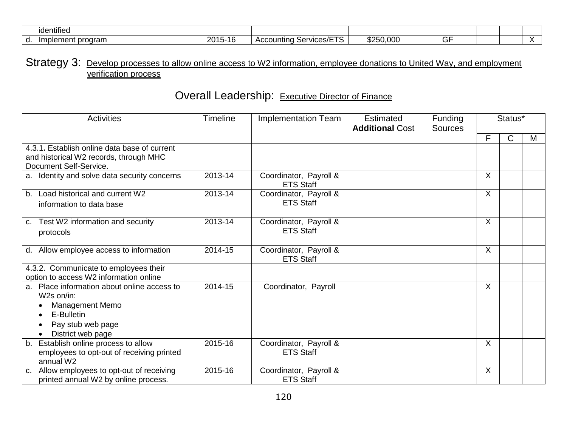| identified                              |                             |                                   |           |  |  |
|-----------------------------------------|-----------------------------|-----------------------------------|-----------|--|--|
| lement program<br>l mr<br>,,,,,,,<br>u. | 2015-<br>$\sqrt{2}$<br>نا 1 | T<br>า Services/ETS<br>Accounting | \$250,000 |  |  |

### Strategy 3: Develop processes to allow online access to W2 information, employee donations to United Way, and employment verification process

| <b>Activities</b>                                                                                                                              | <b>Timeline</b> | <b>Implementation Team</b>                 | Estimated<br><b>Additional Cost</b> | <b>Funding</b><br><b>Sources</b> | Status*                   |              |   |
|------------------------------------------------------------------------------------------------------------------------------------------------|-----------------|--------------------------------------------|-------------------------------------|----------------------------------|---------------------------|--------------|---|
|                                                                                                                                                |                 |                                            |                                     |                                  | F                         | $\mathsf{C}$ | Μ |
| 4.3.1. Establish online data base of current<br>and historical W2 records, through MHC<br>Document Self-Service.                               |                 |                                            |                                     |                                  |                           |              |   |
| a. Identity and solve data security concerns                                                                                                   | 2013-14         | Coordinator, Payroll &<br><b>ETS Staff</b> |                                     |                                  | $\sf X$                   |              |   |
| Load historical and current W2<br>b.<br>information to data base                                                                               | 2013-14         | Coordinator, Payroll &<br><b>ETS Staff</b> |                                     |                                  | $\sf X$                   |              |   |
| Test W2 information and security<br>C.<br>protocols                                                                                            | 2013-14         | Coordinator, Payroll &<br><b>ETS Staff</b> |                                     |                                  | $\sf X$                   |              |   |
| Allow employee access to information<br>d.                                                                                                     | 2014-15         | Coordinator, Payroll &<br><b>ETS Staff</b> |                                     |                                  | X                         |              |   |
| 4.3.2. Communicate to employees their<br>option to access W2 information online                                                                |                 |                                            |                                     |                                  |                           |              |   |
| Place information about online access to<br>a.<br>W2s on/in:<br><b>Management Memo</b><br>E-Bulletin<br>Pay stub web page<br>District web page | 2014-15         | Coordinator, Payroll                       |                                     |                                  | $\boldsymbol{\mathsf{X}}$ |              |   |
| Establish online process to allow<br>b.<br>employees to opt-out of receiving printed<br>annual W2                                              | 2015-16         | Coordinator, Payroll &<br><b>ETS Staff</b> |                                     |                                  | X                         |              |   |
| Allow employees to opt-out of receiving<br>C.<br>printed annual W2 by online process.                                                          | 2015-16         | Coordinator, Payroll &<br><b>ETS Staff</b> |                                     |                                  | X                         |              |   |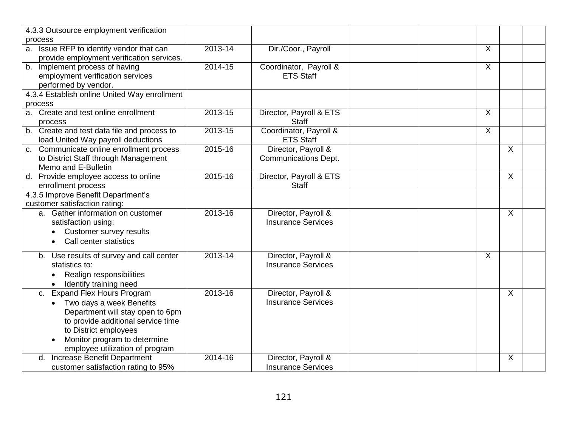|                                          | 4.3.3 Outsource employment verification                                                                                                                                                                                        |         |                                                    |                           |         |
|------------------------------------------|--------------------------------------------------------------------------------------------------------------------------------------------------------------------------------------------------------------------------------|---------|----------------------------------------------------|---------------------------|---------|
| process                                  |                                                                                                                                                                                                                                |         |                                                    |                           |         |
| a.                                       | Issue RFP to identify vendor that can<br>provide employment verification services.                                                                                                                                             | 2013-14 | Dir./Coor., Payroll                                | $\boldsymbol{\mathsf{X}}$ |         |
| performed by vendor.                     | b. Implement process of having<br>employment verification services                                                                                                                                                             | 2014-15 | Coordinator, Payroll &<br><b>ETS Staff</b>         | $\boldsymbol{\mathsf{X}}$ |         |
|                                          | 4.3.4 Establish online United Way enrollment                                                                                                                                                                                   |         |                                                    |                           |         |
| process                                  |                                                                                                                                                                                                                                |         |                                                    |                           |         |
|                                          | a. Create and test online enrollment                                                                                                                                                                                           | 2013-15 | Director, Payroll & ETS                            | X                         |         |
| process                                  |                                                                                                                                                                                                                                |         | <b>Staff</b>                                       | X                         |         |
|                                          | b. Create and test data file and process to<br>load United Way payroll deductions                                                                                                                                              | 2013-15 | Coordinator, Payroll &<br><b>ETS Staff</b>         |                           |         |
| Memo and E-Bulletin                      | c. Communicate online enrollment process<br>to District Staff through Management                                                                                                                                               | 2015-16 | Director, Payroll &<br><b>Communications Dept.</b> |                           | $\sf X$ |
| enrollment process                       | d. Provide employee access to online                                                                                                                                                                                           | 2015-16 | Director, Payroll & ETS<br><b>Staff</b>            |                           | $\sf X$ |
| customer satisfaction rating:            | 4.3.5 Improve Benefit Department's                                                                                                                                                                                             |         |                                                    |                           |         |
|                                          | a. Gather information on customer<br>satisfaction using:<br>Customer survey results<br>Call center statistics                                                                                                                  | 2013-16 | Director, Payroll &<br><b>Insurance Services</b>   |                           | $\sf X$ |
| statistics to:<br>$\bullet$<br>$\bullet$ | b. Use results of survey and call center<br>Realign responsibilities<br>Identify training need                                                                                                                                 | 2013-14 | Director, Payroll &<br><b>Insurance Services</b>   | X                         |         |
| $\bullet$                                | c. Expand Flex Hours Program<br>Two days a week Benefits<br>Department will stay open to 6pm<br>to provide additional service time<br>to District employees<br>Monitor program to determine<br>employee utilization of program | 2013-16 | Director, Payroll &<br><b>Insurance Services</b>   |                           | X       |
|                                          | d. Increase Benefit Department<br>customer satisfaction rating to 95%                                                                                                                                                          | 2014-16 | Director, Payroll &<br><b>Insurance Services</b>   |                           | $\sf X$ |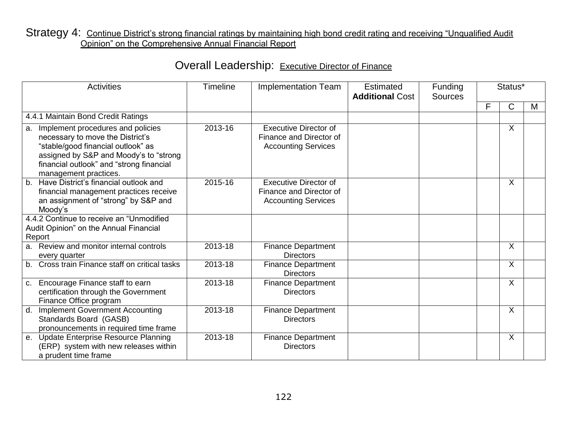### Strategy 4: Continue District's strong financial ratings by maintaining high bond credit rating and receiving "Unqualified Audit Opinion" on the Comprehensive Annual Financial Report

| Overall Leadership: Executive Director of Finance |  |
|---------------------------------------------------|--|
|---------------------------------------------------|--|

| <b>Activities</b>                                                                                                                                                                                                             | <b>Timeline</b> | <b>Implementation Team</b>                                                            | Estimated<br><b>Additional Cost</b> | Funding<br><b>Sources</b> | Status* |              |   |
|-------------------------------------------------------------------------------------------------------------------------------------------------------------------------------------------------------------------------------|-----------------|---------------------------------------------------------------------------------------|-------------------------------------|---------------------------|---------|--------------|---|
|                                                                                                                                                                                                                               |                 |                                                                                       |                                     |                           | F       | $\mathsf{C}$ | M |
| 4.4.1 Maintain Bond Credit Ratings                                                                                                                                                                                            |                 |                                                                                       |                                     |                           |         |              |   |
| a. Implement procedures and policies<br>necessary to move the District's<br>"stable/good financial outlook" as<br>assigned by S&P and Moody's to "strong<br>financial outlook" and "strong financial<br>management practices. | 2013-16         | <b>Executive Director of</b><br>Finance and Director of<br><b>Accounting Services</b> |                                     |                           |         | $\mathsf{X}$ |   |
| b. Have District's financial outlook and<br>financial management practices receive<br>an assignment of "strong" by S&P and<br>Moody's                                                                                         | 2015-16         | <b>Executive Director of</b><br>Finance and Director of<br><b>Accounting Services</b> |                                     |                           |         | $\sf X$      |   |
| 4.4.2 Continue to receive an "Unmodified<br>Audit Opinion" on the Annual Financial<br>Report                                                                                                                                  |                 |                                                                                       |                                     |                           |         |              |   |
| a. Review and monitor internal controls<br>every quarter                                                                                                                                                                      | 2013-18         | <b>Finance Department</b><br><b>Directors</b>                                         |                                     |                           |         | X            |   |
| b. Cross train Finance staff on critical tasks                                                                                                                                                                                | 2013-18         | <b>Finance Department</b><br><b>Directors</b>                                         |                                     |                           |         | X            |   |
| Encourage Finance staff to earn<br>C.<br>certification through the Government<br>Finance Office program                                                                                                                       | 2013-18         | <b>Finance Department</b><br><b>Directors</b>                                         |                                     |                           |         | X            |   |
| d. Implement Government Accounting<br>Standards Board (GASB)<br>pronouncements in required time frame                                                                                                                         | 2013-18         | <b>Finance Department</b><br><b>Directors</b>                                         |                                     |                           |         | X            |   |
| e. Update Enterprise Resource Planning<br>(ERP) system with new releases within<br>a prudent time frame                                                                                                                       | 2013-18         | <b>Finance Department</b><br><b>Directors</b>                                         |                                     |                           |         | X            |   |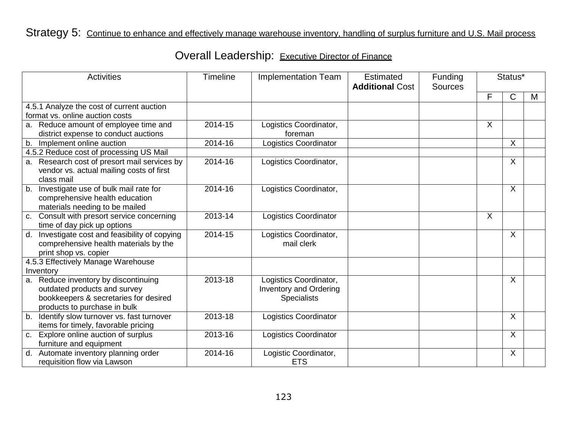## Strategy 5: Continue to enhance and effectively manage warehouse inventory, handling of surplus furniture and U.S. Mail process

|    | <b>Activities</b>                                                                                             | <b>Timeline</b> | <b>Implementation Team</b>           | Estimated<br><b>Additional Cost</b> | Funding<br><b>Sources</b> | Status* |                           |   |
|----|---------------------------------------------------------------------------------------------------------------|-----------------|--------------------------------------|-------------------------------------|---------------------------|---------|---------------------------|---|
|    |                                                                                                               |                 |                                      |                                     |                           | F       | $\mathsf{C}$              | M |
|    | 4.5.1 Analyze the cost of current auction                                                                     |                 |                                      |                                     |                           |         |                           |   |
|    | format vs. online auction costs                                                                               |                 |                                      |                                     |                           |         |                           |   |
|    | a. Reduce amount of employee time and                                                                         | 2014-15         | Logistics Coordinator,               |                                     |                           | $\sf X$ |                           |   |
|    | district expense to conduct auctions                                                                          |                 | foreman                              |                                     |                           |         |                           |   |
|    | b. Implement online auction                                                                                   | 2014-16         | <b>Logistics Coordinator</b>         |                                     |                           |         | $\mathsf{X}$              |   |
|    | 4.5.2 Reduce cost of processing US Mail                                                                       |                 |                                      |                                     |                           |         |                           |   |
|    | a. Research cost of presort mail services by<br>vendor vs. actual mailing costs of first<br>class mail        | 2014-16         | Logistics Coordinator,               |                                     |                           |         | $\sf X$                   |   |
|    | b. Investigate use of bulk mail rate for<br>comprehensive health education<br>materials needing to be mailed  | 2014-16         | Logistics Coordinator,               |                                     |                           |         | $\sf X$                   |   |
|    | c. Consult with presort service concerning<br>time of day pick up options                                     | 2013-14         | <b>Logistics Coordinator</b>         |                                     |                           | $\sf X$ |                           |   |
| d. | Investigate cost and feasibility of copying<br>comprehensive health materials by the<br>print shop vs. copier | 2014-15         | Logistics Coordinator,<br>mail clerk |                                     |                           |         | X                         |   |
|    | 4.5.3 Effectively Manage Warehouse                                                                            |                 |                                      |                                     |                           |         |                           |   |
|    | Inventory                                                                                                     |                 |                                      |                                     |                           |         |                           |   |
|    | a. Reduce inventory by discontinuing                                                                          | 2013-18         | Logistics Coordinator,               |                                     |                           |         | $\sf X$                   |   |
|    | outdated products and survey                                                                                  |                 | <b>Inventory and Ordering</b>        |                                     |                           |         |                           |   |
|    | bookkeepers & secretaries for desired                                                                         |                 | <b>Specialists</b>                   |                                     |                           |         |                           |   |
|    | products to purchase in bulk                                                                                  |                 |                                      |                                     |                           |         |                           |   |
| b. | Identify slow turnover vs. fast turnover                                                                      | 2013-18         | <b>Logistics Coordinator</b>         |                                     |                           |         | X                         |   |
|    | items for timely, favorable pricing                                                                           |                 |                                      |                                     |                           |         |                           |   |
|    | c. Explore online auction of surplus                                                                          | 2013-16         | Logistics Coordinator                |                                     |                           |         | $\boldsymbol{\mathsf{X}}$ |   |
|    | furniture and equipment                                                                                       |                 |                                      |                                     |                           |         |                           |   |
| d. | Automate inventory planning order                                                                             | 2014-16         | Logistic Coordinator,                |                                     |                           |         | $\sf X$                   |   |
|    | requisition flow via Lawson                                                                                   |                 | <b>ETS</b>                           |                                     |                           |         |                           |   |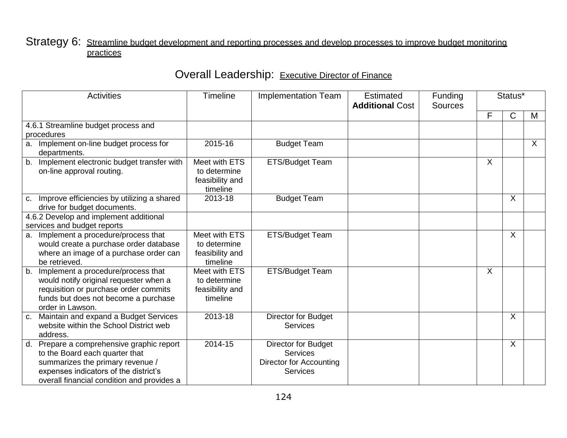### Strategy 6: Streamline budget development and reporting processes and develop processes to improve budget monitoring practices

| <b>Activities</b>                                                                                                                                                                                      | Timeline                                                     | <b>Implementation Team</b>                                                                  | <b>Estimated</b><br><b>Additional Cost</b> | Funding<br><b>Sources</b> | Status* |                           |         |
|--------------------------------------------------------------------------------------------------------------------------------------------------------------------------------------------------------|--------------------------------------------------------------|---------------------------------------------------------------------------------------------|--------------------------------------------|---------------------------|---------|---------------------------|---------|
|                                                                                                                                                                                                        |                                                              |                                                                                             |                                            |                           | F       | C                         | M       |
| 4.6.1 Streamline budget process and<br>procedures                                                                                                                                                      |                                                              |                                                                                             |                                            |                           |         |                           |         |
| a. Implement on-line budget process for<br>departments.                                                                                                                                                | 2015-16                                                      | <b>Budget Team</b>                                                                          |                                            |                           |         |                           | $\sf X$ |
| b. Implement electronic budget transfer with<br>on-line approval routing.                                                                                                                              | Meet with ETS<br>to determine<br>feasibility and<br>timeline | ETS/Budget Team                                                                             |                                            |                           | X       |                           |         |
| c. Improve efficiencies by utilizing a shared<br>drive for budget documents.                                                                                                                           | 2013-18                                                      | <b>Budget Team</b>                                                                          |                                            |                           |         | X                         |         |
| 4.6.2 Develop and implement additional<br>services and budget reports                                                                                                                                  |                                                              |                                                                                             |                                            |                           |         |                           |         |
| a. Implement a procedure/process that<br>would create a purchase order database<br>where an image of a purchase order can<br>be retrieved.                                                             | Meet with ETS<br>to determine<br>feasibility and<br>timeline | ETS/Budget Team                                                                             |                                            |                           |         | $\boldsymbol{\mathsf{X}}$ |         |
| b. Implement a procedure/process that<br>would notify original requester when a<br>requisition or purchase order commits<br>funds but does not become a purchase<br>order in Lawson.                   | Meet with ETS<br>to determine<br>feasibility and<br>timeline | ETS/Budget Team                                                                             |                                            |                           | $\sf X$ |                           |         |
| c. Maintain and expand a Budget Services<br>website within the School District web<br>address.                                                                                                         | 2013-18                                                      | Director for Budget<br><b>Services</b>                                                      |                                            |                           |         | X                         |         |
| d. Prepare a comprehensive graphic report<br>to the Board each quarter that<br>summarizes the primary revenue /<br>expenses indicators of the district's<br>overall financial condition and provides a | 2014-15                                                      | <b>Director for Budget</b><br>Services<br><b>Director for Accounting</b><br><b>Services</b> |                                            |                           |         | X                         |         |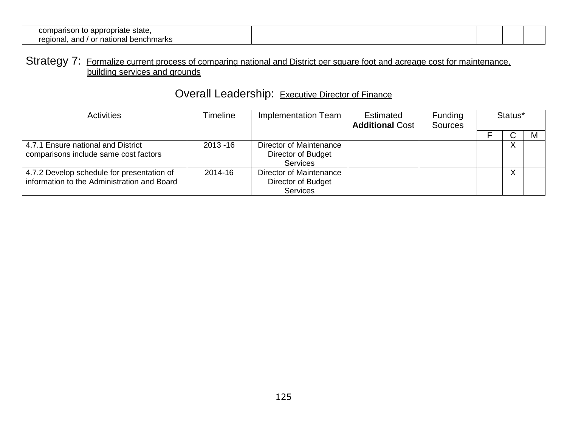| : state.<br>comparison<br>n to appropriate  |  |  |  |
|---------------------------------------------|--|--|--|
| regional<br>and<br>' or national benchmarks |  |  |  |

### Strategy 7: Formalize current process of comparing national and District per square foot and acreage cost for maintenance. building services and grounds

| <b>Activities</b>                                                                         | Timeline    | Implementation Team                                              | Estimated<br><b>Additional Cost</b> | Funding<br><b>Sources</b> | Status* |   |   |  |
|-------------------------------------------------------------------------------------------|-------------|------------------------------------------------------------------|-------------------------------------|---------------------------|---------|---|---|--|
|                                                                                           |             |                                                                  |                                     |                           |         | ັ | M |  |
| 4.7.1 Ensure national and District<br>comparisons include same cost factors               | $2013 - 16$ | Director of Maintenance<br>Director of Budget<br><b>Services</b> |                                     |                           |         |   |   |  |
| 4.7.2 Develop schedule for presentation of<br>information to the Administration and Board | 2014-16     | <b>Director of Maintenance</b><br>Director of Budget<br>Services |                                     |                           |         |   |   |  |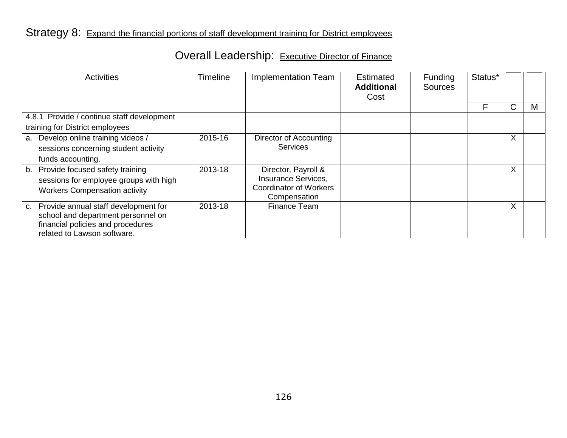### Strategy 8: Expand the financial portions of staff development training for District employees

| <b>Activities</b>                          | <b>Timeline</b> | <b>Implementation Team</b>    | <b>Estimated</b><br><b>Additional</b><br>Cost | Funding<br><b>Sources</b> | Status* |   |   |
|--------------------------------------------|-----------------|-------------------------------|-----------------------------------------------|---------------------------|---------|---|---|
|                                            |                 |                               |                                               |                           | F       | С | М |
| 4.8.1 Provide / continue staff development |                 |                               |                                               |                           |         |   |   |
| training for District employees            |                 |                               |                                               |                           |         |   |   |
| Develop online training videos /<br>a.     | 2015-16         | Director of Accounting        |                                               |                           |         | X |   |
| sessions concerning student activity       |                 | <b>Services</b>               |                                               |                           |         |   |   |
| funds accounting.                          |                 |                               |                                               |                           |         |   |   |
| Provide focused safety training<br>b.      | 2013-18         | Director, Payroll &           |                                               |                           |         | X |   |
| sessions for employee groups with high     |                 | Insurance Services,           |                                               |                           |         |   |   |
| <b>Workers Compensation activity</b>       |                 | <b>Coordinator of Workers</b> |                                               |                           |         |   |   |
| Provide annual staff development for       | 2013-18         | Compensation<br>Finance Team  |                                               |                           |         | X |   |
| C.<br>school and department personnel on   |                 |                               |                                               |                           |         |   |   |
| financial policies and procedures          |                 |                               |                                               |                           |         |   |   |
| related to Lawson software.                |                 |                               |                                               |                           |         |   |   |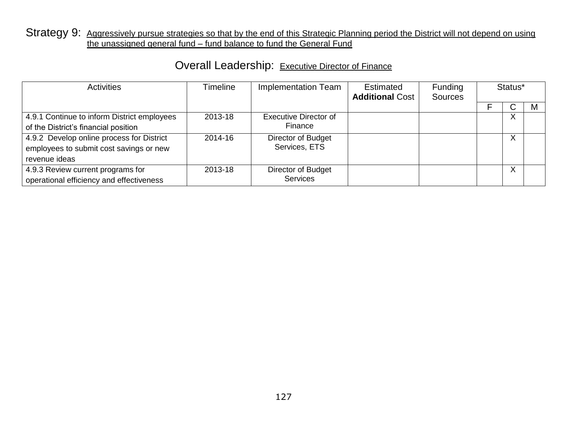### Strategy 9: Aggressively pursue strategies so that by the end of this Strategic Planning period the District will not depend on using the unassigned general fund – fund balance to fund the General Fund

| <b>Activities</b>                                                                                     | Timeline<br>Implementation Team |                                       | Estimated<br><b>Additional Cost</b> | Funding<br><b>Sources</b> | Status* |     |
|-------------------------------------------------------------------------------------------------------|---------------------------------|---------------------------------------|-------------------------------------|---------------------------|---------|-----|
|                                                                                                       |                                 |                                       |                                     |                           | ◡       | ΙVΙ |
| 4.9.1 Continue to inform District employees<br>of the District's financial position                   | 2013-18                         | Executive Director of<br>Finance      |                                     |                           | X       |     |
| 4.9.2 Develop online process for District<br>employees to submit cost savings or new<br>revenue ideas | 2014-16                         | Director of Budget<br>Services, ETS   |                                     |                           | v<br>∧  |     |
| 4.9.3 Review current programs for<br>operational efficiency and effectiveness                         | 2013-18                         | Director of Budget<br><b>Services</b> |                                     |                           | ∧       |     |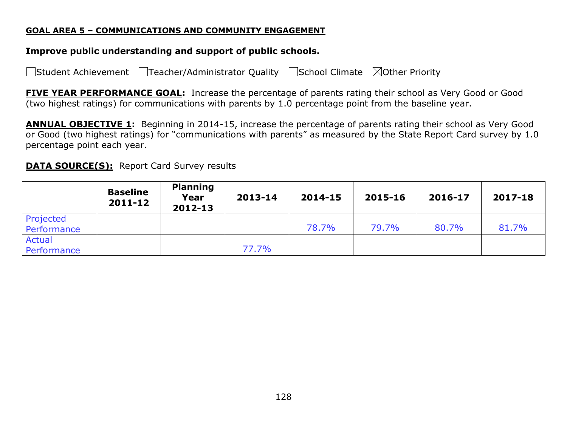#### **GOAL AREA 5 – COMMUNICATIONS AND COMMUNITY ENGAGEMENT**

### **Improve public understanding and support of public schools.**

□Student Achievement □Teacher/Administrator Quality □School Climate ⊠Other Priority

**FIVE YEAR PERFORMANCE GOAL:** Increase the percentage of parents rating their school as Very Good or Good (two highest ratings) for communications with parents by 1.0 percentage point from the baseline year.

**ANNUAL OBJECTIVE 1:** Beginning in 2014-15, increase the percentage of parents rating their school as Very Good or Good (two highest ratings) for "communications with parents" as measured by the State Report Card survey by 1.0 percentage point each year.

### **DATA SOURCE(S):** Report Card Survey results

|                              | <b>Baseline</b><br>$2011 - 12$ | <b>Planning</b><br>Year<br>2012-13 | 2013-14 | 2014-15 | 2015-16 | 2016-17 | 2017-18 |
|------------------------------|--------------------------------|------------------------------------|---------|---------|---------|---------|---------|
| Projected<br>Performance     |                                |                                    |         | 78.7%   | 79.7%   | 80.7%   | 81.7%   |
| <b>Actual</b><br>Performance |                                |                                    | 77.7%   |         |         |         |         |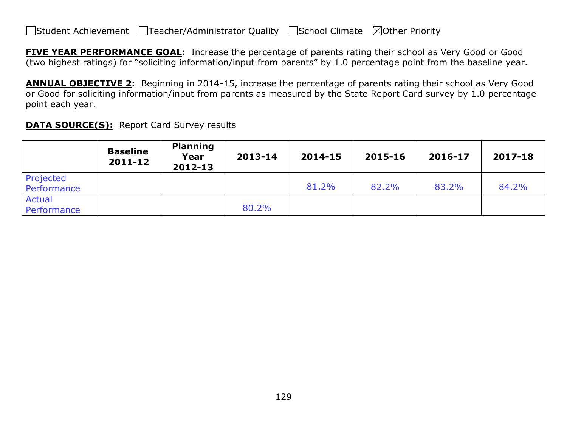$\Box$ Student Achievement  $\Box$ Teacher/Administrator Quality  $\Box$ School Climate  $\Box$ Other Priority

**FIVE YEAR PERFORMANCE GOAL:** Increase the percentage of parents rating their school as Very Good or Good (two highest ratings) for "soliciting information/input from parents" by 1.0 percentage point from the baseline year.

**ANNUAL OBJECTIVE 2:** Beginning in 2014-15, increase the percentage of parents rating their school as Very Good or Good for soliciting information/input from parents as measured by the State Report Card survey by 1.0 percentage point each year.

|                          | <b>Baseline</b><br>$2011 - 12$ | <b>Planning</b><br>Year<br>2012-13 | 2013-14 | 2014-15 | 2015-16 | 2016-17 | 2017-18 |
|--------------------------|--------------------------------|------------------------------------|---------|---------|---------|---------|---------|
| Projected<br>Performance |                                |                                    |         | 81.2%   | 82.2%   | 83.2%   | 84.2%   |
| Actual<br>Performance    |                                |                                    | 80.2%   |         |         |         |         |

**DATA SOURCE(S):** Report Card Survey results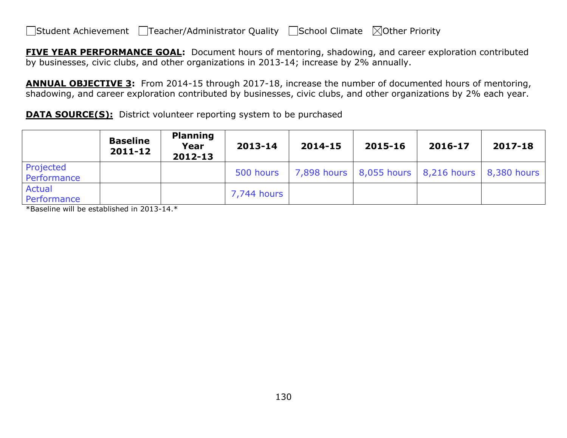$\Box$ Student Achievement  $\Box$ Teacher/Administrator Quality  $\Box$ School Climate  $\Box$ Other Priority

**FIVE YEAR PERFORMANCE GOAL:** Document hours of mentoring, shadowing, and career exploration contributed by businesses, civic clubs, and other organizations in 2013-14; increase by 2% annually.

**ANNUAL OBJECTIVE 3:** From 2014-15 through 2017-18, increase the number of documented hours of mentoring, shadowing, and career exploration contributed by businesses, civic clubs, and other organizations by 2% each year.

**DATA SOURCE(S):** District volunteer reporting system to be purchased

|                          | <b>Baseline</b><br>2011-12 | <b>Planning</b><br>Year<br>2012-13 | 2013-14     | 2014-15 | 2015-16                                               | 2016-17 | 2017-18 |
|--------------------------|----------------------------|------------------------------------|-------------|---------|-------------------------------------------------------|---------|---------|
| Projected<br>Performance |                            |                                    | 500 hours   |         | 7,898 hours   8,055 hours   8,216 hours   8,380 hours |         |         |
| Actual<br>Performance    |                            |                                    | 7,744 hours |         |                                                       |         |         |

\*Baseline will be established in 2013-14.\*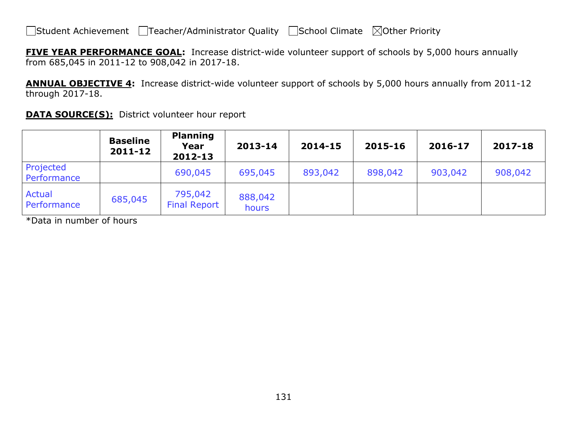**FIVE YEAR PERFORMANCE GOAL:** Increase district-wide volunteer support of schools by 5,000 hours annually from 685,045 in 2011-12 to 908,042 in 2017-18.

**ANNUAL OBJECTIVE 4:** Increase district-wide volunteer support of schools by 5,000 hours annually from 2011-12 through 2017-18.

|                              | <b>Baseline</b><br>2011-12 | <b>Planning</b><br>Year<br>2012-13 | 2013-14          | 2014-15 | 2015-16 | 2016-17 | 2017-18 |
|------------------------------|----------------------------|------------------------------------|------------------|---------|---------|---------|---------|
| Projected<br>Performance     |                            | 690,045                            | 695,045          | 893,042 | 898,042 | 903,042 | 908,042 |
| <b>Actual</b><br>Performance | 685,045                    | 795,042<br><b>Final Report</b>     | 888,042<br>hours |         |         |         |         |

**DATA SOURCE(S):** District volunteer hour report

\*Data in number of hours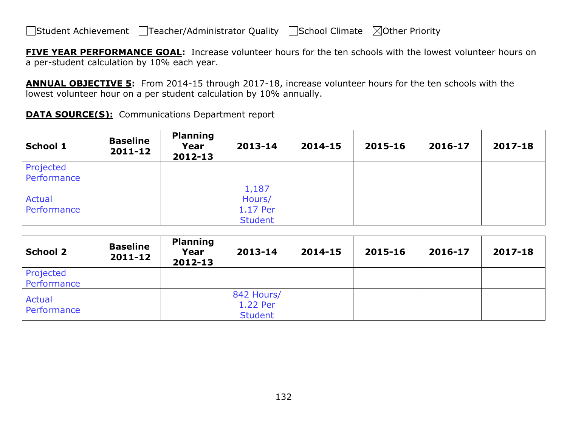**FIVE YEAR PERFORMANCE GOAL:** Increase volunteer hours for the ten schools with the lowest volunteer hours on a per-student calculation by 10% each year.

**ANNUAL OBJECTIVE 5:** From 2014-15 through 2017-18, increase volunteer hours for the ten schools with the lowest volunteer hour on a per student calculation by 10% annually.

| <b>School 1</b>              | <b>Baseline</b><br>2011-12 | <b>Planning</b><br>Year<br>2012-13 | 2013-14                                       | 2014-15 | 2015-16 | 2016-17 | 2017-18 |
|------------------------------|----------------------------|------------------------------------|-----------------------------------------------|---------|---------|---------|---------|
| Projected<br>Performance     |                            |                                    |                                               |         |         |         |         |
| <b>Actual</b><br>Performance |                            |                                    | 1,187<br>Hours/<br>1.17 Per<br><b>Student</b> |         |         |         |         |

| <b>School 2</b>          | <b>Baseline</b><br>2011-12 | <b>Planning</b><br>Year<br>2012-13 | 2013-14                                  | 2014-15 | 2015-16 | 2016-17 | 2017-18 |
|--------------------------|----------------------------|------------------------------------|------------------------------------------|---------|---------|---------|---------|
| Projected<br>Performance |                            |                                    |                                          |         |         |         |         |
| Actual<br>Performance    |                            |                                    | 842 Hours/<br>1.22 Per<br><b>Student</b> |         |         |         |         |

**DATA SOURCE(S):** Communications Department report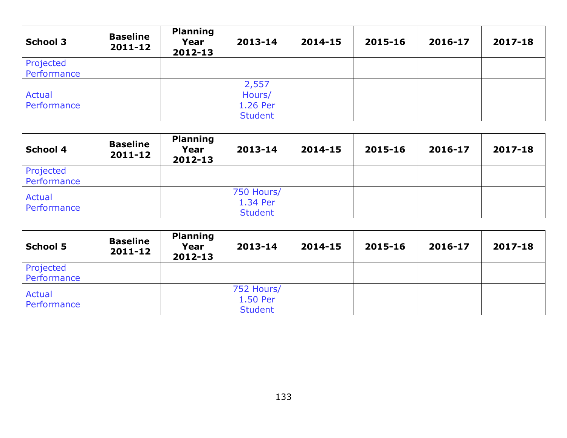| <b>School 3</b>          | <b>Baseline</b><br>2011-12 | <b>Planning</b><br>Year<br>2012-13 | 2013-14                                       | 2014-15 | 2015-16 | 2016-17 | 2017-18 |
|--------------------------|----------------------------|------------------------------------|-----------------------------------------------|---------|---------|---------|---------|
| Projected<br>Performance |                            |                                    |                                               |         |         |         |         |
| Actual<br>Performance    |                            |                                    | 2,557<br>Hours/<br>1.26 Per<br><b>Student</b> |         |         |         |         |

| <b>School 4</b>          | <b>Baseline</b><br>2011-12 | <b>Planning</b><br>Year<br>2012-13 | 2013-14                                  | 2014-15 | 2015-16 | 2016-17 | 2017-18 |
|--------------------------|----------------------------|------------------------------------|------------------------------------------|---------|---------|---------|---------|
| Projected<br>Performance |                            |                                    |                                          |         |         |         |         |
| Actual<br>Performance    |                            |                                    | 750 Hours/<br>1.34 Per<br><b>Student</b> |         |         |         |         |

| <b>School 5</b>          | <b>Baseline</b><br>2011-12 | <b>Planning</b><br>Year<br>2012-13 | 2013-14                                  | 2014-15 | 2015-16 | 2016-17 | 2017-18 |
|--------------------------|----------------------------|------------------------------------|------------------------------------------|---------|---------|---------|---------|
| Projected<br>Performance |                            |                                    |                                          |         |         |         |         |
| Actual<br>Performance    |                            |                                    | 752 Hours/<br>1.50 Per<br><b>Student</b> |         |         |         |         |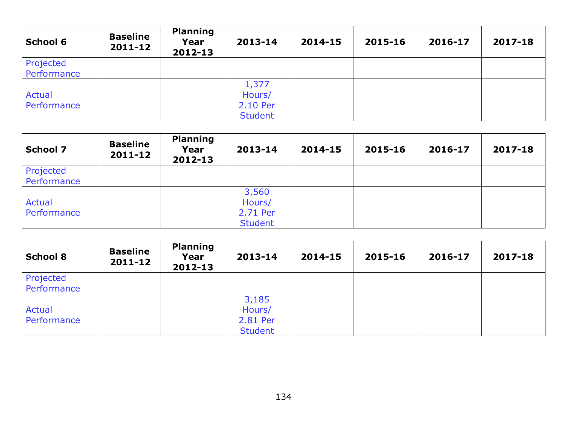| School 6                 | <b>Baseline</b><br>$2011 - 12$ | <b>Planning</b><br>Year<br>2012-13 | 2013-14                                       | 2014-15 | 2015-16 | 2016-17 | 2017-18 |
|--------------------------|--------------------------------|------------------------------------|-----------------------------------------------|---------|---------|---------|---------|
| Projected<br>Performance |                                |                                    |                                               |         |         |         |         |
| Actual<br>Performance    |                                |                                    | 1,377<br>Hours/<br>2.10 Per<br><b>Student</b> |         |         |         |         |

| <b>School 7</b>              | <b>Baseline</b><br>$2011 - 12$ | <b>Planning</b><br>Year<br>2012-13 | 2013-14                                       | 2014-15 | 2015-16 | 2016-17 | 2017-18 |
|------------------------------|--------------------------------|------------------------------------|-----------------------------------------------|---------|---------|---------|---------|
| Projected<br>Performance     |                                |                                    |                                               |         |         |         |         |
| <b>Actual</b><br>Performance |                                |                                    | 3,560<br>Hours/<br>2.71 Per<br><b>Student</b> |         |         |         |         |

| <b>School 8</b>          | <b>Baseline</b><br>2011-12 | <b>Planning</b><br>Year<br>2012-13 | 2013-14                                       | 2014-15 | 2015-16 | 2016-17 | 2017-18 |
|--------------------------|----------------------------|------------------------------------|-----------------------------------------------|---------|---------|---------|---------|
| Projected<br>Performance |                            |                                    |                                               |         |         |         |         |
| Actual<br>Performance    |                            |                                    | 3,185<br>Hours/<br>2.81 Per<br><b>Student</b> |         |         |         |         |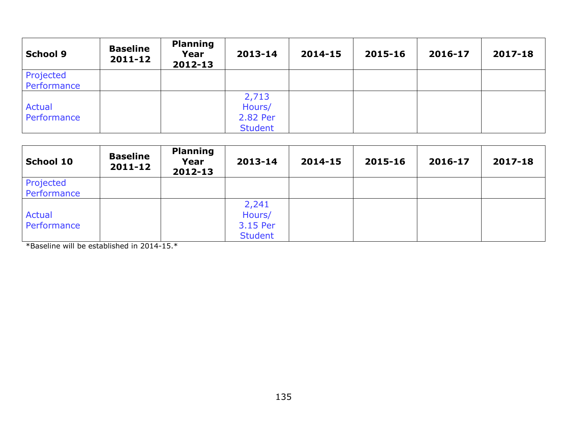| <b>School 9</b>              | <b>Baseline</b><br>$2011 - 12$ | <b>Planning</b><br>Year<br>2012-13 | 2013-14                                       | 2014-15 | 2015-16 | 2016-17 | 2017-18 |
|------------------------------|--------------------------------|------------------------------------|-----------------------------------------------|---------|---------|---------|---------|
| Projected<br>Performance     |                                |                                    |                                               |         |         |         |         |
| <b>Actual</b><br>Performance |                                |                                    | 2,713<br>Hours/<br>2.82 Per<br><b>Student</b> |         |         |         |         |

| <b>School 10</b>             | <b>Baseline</b><br>$2011 - 12$ | <b>Planning</b><br>Year<br>2012-13 | 2013-14                                       | 2014-15 | 2015-16 | 2016-17 | 2017-18 |
|------------------------------|--------------------------------|------------------------------------|-----------------------------------------------|---------|---------|---------|---------|
| Projected<br>Performance     |                                |                                    |                                               |         |         |         |         |
| <b>Actual</b><br>Performance |                                |                                    | 2,241<br>Hours/<br>3.15 Per<br><b>Student</b> |         |         |         |         |

\*Baseline will be established in 2014-15.\*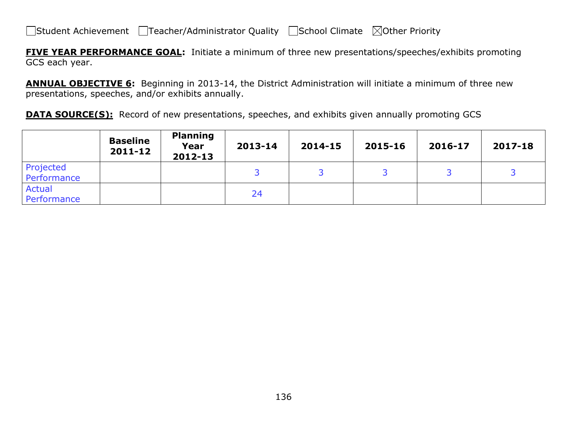**FIVE YEAR PERFORMANCE GOAL:** Initiate a minimum of three new presentations/speeches/exhibits promoting GCS each year.

**ANNUAL OBJECTIVE 6:** Beginning in 2013-14, the District Administration will initiate a minimum of three new presentations, speeches, and/or exhibits annually.

**DATA SOURCE(S):** Record of new presentations, speeches, and exhibits given annually promoting GCS

|                              | <b>Baseline</b><br>2011-12 | <b>Planning</b><br>Year<br>2012-13 | 2013-14 | 2014-15 | 2015-16 | 2016-17 | 2017-18 |
|------------------------------|----------------------------|------------------------------------|---------|---------|---------|---------|---------|
| Projected<br>Performance     |                            |                                    |         |         |         |         |         |
| <b>Actual</b><br>Performance |                            |                                    | 24      |         |         |         |         |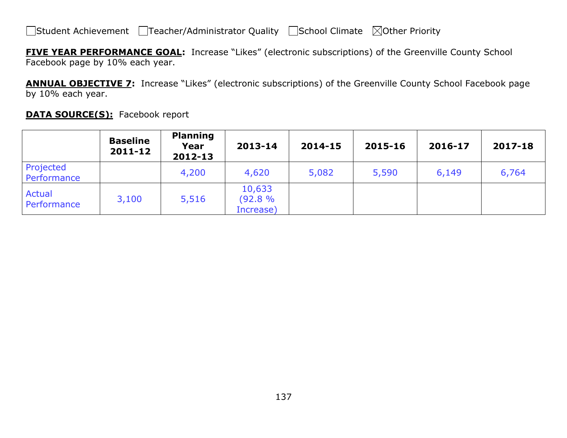**FIVE YEAR PERFORMANCE GOAL:** Increase "Likes" (electronic subscriptions) of the Greenville County School Facebook page by 10% each year.

**ANNUAL OBJECTIVE 7:** Increase "Likes" (electronic subscriptions) of the Greenville County School Facebook page by 10% each year.

| <b>DATA SOURCE(S):</b> Facebook report |
|----------------------------------------|
|----------------------------------------|

|                              | <b>Baseline</b><br>2011-12 | <b>Planning</b><br>Year<br>2012-13 | 2013-14                       | 2014-15 | 2015-16 | 2016-17 | 2017-18 |
|------------------------------|----------------------------|------------------------------------|-------------------------------|---------|---------|---------|---------|
| Projected<br>Performance     |                            | 4,200                              | 4,620                         | 5,082   | 5,590   | 6,149   | 6,764   |
| <b>Actual</b><br>Performance | 3,100                      | 5,516                              | 10,633<br>(92.8%<br>Increase) |         |         |         |         |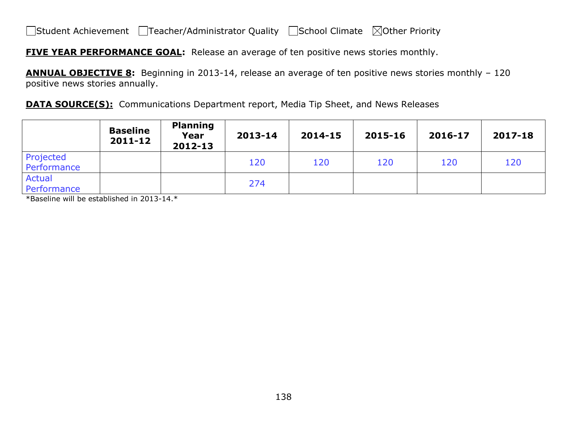**FIVE YEAR PERFORMANCE GOAL:** Release an average of ten positive news stories monthly.

**ANNUAL OBJECTIVE 8:** Beginning in 2013-14, release an average of ten positive news stories monthly – 120 positive news stories annually.

**DATA SOURCE(S):** Communications Department report, Media Tip Sheet, and News Releases

|                              | <b>Baseline</b><br>$2011 - 12$ | <b>Planning</b><br>Year<br>2012-13 | 2013-14 | 2014-15 | 2015-16 | 2016-17 | 2017-18 |
|------------------------------|--------------------------------|------------------------------------|---------|---------|---------|---------|---------|
| Projected<br>Performance     |                                |                                    | 120     | 120     | 120     | 120     | 120     |
| <b>Actual</b><br>Performance |                                |                                    | 274     |         |         |         |         |

\*Baseline will be established in 2013-14.\*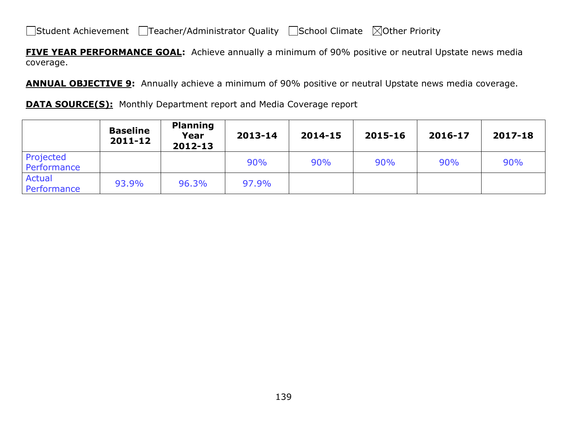**FIVE YEAR PERFORMANCE GOAL:** Achieve annually a minimum of 90% positive or neutral Upstate news media coverage.

**ANNUAL OBJECTIVE 9:** Annually achieve a minimum of 90% positive or neutral Upstate news media coverage.

**DATA SOURCE(S):** Monthly Department report and Media Coverage report

|                          | <b>Baseline</b><br>2011-12 | <b>Planning</b><br>Year<br>2012-13 | 2013-14 | 2014-15 | 2015-16 | 2016-17 | 2017-18 |
|--------------------------|----------------------------|------------------------------------|---------|---------|---------|---------|---------|
| Projected<br>Performance |                            |                                    | 90%     | 90%     | 90%     | 90%     | 90%     |
| Actual<br>Performance    | 93.9%                      | 96.3%                              | 97.9%   |         |         |         |         |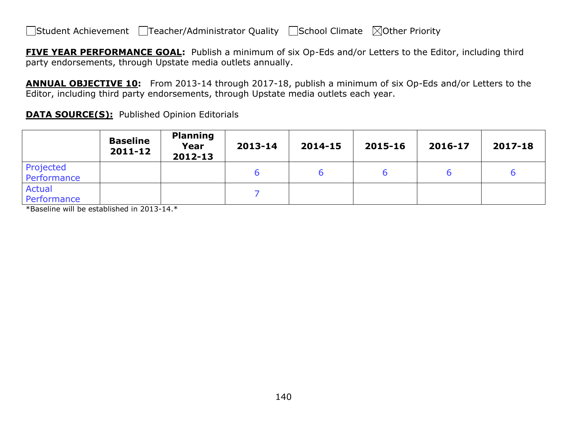**FIVE YEAR PERFORMANCE GOAL:** Publish a minimum of six Op-Eds and/or Letters to the Editor, including third party endorsements, through Upstate media outlets annually.

**ANNUAL OBJECTIVE 10:** From 2013-14 through 2017-18, publish a minimum of six Op-Eds and/or Letters to the Editor, including third party endorsements, through Upstate media outlets each year.

**DATA SOURCE(S):** Published Opinion Editorials

|                              | <b>Baseline</b><br>$2011 - 12$ | <b>Planning</b><br>Year<br>2012-13 | 2013-14 | 2014-15 | 2015-16 | 2016-17 | 2017-18 |
|------------------------------|--------------------------------|------------------------------------|---------|---------|---------|---------|---------|
| Projected<br>Performance     |                                |                                    |         |         |         |         |         |
| <b>Actual</b><br>Performance |                                |                                    |         |         |         |         |         |

\*Baseline will be established in 2013-14.\*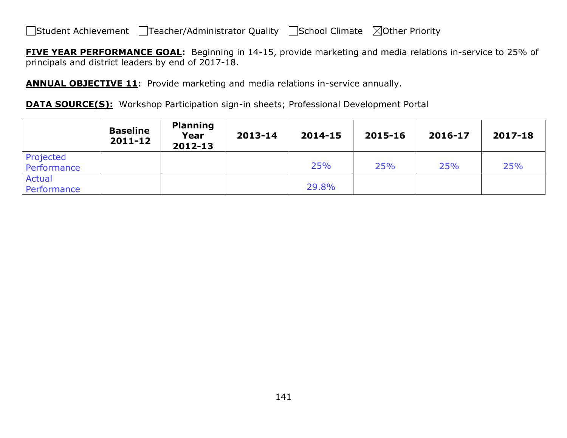**FIVE YEAR PERFORMANCE GOAL:** Beginning in 14-15, provide marketing and media relations in-service to 25% of principals and district leaders by end of 2017-18.

**ANNUAL OBJECTIVE 11:** Provide marketing and media relations in-service annually.

**DATA SOURCE(S):** Workshop Participation sign-in sheets; Professional Development Portal

|                              | <b>Baseline</b><br>2011-12 | <b>Planning</b><br>Year<br>2012-13 | 2013-14 | 2014-15 | 2015-16 | 2016-17 | 2017-18 |
|------------------------------|----------------------------|------------------------------------|---------|---------|---------|---------|---------|
| Projected<br>Performance     |                            |                                    |         | 25%     | 25%     | 25%     | 25%     |
| <b>Actual</b><br>Performance |                            |                                    |         | 29.8%   |         |         |         |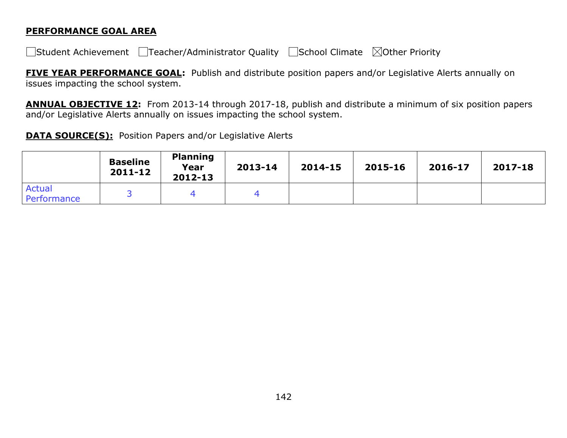#### **PERFORMANCE GOAL AREA**

□Student Achievement □Teacher/Administrator Quality □School Climate ⊠Other Priority

**FIVE YEAR PERFORMANCE GOAL:** Publish and distribute position papers and/or Legislative Alerts annually on issues impacting the school system.

**ANNUAL OBJECTIVE 12:** From 2013-14 through 2017-18, publish and distribute a minimum of six position papers and/or Legislative Alerts annually on issues impacting the school system.

**DATA SOURCE(S):** Position Papers and/or Legislative Alerts

|                       | <b>Baseline</b><br>$2011 - 12$ | <b>Planning</b><br>Year<br>2012-13 | 2013-14 | 2014-15 | 2015-16 | 2016-17 | 2017-18 |
|-----------------------|--------------------------------|------------------------------------|---------|---------|---------|---------|---------|
| Actual<br>Performance |                                |                                    |         |         |         |         |         |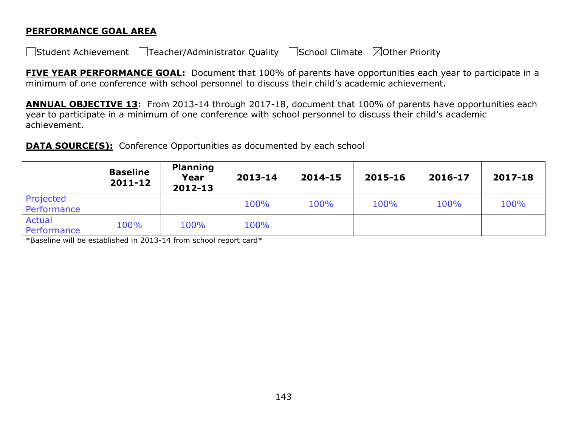#### **PERFORMANCE GOAL AREA**

 $\Box$ Student Achievement  $\Box$ Teacher/Administrator Quality  $\Box$ School Climate  $\Box$ Other Priority

**FIVE YEAR PERFORMANCE GOAL:** Document that 100% of parents have opportunities each year to participate in a minimum of one conference with school personnel to discuss their child's academic achievement.

**ANNUAL OBJECTIVE 13:** From 2013-14 through 2017-18, document that 100% of parents have opportunities each year to participate in a minimum of one conference with school personnel to discuss their child's academic achievement.

**DATA SOURCE(S):** Conference Opportunities as documented by each school

|                              | <b>Baseline</b><br>2011-12 | <b>Planning</b><br>Year<br>2012-13 | 2013-14 | 2014-15 | 2015-16 | 2016-17 | 2017-18 |
|------------------------------|----------------------------|------------------------------------|---------|---------|---------|---------|---------|
| Projected<br>Performance     |                            |                                    | 100%    | 100%    | 100%    | 100%    | 100%    |
| <b>Actual</b><br>Performance | 100%                       | 100%                               | 100%    |         |         |         |         |

\*Baseline will be established in 2013-14 from school report card\*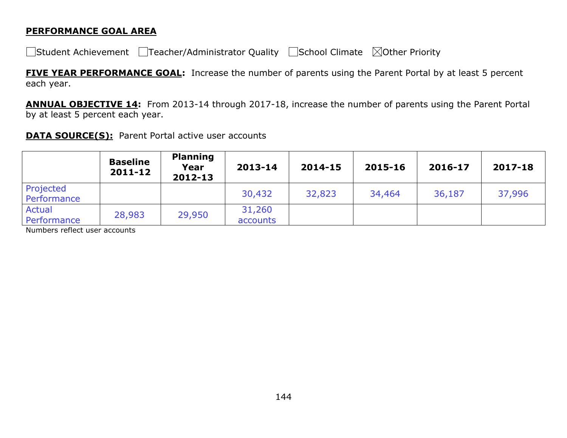#### **PERFORMANCE GOAL AREA**

□Student Achievement □Teacher/Administrator Quality □School Climate ⊠Other Priority

**FIVE YEAR PERFORMANCE GOAL:** Increase the number of parents using the Parent Portal by at least 5 percent each year.

**ANNUAL OBJECTIVE 14:** From 2013-14 through 2017-18, increase the number of parents using the Parent Portal by at least 5 percent each year.

#### **DATA SOURCE(S):** Parent Portal active user accounts

|                              | <b>Baseline</b><br>2011-12 | <b>Planning</b><br>Year<br>$2012 - 13$ | 2013-14            | 2014-15 | 2015-16 | 2016-17 | 2017-18 |
|------------------------------|----------------------------|----------------------------------------|--------------------|---------|---------|---------|---------|
| Projected<br>Performance     |                            |                                        | 30,432             | 32,823  | 34,464  | 36,187  | 37,996  |
| <b>Actual</b><br>Performance | 28,983                     | 29,950                                 | 31,260<br>accounts |         |         |         |         |

Numbers reflect user accounts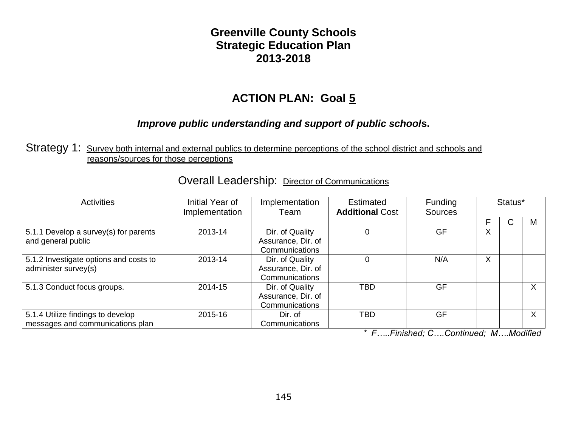#### **Greenville County Schools Strategic Education Plan 2013-2018**

### **ACTION PLAN: Goal 5**

#### *Improve public understanding and support of public school***s.**

Strategy 1: Survey both internal and external publics to determine perceptions of the school district and schools and reasons/sources for those perceptions

| <b>Activities</b>                                                     | Initial Year of<br>Implementation | Implementation<br>Team                                  | Estimated<br><b>Additional Cost</b> | Funding<br><b>Sources</b> |   | Status* |              |
|-----------------------------------------------------------------------|-----------------------------------|---------------------------------------------------------|-------------------------------------|---------------------------|---|---------|--------------|
|                                                                       |                                   |                                                         |                                     |                           | F |         | M            |
| 5.1.1 Develop a survey(s) for parents<br>and general public           | 2013-14                           | Dir. of Quality<br>Assurance, Dir. of<br>Communications |                                     | <b>GF</b>                 | X |         |              |
| 5.1.2 Investigate options and costs to<br>administer survey(s)        | 2013-14                           | Dir. of Quality<br>Assurance, Dir. of<br>Communications |                                     | N/A                       | X |         |              |
| 5.1.3 Conduct focus groups.                                           | 2014-15                           | Dir. of Quality<br>Assurance, Dir. of<br>Communications | TBD                                 | GF                        |   |         |              |
| 5.1.4 Utilize findings to develop<br>messages and communications plan | 2015-16                           | Dir. of<br>Communications                               | TBD                                 | <b>GF</b>                 |   |         | $\checkmark$ |

# Overall Leadership: Director of Communications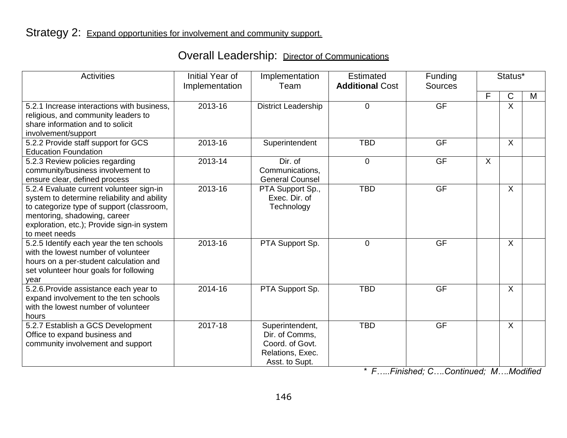|  | <b>Overall Leadership: Director of Communications</b> |
|--|-------------------------------------------------------|
|--|-------------------------------------------------------|

| <b>Activities</b>                                                                                                                                                                                                                   | Initial Year of<br>Implementation | Implementation<br>Team                                                                     | Estimated<br><b>Additional Cost</b> | Funding<br><b>Sources</b> |   | Status*      |   |
|-------------------------------------------------------------------------------------------------------------------------------------------------------------------------------------------------------------------------------------|-----------------------------------|--------------------------------------------------------------------------------------------|-------------------------------------|---------------------------|---|--------------|---|
|                                                                                                                                                                                                                                     |                                   |                                                                                            |                                     |                           | F | C            | M |
| 5.2.1 Increase interactions with business,<br>religious, and community leaders to<br>share information and to solicit<br>involvement/support                                                                                        | 2013-16                           | <b>District Leadership</b>                                                                 | $\Omega$                            | <b>GF</b>                 |   | X            |   |
| 5.2.2 Provide staff support for GCS<br><b>Education Foundation</b>                                                                                                                                                                  | 2013-16                           | Superintendent                                                                             | <b>TBD</b>                          | <b>GF</b>                 |   | $\sf X$      |   |
| 5.2.3 Review policies regarding<br>community/business involvement to<br>ensure clear, defined process                                                                                                                               | 2013-14                           | Dir. of<br>Communications,<br><b>General Counsel</b>                                       | $\overline{0}$                      | <b>GF</b>                 | X |              |   |
| 5.2.4 Evaluate current volunteer sign-in<br>system to determine reliability and ability<br>to categorize type of support (classroom,<br>mentoring, shadowing, career<br>exploration, etc.); Provide sign-in system<br>to meet needs | 2013-16                           | PTA Support Sp.,<br>Exec. Dir. of<br>Technology                                            | <b>TBD</b>                          | GF                        |   | X            |   |
| 5.2.5 Identify each year the ten schools<br>with the lowest number of volunteer<br>hours on a per-student calculation and<br>set volunteer hour goals for following<br>year                                                         | 2013-16                           | PTA Support Sp.                                                                            | $\overline{0}$                      | GF                        |   | $\mathsf{X}$ |   |
| 5.2.6. Provide assistance each year to<br>expand involvement to the ten schools<br>with the lowest number of volunteer<br>hours                                                                                                     | 2014-16                           | PTA Support Sp.                                                                            | <b>TBD</b>                          | <b>GF</b>                 |   | $\sf X$      |   |
| 5.2.7 Establish a GCS Development<br>Office to expand business and<br>community involvement and support                                                                                                                             | 2017-18                           | Superintendent,<br>Dir. of Comms,<br>Coord. of Govt.<br>Relations, Exec.<br>Asst. to Supt. | <b>TBD</b>                          | <b>GF</b>                 |   | $\sf X$      |   |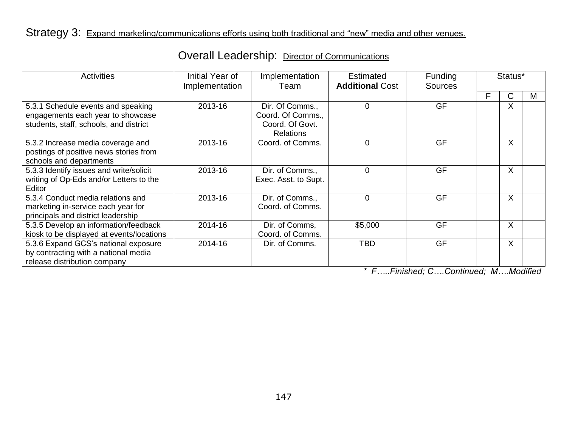# Strategy 3: Expand marketing/communications efforts using both traditional and "new" media and other venues.

|  | <b>Overall Leadership: Director of Communications</b> |
|--|-------------------------------------------------------|
|--|-------------------------------------------------------|

| <b>Activities</b>                                                                                                 | Initial Year of<br>Implementation | Implementation<br>Team                                                      | <b>Estimated</b><br><b>Additional Cost</b> | Funding<br><b>Sources</b> | Status* |         |   |
|-------------------------------------------------------------------------------------------------------------------|-----------------------------------|-----------------------------------------------------------------------------|--------------------------------------------|---------------------------|---------|---------|---|
|                                                                                                                   |                                   |                                                                             |                                            |                           | F       | С       | M |
| 5.3.1 Schedule events and speaking<br>engagements each year to showcase<br>students, staff, schools, and district | 2013-16                           | Dir. Of Comms.,<br>Coord. Of Comms.,<br>Coord. Of Govt.<br><b>Relations</b> | 0                                          | <b>GF</b>                 |         | $\sf X$ |   |
| 5.3.2 Increase media coverage and<br>postings of positive news stories from<br>schools and departments            | 2013-16                           | Coord. of Comms.                                                            | 0                                          | <b>GF</b>                 |         | $\sf X$ |   |
| 5.3.3 Identify issues and write/solicit<br>writing of Op-Eds and/or Letters to the<br>Editor                      | 2013-16                           | Dir. of Comms.,<br>Exec. Asst. to Supt.                                     | 0                                          | GF                        |         | $\sf X$ |   |
| 5.3.4 Conduct media relations and<br>marketing in-service each year for<br>principals and district leadership     | 2013-16                           | Dir. of Comms.,<br>Coord. of Comms.                                         | 0                                          | <b>GF</b>                 |         | X       |   |
| 5.3.5 Develop an information/feedback<br>kiosk to be displayed at events/locations                                | 2014-16                           | Dir. of Comms,<br>Coord. of Comms.                                          | \$5,000                                    | <b>GF</b>                 |         | X       |   |
| 5.3.6 Expand GCS's national exposure<br>by contracting with a national media<br>release distribution company      | 2014-16                           | Dir. of Comms.                                                              | <b>TBD</b>                                 | <b>GF</b>                 |         | $\sf X$ |   |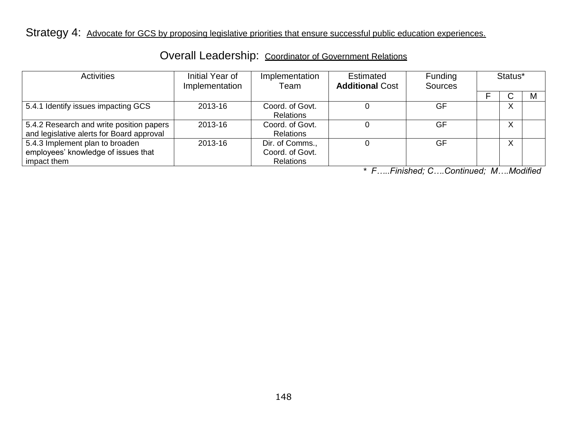Strategy 4: Advocate for GCS by proposing legislative priorities that ensure successful public education experiences.

| Activities                                                                            | Initial Year of<br>Implementation | Implementation<br>Team                                 | Estimated<br><b>Additional Cost</b> | Funding<br><b>Sources</b> | Status* |   |   |
|---------------------------------------------------------------------------------------|-----------------------------------|--------------------------------------------------------|-------------------------------------|---------------------------|---------|---|---|
|                                                                                       |                                   |                                                        |                                     |                           |         |   | M |
| 5.4.1 Identify issues impacting GCS                                                   | 2013-16                           | Coord. of Govt.<br><b>Relations</b>                    |                                     | GF                        |         | X |   |
| 5.4.2 Research and write position papers<br>and legislative alerts for Board approval | 2013-16                           | Coord. of Govt.<br><b>Relations</b>                    |                                     | GF                        |         | X |   |
| 5.4.3 Implement plan to broaden<br>employees' knowledge of issues that<br>impact them | 2013-16                           | Dir. of Comms.,<br>Coord. of Govt.<br><b>Relations</b> |                                     | GF                        |         | X |   |

#### Overall Leadership: Coordinator of Government Relations